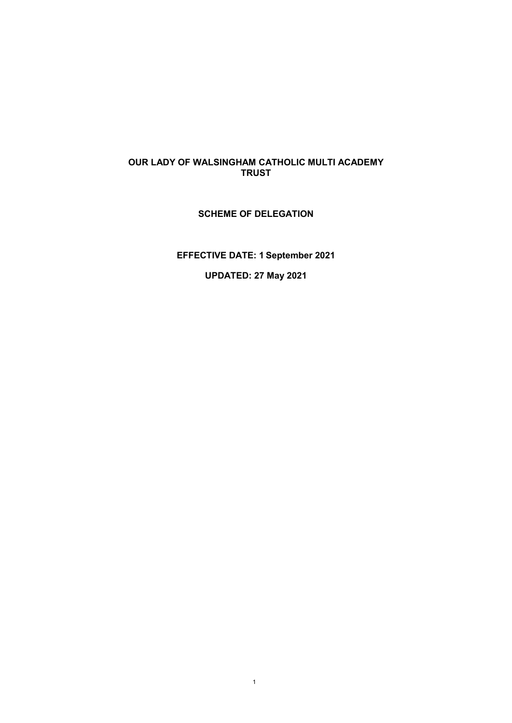## **OUR LADY OF WALSINGHAM CATHOLIC MULTI ACADEMY TRUST**

## **SCHEME OF DELEGATION**

**EFFECTIVE DATE: 1 September 2021**

**UPDATED: 27 May 2021**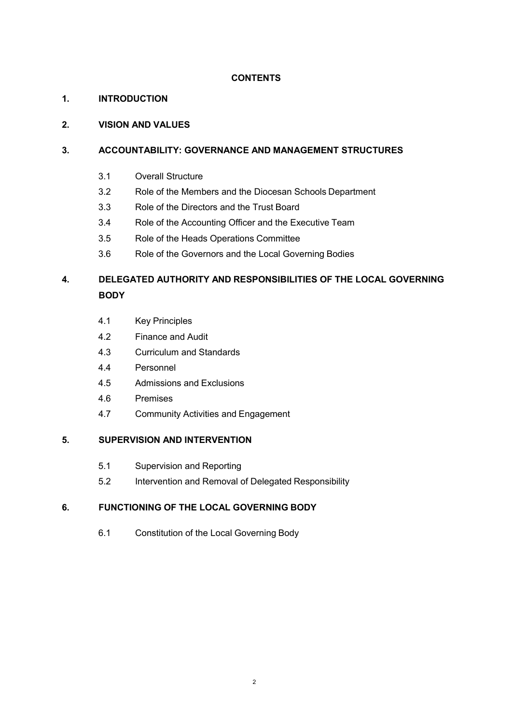## **CONTENTS**

## **1. INTRODUCTION**

## **2. VISION AND VALUES**

## **3. ACCOUNTABILITY: GOVERNANCE AND MANAGEMENT STRUCTURES**

- 3.1 Overall Structure
- 3.2 Role of the Members and the Diocesan Schools Department
- 3.3 Role of the Directors and the Trust Board
- 3.4 Role of the Accounting Officer and the Executive Team
- 3.5 Role of the Heads Operations Committee
- 3.6 Role of the Governors and the Local Governing Bodies

# **4. DELEGATED AUTHORITY AND RESPONSIBILITIES OF THE LOCAL GOVERNING BODY**

- 4.1 Key Principles
- 4.2 Finance and Audit
- 4.3 Curriculum and Standards
- 4.4 Personnel
- 4.5 Admissions and Exclusions
- 4.6 Premises
- 4.7 Community Activities and Engagement

## **5. SUPERVISION AND INTERVENTION**

- 5.1 Supervision and Reporting
- 5.2 Intervention and Removal of Delegated Responsibility

## **6. FUNCTIONING OF THE LOCAL GOVERNING BODY**

6.1 Constitution of the Local Governing Body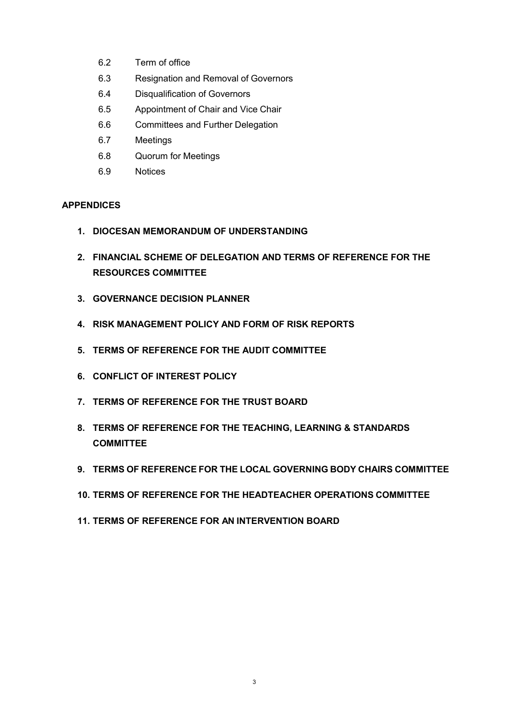- 6.2 Term of office
- 6.3 Resignation and Removal of Governors
- 6.4 Disqualification of Governors
- 6.5 Appointment of Chair and Vice Chair
- 6.6 Committees and Further Delegation
- 6.7 Meetings
- 6.8 Quorum for Meetings
- 6.9 Notices

## **APPENDICES**

- **1. DIOCESAN MEMORANDUM OF UNDERSTANDING**
- **2. FINANCIAL SCHEME OF DELEGATION AND TERMS OF REFERENCE FOR THE RESOURCES COMMITTEE**
- **3. GOVERNANCE DECISION PLANNER**
- **4. RISK MANAGEMENT POLICY AND FORM OF RISK REPORTS**
- **5. TERMS OF REFERENCE FOR THE AUDIT COMMITTEE**
- **6. CONFLICT OF INTEREST POLICY**
- **7. TERMS OF REFERENCE FOR THE TRUST BOARD**
- **8. TERMS OF REFERENCE FOR THE TEACHING, LEARNING & STANDARDS COMMITTEE**
- **9. TERMS OF REFERENCE FOR THE LOCAL GOVERNING BODY CHAIRS COMMITTEE**
- **10. TERMS OF REFERENCE FOR THE HEADTEACHER OPERATIONS COMMITTEE**
- **11. TERMS OF REFERENCE FOR AN INTERVENTION BOARD**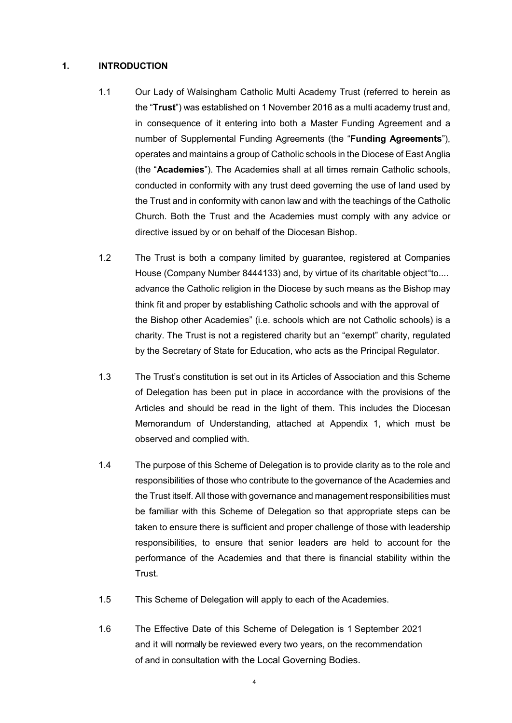### **1. INTRODUCTION**

- 1.1 Our Lady of Walsingham Catholic Multi Academy Trust (referred to herein as the "**Trust**") was established on 1 November 2016 as a multi academy trust and, in consequence of it entering into both a Master Funding Agreement and a number of Supplemental Funding Agreements (the "**Funding Agreements**"), operates and maintains a group of Catholic schools in the Diocese of East Anglia (the "**Academies**"). The Academies shall at all times remain Catholic schools, conducted in conformity with any trust deed governing the use of land used by the Trust and in conformity with canon law and with the teachings of the Catholic Church. Both the Trust and the Academies must comply with any advice or directive issued by or on behalf of the Diocesan Bishop.
- 1.2 The Trust is both a company limited by guarantee, registered at Companies House (Company Number 8444133) and, by virtue of its charitable object"to.... advance the Catholic religion in the Diocese by such means as the Bishop may think fit and proper by establishing Catholic schools and with the approval of the Bishop other Academies" (i.e. schools which are not Catholic schools) is a charity. The Trust is not a registered charity but an "exempt" charity, regulated by the Secretary of State for Education, who acts as the Principal Regulator.
- 1.3 The Trust's constitution is set out in its Articles of Association and this Scheme of Delegation has been put in place in accordance with the provisions of the Articles and should be read in the light of them. This includes the Diocesan Memorandum of Understanding, attached at Appendix 1, which must be observed and complied with.
- 1.4 The purpose of this Scheme of Delegation is to provide clarity as to the role and responsibilities of those who contribute to the governance of the Academies and the Trust itself. All those with governance and management responsibilities must be familiar with this Scheme of Delegation so that appropriate steps can be taken to ensure there is sufficient and proper challenge of those with leadership responsibilities, to ensure that senior leaders are held to account for the performance of the Academies and that there is financial stability within the Trust.
- 1.5 This Scheme of Delegation will apply to each of the Academies.
- 1.6 The Effective Date of this Scheme of Delegation is 1 September 2021 and it will normally be reviewed every two years, on the recommendation of and in consultation with the Local Governing Bodies.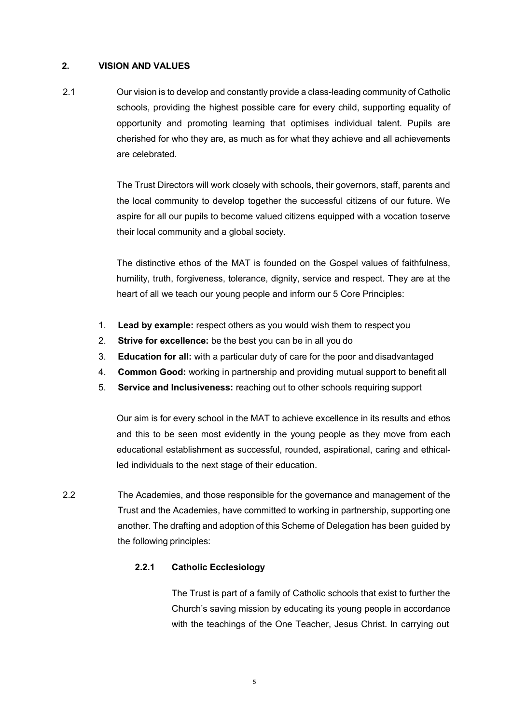## **2. VISION AND VALUES**

2.1 Our vision is to develop and constantly provide a class-leading community of Catholic schools, providing the highest possible care for every child, supporting equality of opportunity and promoting learning that optimises individual talent. Pupils are cherished for who they are, as much as for what they achieve and all achievements are celebrated.

> The Trust Directors will work closely with schools, their governors, staff, parents and the local community to develop together the successful citizens of our future. We aspire for all our pupils to become valued citizens equipped with a vocation toserve their local community and a global society.

> The distinctive ethos of the MAT is founded on the Gospel values of faithfulness, humility, truth, forgiveness, tolerance, dignity, service and respect. They are at the heart of all we teach our young people and inform our 5 Core Principles:

- 1. **Lead by example:** respect others as you would wish them to respect you
- 2. **Strive for excellence:** be the best you can be in all you do
- 3. **Education for all:** with a particular duty of care for the poor and disadvantaged
- 4. **Common Good:** working in partnership and providing mutual support to benefit all
- 5. **Service and Inclusiveness:** reaching out to other schools requiring support

Our aim is for every school in the MAT to achieve excellence in its results and ethos and this to be seen most evidently in the young people as they move from each educational establishment as successful, rounded, aspirational, caring and ethicalled individuals to the next stage of their education.

2.2 The Academies, and those responsible for the governance and management of the Trust and the Academies, have committed to working in partnership, supporting one another. The drafting and adoption of this Scheme of Delegation has been guided by the following principles:

## **2.2.1 Catholic Ecclesiology**

The Trust is part of a family of Catholic schools that exist to further the Church's saving mission by educating its young people in accordance with the teachings of the One Teacher, Jesus Christ. In carrying out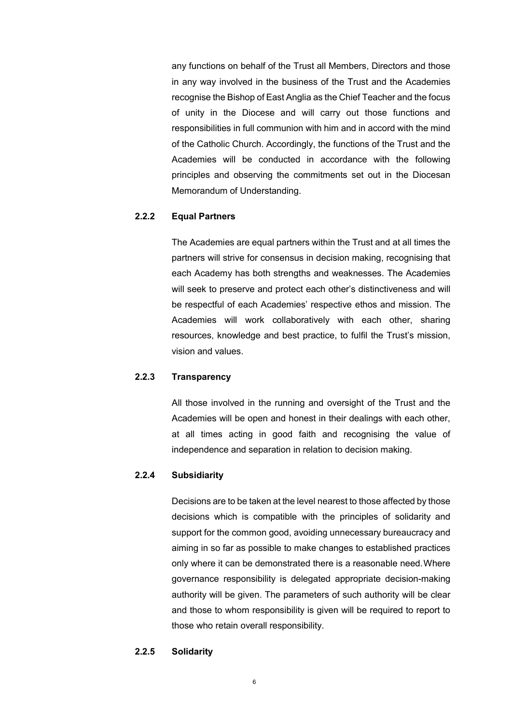any functions on behalf of the Trust all Members, Directors and those in any way involved in the business of the Trust and the Academies recognise the Bishop of East Anglia as the Chief Teacher and the focus of unity in the Diocese and will carry out those functions and responsibilities in full communion with him and in accord with the mind of the Catholic Church. Accordingly, the functions of the Trust and the Academies will be conducted in accordance with the following principles and observing the commitments set out in the Diocesan Memorandum of Understanding.

## **2.2.2 Equal Partners**

The Academies are equal partners within the Trust and at all times the partners will strive for consensus in decision making, recognising that each Academy has both strengths and weaknesses. The Academies will seek to preserve and protect each other's distinctiveness and will be respectful of each Academies' respective ethos and mission. The Academies will work collaboratively with each other, sharing resources, knowledge and best practice, to fulfil the Trust's mission, vision and values.

### **2.2.3 Transparency**

All those involved in the running and oversight of the Trust and the Academies will be open and honest in their dealings with each other, at all times acting in good faith and recognising the value of independence and separation in relation to decision making.

#### **2.2.4 Subsidiarity**

Decisions are to be taken at the level nearest to those affected by those decisions which is compatible with the principles of solidarity and support for the common good, avoiding unnecessary bureaucracy and aiming in so far as possible to make changes to established practices only where it can be demonstrated there is a reasonable need.Where governance responsibility is delegated appropriate decision-making authority will be given. The parameters of such authority will be clear and those to whom responsibility is given will be required to report to those who retain overall responsibility.

#### **2.2.5 Solidarity**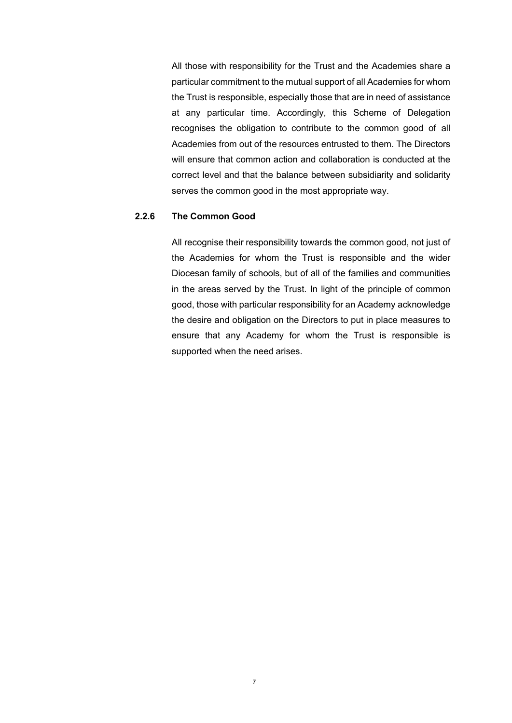All those with responsibility for the Trust and the Academies share a particular commitment to the mutual support of all Academies for whom the Trust is responsible, especially those that are in need of assistance at any particular time. Accordingly, this Scheme of Delegation recognises the obligation to contribute to the common good of all Academies from out of the resources entrusted to them. The Directors will ensure that common action and collaboration is conducted at the correct level and that the balance between subsidiarity and solidarity serves the common good in the most appropriate way.

## **2.2.6 The Common Good**

All recognise their responsibility towards the common good, not just of the Academies for whom the Trust is responsible and the wider Diocesan family of schools, but of all of the families and communities in the areas served by the Trust. In light of the principle of common good, those with particular responsibility for an Academy acknowledge the desire and obligation on the Directors to put in place measures to ensure that any Academy for whom the Trust is responsible is supported when the need arises.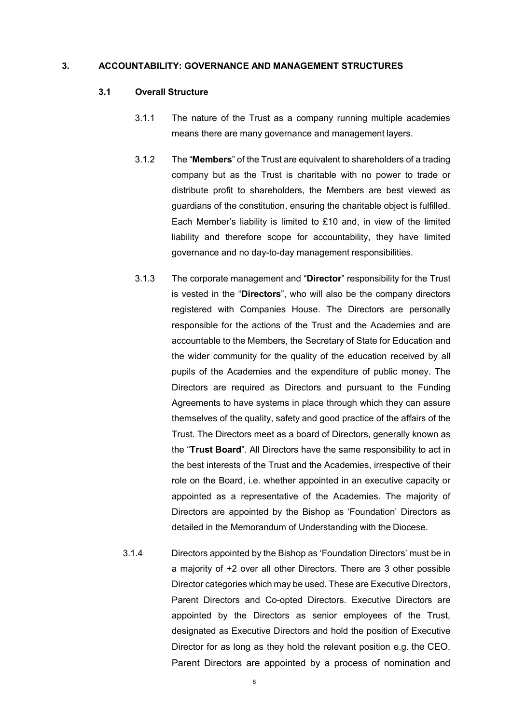#### **3. ACCOUNTABILITY: GOVERNANCE AND MANAGEMENT STRUCTURES**

#### **3.1 Overall Structure**

- 3.1.1 The nature of the Trust as a company running multiple academies means there are many governance and management layers.
- 3.1.2 The "**Members**" of the Trust are equivalent to shareholders of a trading company but as the Trust is charitable with no power to trade or distribute profit to shareholders, the Members are best viewed as guardians of the constitution, ensuring the charitable object is fulfilled. Each Member's liability is limited to £10 and, in view of the limited liability and therefore scope for accountability, they have limited governance and no day-to-day management responsibilities.
- 3.1.3 The corporate management and "**Director**" responsibility for the Trust is vested in the "**Directors**", who will also be the company directors registered with Companies House. The Directors are personally responsible for the actions of the Trust and the Academies and are accountable to the Members, the Secretary of State for Education and the wider community for the quality of the education received by all pupils of the Academies and the expenditure of public money. The Directors are required as Directors and pursuant to the Funding Agreements to have systems in place through which they can assure themselves of the quality, safety and good practice of the affairs of the Trust. The Directors meet as a board of Directors, generally known as the "**Trust Board**". All Directors have the same responsibility to act in the best interests of the Trust and the Academies, irrespective of their role on the Board, i.e. whether appointed in an executive capacity or appointed as a representative of the Academies. The majority of Directors are appointed by the Bishop as 'Foundation' Directors as detailed in the Memorandum of Understanding with the Diocese.
- 3.1.4 Directors appointed by the Bishop as 'Foundation Directors' must be in a majority of +2 over all other Directors. There are 3 other possible Director categories which may be used. These are Executive Directors, Parent Directors and Co-opted Directors. Executive Directors are appointed by the Directors as senior employees of the Trust, designated as Executive Directors and hold the position of Executive Director for as long as they hold the relevant position e.g. the CEO. Parent Directors are appointed by a process of nomination and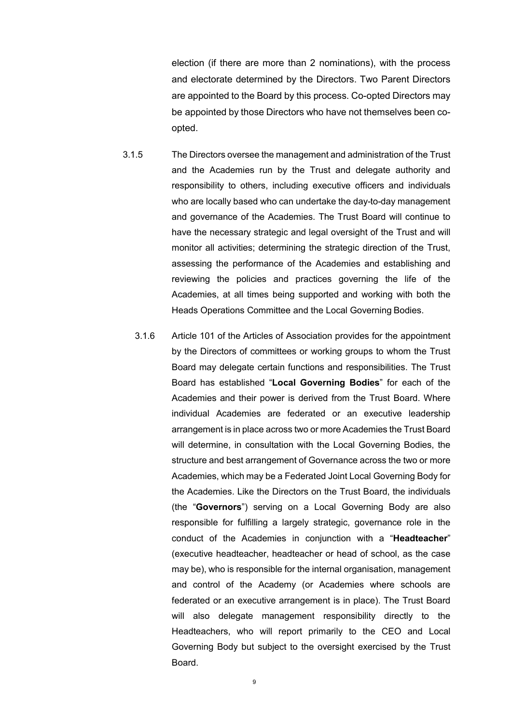election (if there are more than 2 nominations), with the process and electorate determined by the Directors. Two Parent Directors are appointed to the Board by this process. Co-opted Directors may be appointed by those Directors who have not themselves been coopted.

- 3.1.5 The Directors oversee the management and administration of the Trust and the Academies run by the Trust and delegate authority and responsibility to others, including executive officers and individuals who are locally based who can undertake the day-to-day management and governance of the Academies. The Trust Board will continue to have the necessary strategic and legal oversight of the Trust and will monitor all activities; determining the strategic direction of the Trust, assessing the performance of the Academies and establishing and reviewing the policies and practices governing the life of the Academies, at all times being supported and working with both the Heads Operations Committee and the Local Governing Bodies.
	- 3.1.6 Article 101 of the Articles of Association provides for the appointment by the Directors of committees or working groups to whom the Trust Board may delegate certain functions and responsibilities. The Trust Board has established "**Local Governing Bodies**" for each of the Academies and their power is derived from the Trust Board. Where individual Academies are federated or an executive leadership arrangement is in place across two or more Academies the Trust Board will determine, in consultation with the Local Governing Bodies, the structure and best arrangement of Governance across the two or more Academies, which may be a Federated Joint Local Governing Body for the Academies. Like the Directors on the Trust Board, the individuals (the "**Governors**") serving on a Local Governing Body are also responsible for fulfilling a largely strategic, governance role in the conduct of the Academies in conjunction with a "**Headteacher**" (executive headteacher, headteacher or head of school, as the case may be), who is responsible for the internal organisation, management and control of the Academy (or Academies where schools are federated or an executive arrangement is in place). The Trust Board will also delegate management responsibility directly to the Headteachers, who will report primarily to the CEO and Local Governing Body but subject to the oversight exercised by the Trust Board.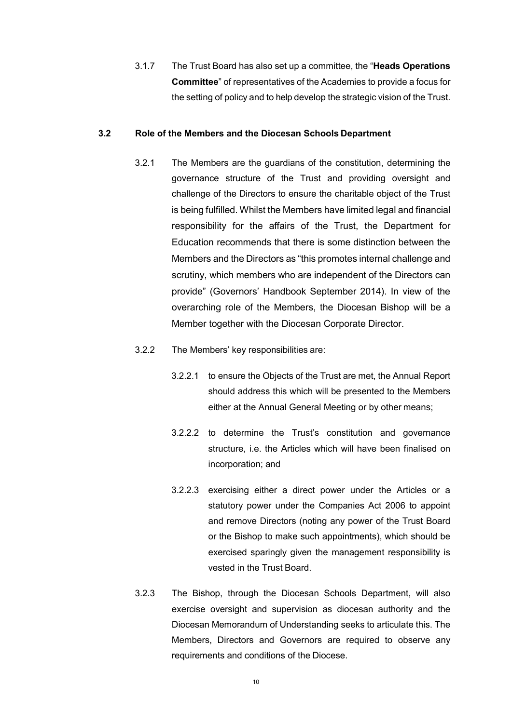3.1.7 The Trust Board has also set up a committee, the "**Heads Operations Committee**" of representatives of the Academies to provide a focus for the setting of policy and to help develop the strategic vision of the Trust.

#### **3.2 Role of the Members and the Diocesan Schools Department**

- 3.2.1 The Members are the guardians of the constitution, determining the governance structure of the Trust and providing oversight and challenge of the Directors to ensure the charitable object of the Trust is being fulfilled. Whilst the Members have limited legal and financial responsibility for the affairs of the Trust, the Department for Education recommends that there is some distinction between the Members and the Directors as "this promotes internal challenge and scrutiny, which members who are independent of the Directors can provide" (Governors' Handbook September 2014). In view of the overarching role of the Members, the Diocesan Bishop will be a Member together with the Diocesan Corporate Director.
- 3.2.2 The Members' key responsibilities are:
	- 3.2.2.1 to ensure the Objects of the Trust are met, the Annual Report should address this which will be presented to the Members either at the Annual General Meeting or by other means;
	- 3.2.2.2 to determine the Trust's constitution and governance structure, i.e. the Articles which will have been finalised on incorporation; and
	- 3.2.2.3 exercising either a direct power under the Articles or a statutory power under the Companies Act 2006 to appoint and remove Directors (noting any power of the Trust Board or the Bishop to make such appointments), which should be exercised sparingly given the management responsibility is vested in the Trust Board.
- 3.2.3 The Bishop, through the Diocesan Schools Department, will also exercise oversight and supervision as diocesan authority and the Diocesan Memorandum of Understanding seeks to articulate this. The Members, Directors and Governors are required to observe any requirements and conditions of the Diocese.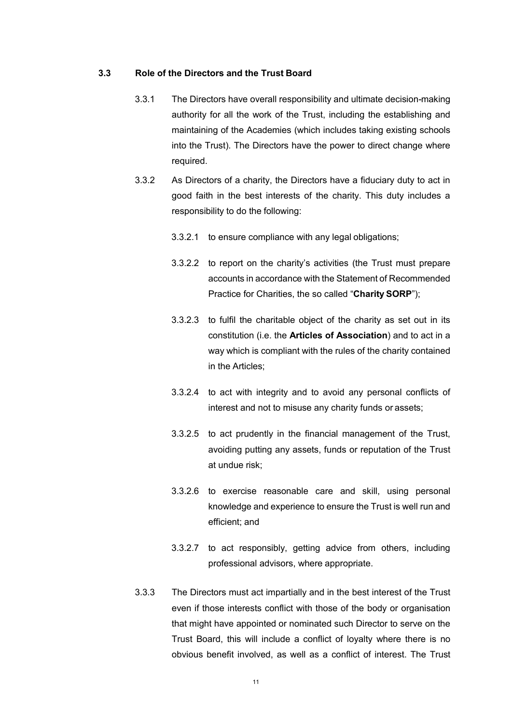#### **3.3 Role of the Directors and the Trust Board**

- 3.3.1 The Directors have overall responsibility and ultimate decision-making authority for all the work of the Trust, including the establishing and maintaining of the Academies (which includes taking existing schools into the Trust). The Directors have the power to direct change where required.
- 3.3.2 As Directors of a charity, the Directors have a fiduciary duty to act in good faith in the best interests of the charity. This duty includes a responsibility to do the following:
	- 3.3.2.1 to ensure compliance with any legal obligations;
	- 3.3.2.2 to report on the charity's activities (the Trust must prepare accounts in accordance with the Statement of Recommended Practice for Charities, the so called "**Charity SORP**");
	- 3.3.2.3 to fulfil the charitable object of the charity as set out in its constitution (i.e. the **Articles of Association**) and to act in a way which is compliant with the rules of the charity contained in the Articles;
	- 3.3.2.4 to act with integrity and to avoid any personal conflicts of interest and not to misuse any charity funds or assets;
	- 3.3.2.5 to act prudently in the financial management of the Trust, avoiding putting any assets, funds or reputation of the Trust at undue risk;
	- 3.3.2.6 to exercise reasonable care and skill, using personal knowledge and experience to ensure the Trust is well run and efficient; and
	- 3.3.2.7 to act responsibly, getting advice from others, including professional advisors, where appropriate.
- 3.3.3 The Directors must act impartially and in the best interest of the Trust even if those interests conflict with those of the body or organisation that might have appointed or nominated such Director to serve on the Trust Board, this will include a conflict of loyalty where there is no obvious benefit involved, as well as a conflict of interest. The Trust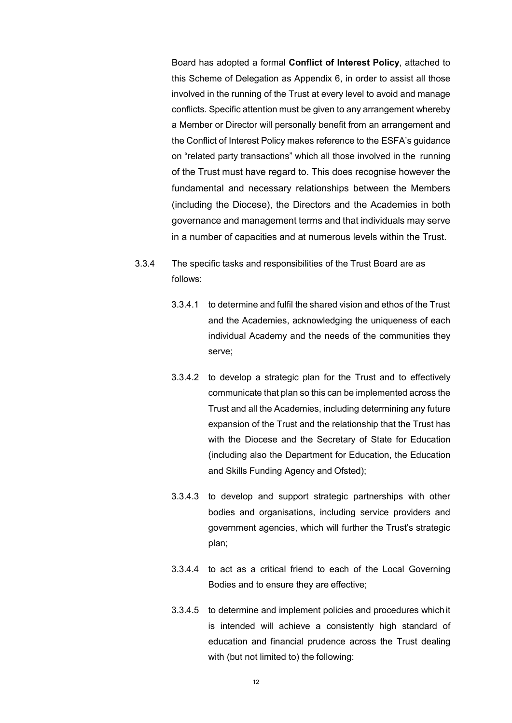Board has adopted a formal **Conflict of Interest Policy**, attached to this Scheme of Delegation as Appendix 6, in order to assist all those involved in the running of the Trust at every level to avoid and manage conflicts. Specific attention must be given to any arrangement whereby a Member or Director will personally benefit from an arrangement and the Conflict of Interest Policy makes reference to the ESFA's guidance on "related party transactions" which all those involved in the running of the Trust must have regard to. This does recognise however the fundamental and necessary relationships between the Members (including the Diocese), the Directors and the Academies in both governance and management terms and that individuals may serve in a number of capacities and at numerous levels within the Trust.

- 3.3.4 The specific tasks and responsibilities of the Trust Board are as follows:
	- 3.3.4.1 to determine and fulfil the shared vision and ethos of the Trust and the Academies, acknowledging the uniqueness of each individual Academy and the needs of the communities they serve;
	- 3.3.4.2 to develop a strategic plan for the Trust and to effectively communicate that plan so this can be implemented across the Trust and all the Academies, including determining any future expansion of the Trust and the relationship that the Trust has with the Diocese and the Secretary of State for Education (including also the Department for Education, the Education and Skills Funding Agency and Ofsted);
	- 3.3.4.3 to develop and support strategic partnerships with other bodies and organisations, including service providers and government agencies, which will further the Trust's strategic plan;
	- 3.3.4.4 to act as a critical friend to each of the Local Governing Bodies and to ensure they are effective;
	- 3.3.4.5 to determine and implement policies and procedures which it is intended will achieve a consistently high standard of education and financial prudence across the Trust dealing with (but not limited to) the following: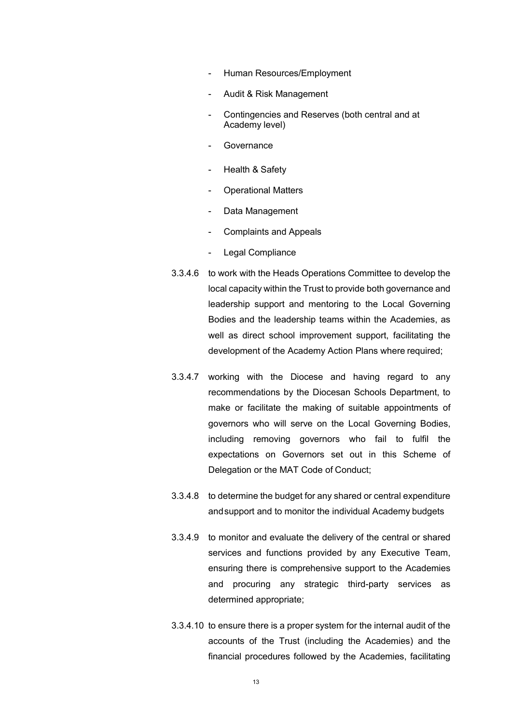- Human Resources/Employment
- Audit & Risk Management
- Contingencies and Reserves (both central and at Academy level)
- **Governance**
- Health & Safety
- Operational Matters
- Data Management
- Complaints and Appeals
- Legal Compliance
- 3.3.4.6 to work with the Heads Operations Committee to develop the local capacity within the Trust to provide both governance and leadership support and mentoring to the Local Governing Bodies and the leadership teams within the Academies, as well as direct school improvement support, facilitating the development of the Academy Action Plans where required;
- 3.3.4.7 working with the Diocese and having regard to any recommendations by the Diocesan Schools Department, to make or facilitate the making of suitable appointments of governors who will serve on the Local Governing Bodies, including removing governors who fail to fulfil the expectations on Governors set out in this Scheme of Delegation or the MAT Code of Conduct;
- 3.3.4.8 to determine the budget for any shared or central expenditure andsupport and to monitor the individual Academy budgets
- 3.3.4.9 to monitor and evaluate the delivery of the central or shared services and functions provided by any Executive Team, ensuring there is comprehensive support to the Academies and procuring any strategic third-party services as determined appropriate;
- 3.3.4.10 to ensure there is a proper system for the internal audit of the accounts of the Trust (including the Academies) and the financial procedures followed by the Academies, facilitating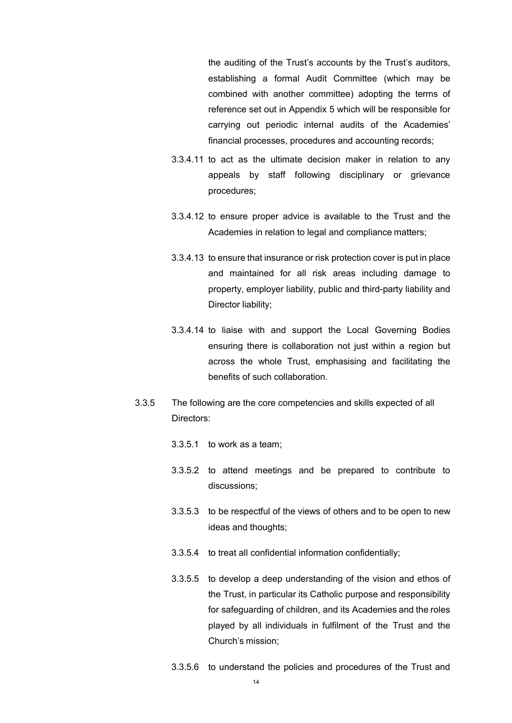the auditing of the Trust's accounts by the Trust's auditors, establishing a formal Audit Committee (which may be combined with another committee) adopting the terms of reference set out in Appendix 5 which will be responsible for carrying out periodic internal audits of the Academies' financial processes, procedures and accounting records;

- 3.3.4.11 to act as the ultimate decision maker in relation to any appeals by staff following disciplinary or grievance procedures;
- 3.3.4.12 to ensure proper advice is available to the Trust and the Academies in relation to legal and compliance matters;
- 3.3.4.13 to ensure that insurance or risk protection cover is put in place and maintained for all risk areas including damage to property, employer liability, public and third-party liability and Director liability;
- 3.3.4.14 to liaise with and support the Local Governing Bodies ensuring there is collaboration not just within a region but across the whole Trust, emphasising and facilitating the benefits of such collaboration.
- 3.3.5 The following are the core competencies and skills expected of all Directors:
	- 3.3.5.1 to work as a team;
	- 3.3.5.2 to attend meetings and be prepared to contribute to discussions;
	- 3.3.5.3 to be respectful of the views of others and to be open to new ideas and thoughts;
	- 3.3.5.4 to treat all confidential information confidentially;
	- 3.3.5.5 to develop a deep understanding of the vision and ethos of the Trust, in particular its Catholic purpose and responsibility for safeguarding of children, and its Academies and the roles played by all individuals in fulfilment of the Trust and the Church's mission;
	- 3.3.5.6 to understand the policies and procedures of the Trust and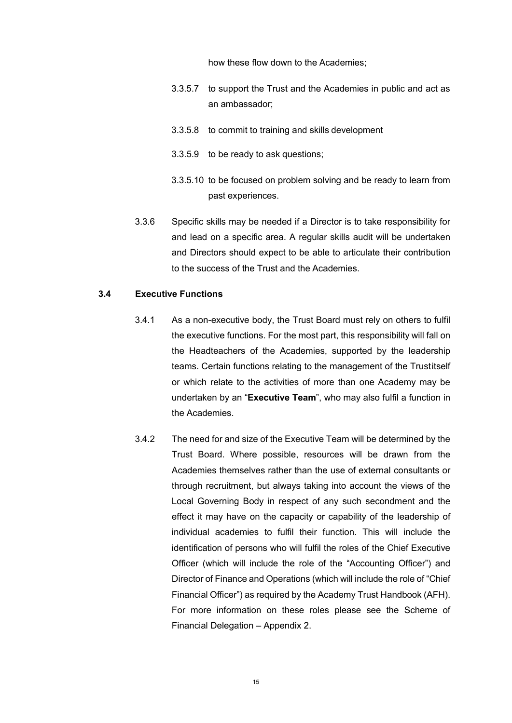how these flow down to the Academies;

- 3.3.5.7 to support the Trust and the Academies in public and act as an ambassador;
- 3.3.5.8 to commit to training and skills development
- 3.3.5.9 to be ready to ask questions;
- 3.3.5.10 to be focused on problem solving and be ready to learn from past experiences.
- 3.3.6 Specific skills may be needed if a Director is to take responsibility for and lead on a specific area. A regular skills audit will be undertaken and Directors should expect to be able to articulate their contribution to the success of the Trust and the Academies.

#### **3.4 Executive Functions**

- 3.4.1 As a non-executive body, the Trust Board must rely on others to fulfil the executive functions. For the most part, this responsibility will fall on the Headteachers of the Academies, supported by the leadership teams. Certain functions relating to the management of the Trustitself or which relate to the activities of more than one Academy may be undertaken by an "**Executive Team**", who may also fulfil a function in the Academies.
- 3.4.2 The need for and size of the Executive Team will be determined by the Trust Board. Where possible, resources will be drawn from the Academies themselves rather than the use of external consultants or through recruitment, but always taking into account the views of the Local Governing Body in respect of any such secondment and the effect it may have on the capacity or capability of the leadership of individual academies to fulfil their function. This will include the identification of persons who will fulfil the roles of the Chief Executive Officer (which will include the role of the "Accounting Officer") and Director of Finance and Operations (which will include the role of "Chief Financial Officer") as required by the Academy Trust Handbook (AFH). For more information on these roles please see the Scheme of Financial Delegation – Appendix 2.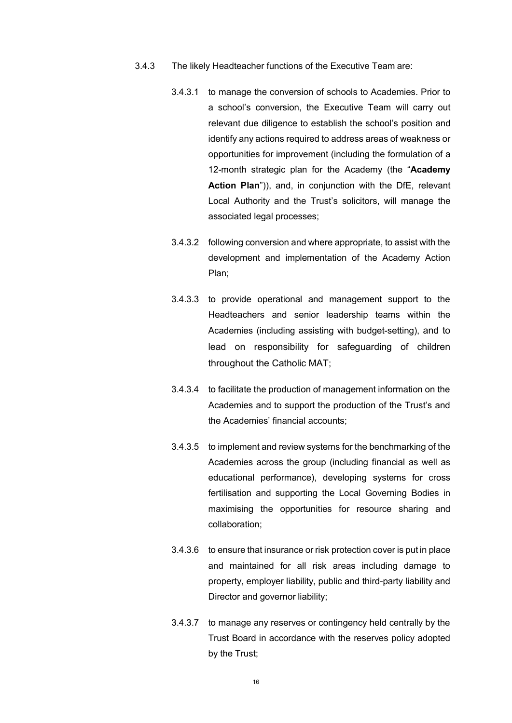- 3.4.3 The likely Headteacher functions of the Executive Team are:
	- 3.4.3.1 to manage the conversion of schools to Academies. Prior to a school's conversion, the Executive Team will carry out relevant due diligence to establish the school's position and identify any actions required to address areas of weakness or opportunities for improvement (including the formulation of a 12-month strategic plan for the Academy (the "**Academy Action Plan**")), and, in conjunction with the DfE, relevant Local Authority and the Trust's solicitors, will manage the associated legal processes;
	- 3.4.3.2 following conversion and where appropriate, to assist with the development and implementation of the Academy Action Plan;
	- 3.4.3.3 to provide operational and management support to the Headteachers and senior leadership teams within the Academies (including assisting with budget-setting), and to lead on responsibility for safeguarding of children throughout the Catholic MAT;
	- 3.4.3.4 to facilitate the production of management information on the Academies and to support the production of the Trust's and the Academies' financial accounts;
	- 3.4.3.5 to implement and review systems for the benchmarking of the Academies across the group (including financial as well as educational performance), developing systems for cross fertilisation and supporting the Local Governing Bodies in maximising the opportunities for resource sharing and collaboration;
	- 3.4.3.6 to ensure that insurance or risk protection cover is put in place and maintained for all risk areas including damage to property, employer liability, public and third-party liability and Director and governor liability;
	- 3.4.3.7 to manage any reserves or contingency held centrally by the Trust Board in accordance with the reserves policy adopted by the Trust;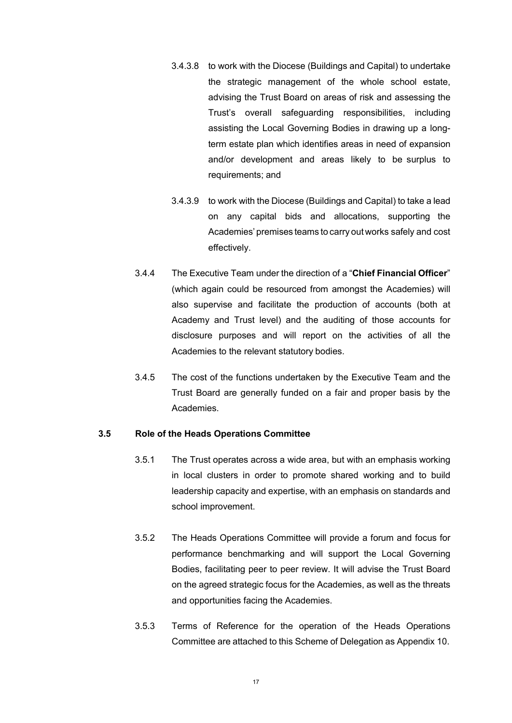- 3.4.3.8 to work with the Diocese (Buildings and Capital) to undertake the strategic management of the whole school estate, advising the Trust Board on areas of risk and assessing the Trust's overall safeguarding responsibilities, including assisting the Local Governing Bodies in drawing up a longterm estate plan which identifies areas in need of expansion and/or development and areas likely to be surplus to requirements; and
- 3.4.3.9 to work with the Diocese (Buildings and Capital) to take a lead on any capital bids and allocations, supporting the Academies' premises teams to carry out works safely and cost effectively.
- 3.4.4 The Executive Team under the direction of a "**Chief Financial Officer**" (which again could be resourced from amongst the Academies) will also supervise and facilitate the production of accounts (both at Academy and Trust level) and the auditing of those accounts for disclosure purposes and will report on the activities of all the Academies to the relevant statutory bodies.
- 3.4.5 The cost of the functions undertaken by the Executive Team and the Trust Board are generally funded on a fair and proper basis by the Academies.

### **3.5 Role of the Heads Operations Committee**

- 3.5.1 The Trust operates across a wide area, but with an emphasis working in local clusters in order to promote shared working and to build leadership capacity and expertise, with an emphasis on standards and school improvement.
- 3.5.2 The Heads Operations Committee will provide a forum and focus for performance benchmarking and will support the Local Governing Bodies, facilitating peer to peer review. It will advise the Trust Board on the agreed strategic focus for the Academies, as well as the threats and opportunities facing the Academies.
- 3.5.3 Terms of Reference for the operation of the Heads Operations Committee are attached to this Scheme of Delegation as Appendix 10.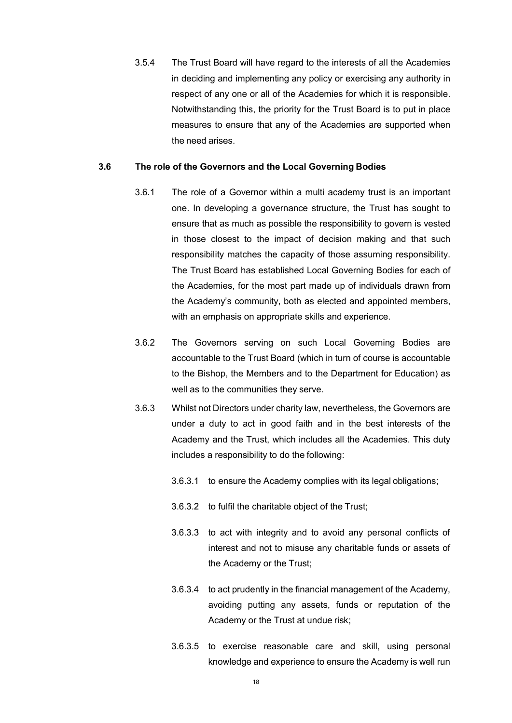3.5.4 The Trust Board will have regard to the interests of all the Academies in deciding and implementing any policy or exercising any authority in respect of any one or all of the Academies for which it is responsible. Notwithstanding this, the priority for the Trust Board is to put in place measures to ensure that any of the Academies are supported when the need arises.

#### **3.6 The role of the Governors and the Local Governing Bodies**

- 3.6.1 The role of a Governor within a multi academy trust is an important one. In developing a governance structure, the Trust has sought to ensure that as much as possible the responsibility to govern is vested in those closest to the impact of decision making and that such responsibility matches the capacity of those assuming responsibility. The Trust Board has established Local Governing Bodies for each of the Academies, for the most part made up of individuals drawn from the Academy's community, both as elected and appointed members, with an emphasis on appropriate skills and experience.
- 3.6.2 The Governors serving on such Local Governing Bodies are accountable to the Trust Board (which in turn of course is accountable to the Bishop, the Members and to the Department for Education) as well as to the communities they serve.
- 3.6.3 Whilst not Directors under charity law, nevertheless, the Governors are under a duty to act in good faith and in the best interests of the Academy and the Trust, which includes all the Academies. This duty includes a responsibility to do the following:
	- 3.6.3.1 to ensure the Academy complies with its legal obligations;
	- 3.6.3.2 to fulfil the charitable object of the Trust;
	- 3.6.3.3 to act with integrity and to avoid any personal conflicts of interest and not to misuse any charitable funds or assets of the Academy or the Trust;
	- 3.6.3.4 to act prudently in the financial management of the Academy, avoiding putting any assets, funds or reputation of the Academy or the Trust at undue risk;
	- 3.6.3.5 to exercise reasonable care and skill, using personal knowledge and experience to ensure the Academy is well run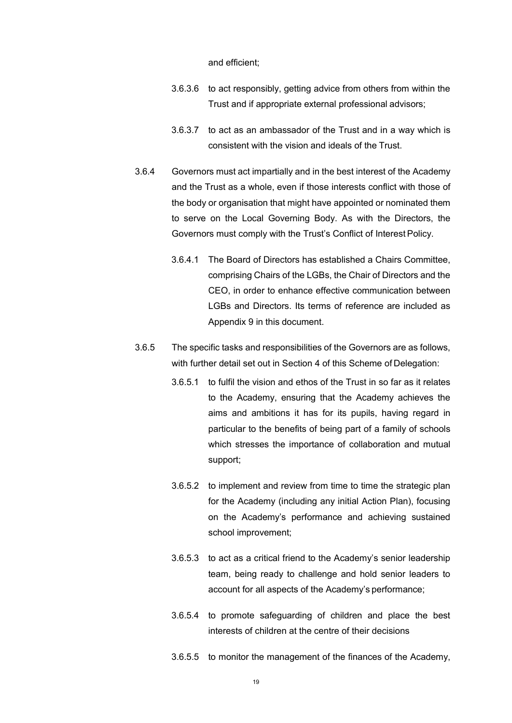and efficient;

- 3.6.3.6 to act responsibly, getting advice from others from within the Trust and if appropriate external professional advisors;
- 3.6.3.7 to act as an ambassador of the Trust and in a way which is consistent with the vision and ideals of the Trust.
- 3.6.4 Governors must act impartially and in the best interest of the Academy and the Trust as a whole, even if those interests conflict with those of the body or organisation that might have appointed or nominated them to serve on the Local Governing Body. As with the Directors, the Governors must comply with the Trust's Conflict of Interest Policy.
	- 3.6.4.1 The Board of Directors has established a Chairs Committee, comprising Chairs of the LGBs, the Chair of Directors and the CEO, in order to enhance effective communication between LGBs and Directors. Its terms of reference are included as Appendix 9 in this document.
- 3.6.5 The specific tasks and responsibilities of the Governors are as follows, with further detail set out in Section 4 of this Scheme of Delegation:
	- 3.6.5.1 to fulfil the vision and ethos of the Trust in so far as it relates to the Academy, ensuring that the Academy achieves the aims and ambitions it has for its pupils, having regard in particular to the benefits of being part of a family of schools which stresses the importance of collaboration and mutual support;
	- 3.6.5.2 to implement and review from time to time the strategic plan for the Academy (including any initial Action Plan), focusing on the Academy's performance and achieving sustained school improvement;
	- 3.6.5.3 to act as a critical friend to the Academy's senior leadership team, being ready to challenge and hold senior leaders to account for all aspects of the Academy's performance;
	- 3.6.5.4 to promote safeguarding of children and place the best interests of children at the centre of their decisions
	- 3.6.5.5 to monitor the management of the finances of the Academy,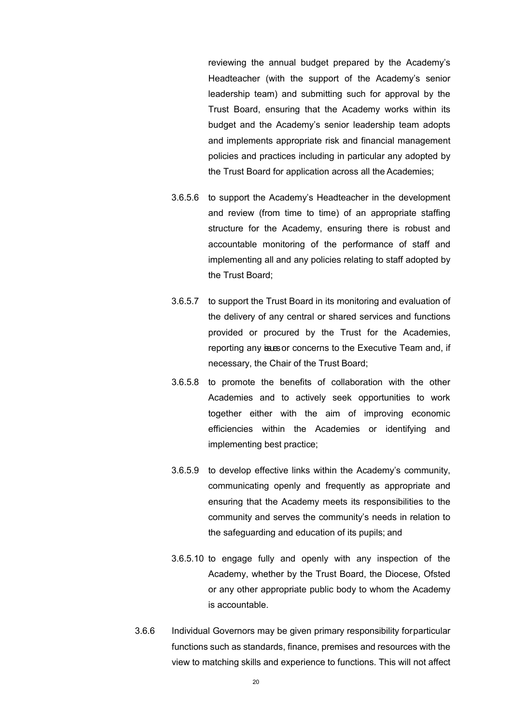reviewing the annual budget prepared by the Academy's Headteacher (with the support of the Academy's senior leadership team) and submitting such for approval by the Trust Board, ensuring that the Academy works within its budget and the Academy's senior leadership team adopts and implements appropriate risk and financial management policies and practices including in particular any adopted by the Trust Board for application across all the Academies;

- 3.6.5.6 to support the Academy's Headteacher in the development and review (from time to time) of an appropriate staffing structure for the Academy, ensuring there is robust and accountable monitoring of the performance of staff and implementing all and any policies relating to staff adopted by the Trust Board;
- 3.6.5.7 to support the Trust Board in its monitoring and evaluation of the delivery of any central or shared services and functions provided or procured by the Trust for the Academies, reporting any issues or concerns to the Executive Team and, if necessary, the Chair of the Trust Board;
- 3.6.5.8 to promote the benefits of collaboration with the other Academies and to actively seek opportunities to work together either with the aim of improving economic efficiencies within the Academies or identifying and implementing best practice;
- 3.6.5.9 to develop effective links within the Academy's community, communicating openly and frequently as appropriate and ensuring that the Academy meets its responsibilities to the community and serves the community's needs in relation to the safeguarding and education of its pupils; and
- 3.6.5.10 to engage fully and openly with any inspection of the Academy, whether by the Trust Board, the Diocese, Ofsted or any other appropriate public body to whom the Academy is accountable.
- 3.6.6 Individual Governors may be given primary responsibility forparticular functions such as standards, finance, premises and resources with the view to matching skills and experience to functions. This will not affect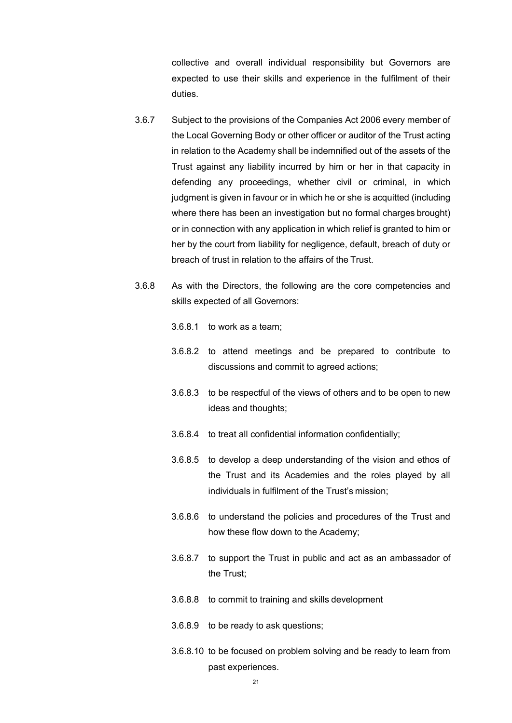collective and overall individual responsibility but Governors are expected to use their skills and experience in the fulfilment of their duties.

- 3.6.7 Subject to the provisions of the Companies Act 2006 every member of the Local Governing Body or other officer or auditor of the Trust acting in relation to the Academy shall be indemnified out of the assets of the Trust against any liability incurred by him or her in that capacity in defending any proceedings, whether civil or criminal, in which judgment is given in favour or in which he or she is acquitted (including where there has been an investigation but no formal charges brought) or in connection with any application in which relief is granted to him or her by the court from liability for negligence, default, breach of duty or breach of trust in relation to the affairs of the Trust.
- 3.6.8 As with the Directors, the following are the core competencies and skills expected of all Governors:
	- 3.6.8.1 to work as a team;
	- 3.6.8.2 to attend meetings and be prepared to contribute to discussions and commit to agreed actions;
	- 3.6.8.3 to be respectful of the views of others and to be open to new ideas and thoughts;
	- 3.6.8.4 to treat all confidential information confidentially;
	- 3.6.8.5 to develop a deep understanding of the vision and ethos of the Trust and its Academies and the roles played by all individuals in fulfilment of the Trust's mission;
	- 3.6.8.6 to understand the policies and procedures of the Trust and how these flow down to the Academy;
	- 3.6.8.7 to support the Trust in public and act as an ambassador of the Trust;
	- 3.6.8.8 to commit to training and skills development
	- 3.6.8.9 to be ready to ask questions;
	- 3.6.8.10 to be focused on problem solving and be ready to learn from past experiences.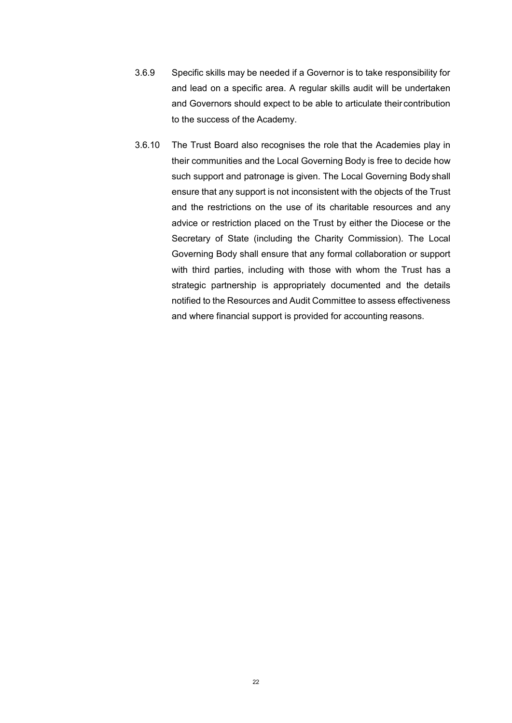- 3.6.9 Specific skills may be needed if a Governor is to take responsibility for and lead on a specific area. A regular skills audit will be undertaken and Governors should expect to be able to articulate their contribution to the success of the Academy.
- 3.6.10 The Trust Board also recognises the role that the Academies play in their communities and the Local Governing Body is free to decide how such support and patronage is given. The Local Governing Body shall ensure that any support is not inconsistent with the objects of the Trust and the restrictions on the use of its charitable resources and any advice or restriction placed on the Trust by either the Diocese or the Secretary of State (including the Charity Commission). The Local Governing Body shall ensure that any formal collaboration or support with third parties, including with those with whom the Trust has a strategic partnership is appropriately documented and the details notified to the Resources and Audit Committee to assess effectiveness and where financial support is provided for accounting reasons.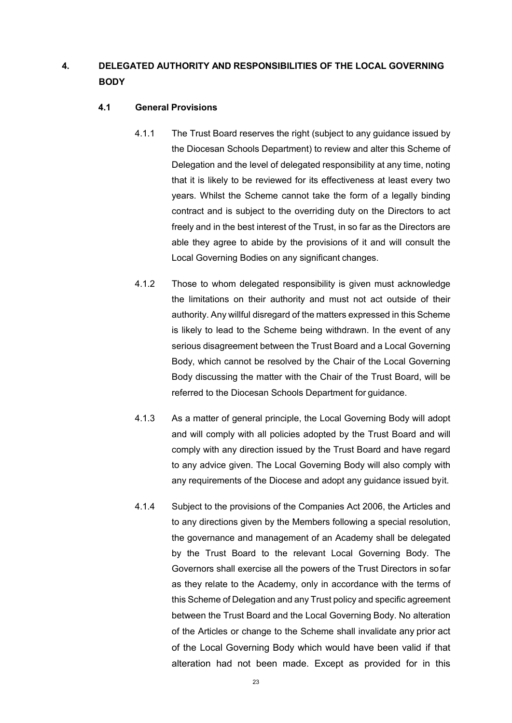# **4. DELEGATED AUTHORITY AND RESPONSIBILITIES OF THE LOCAL GOVERNING BODY**

## **4.1 General Provisions**

- 4.1.1 The Trust Board reserves the right (subject to any guidance issued by the Diocesan Schools Department) to review and alter this Scheme of Delegation and the level of delegated responsibility at any time, noting that it is likely to be reviewed for its effectiveness at least every two years. Whilst the Scheme cannot take the form of a legally binding contract and is subject to the overriding duty on the Directors to act freely and in the best interest of the Trust, in so far as the Directors are able they agree to abide by the provisions of it and will consult the Local Governing Bodies on any significant changes.
- 4.1.2 Those to whom delegated responsibility is given must acknowledge the limitations on their authority and must not act outside of their authority. Any willful disregard of the matters expressed in this Scheme is likely to lead to the Scheme being withdrawn. In the event of any serious disagreement between the Trust Board and a Local Governing Body, which cannot be resolved by the Chair of the Local Governing Body discussing the matter with the Chair of the Trust Board, will be referred to the Diocesan Schools Department for guidance.
- 4.1.3 As a matter of general principle, the Local Governing Body will adopt and will comply with all policies adopted by the Trust Board and will comply with any direction issued by the Trust Board and have regard to any advice given. The Local Governing Body will also comply with any requirements of the Diocese and adopt any guidance issued byit.
- 4.1.4 Subject to the provisions of the Companies Act 2006, the Articles and to any directions given by the Members following a special resolution, the governance and management of an Academy shall be delegated by the Trust Board to the relevant Local Governing Body. The Governors shall exercise all the powers of the Trust Directors in sofar as they relate to the Academy, only in accordance with the terms of this Scheme of Delegation and any Trust policy and specific agreement between the Trust Board and the Local Governing Body. No alteration of the Articles or change to the Scheme shall invalidate any prior act of the Local Governing Body which would have been valid if that alteration had not been made. Except as provided for in this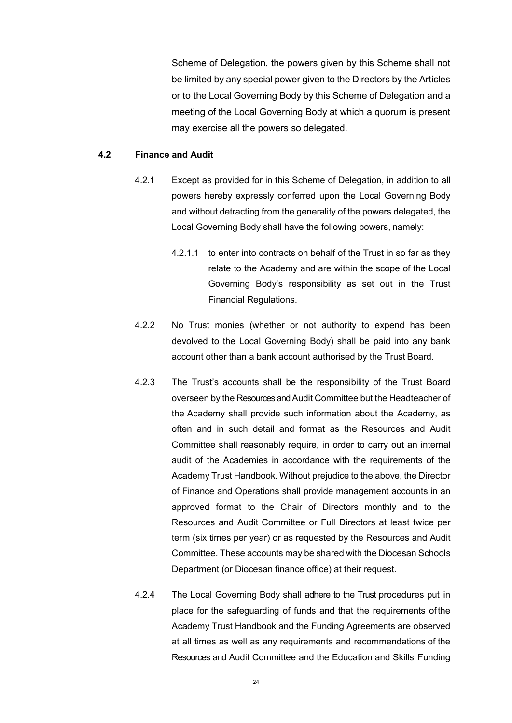Scheme of Delegation, the powers given by this Scheme shall not be limited by any special power given to the Directors by the Articles or to the Local Governing Body by this Scheme of Delegation and a meeting of the Local Governing Body at which a quorum is present may exercise all the powers so delegated.

### **4.2 Finance and Audit**

- 4.2.1 Except as provided for in this Scheme of Delegation, in addition to all powers hereby expressly conferred upon the Local Governing Body and without detracting from the generality of the powers delegated, the Local Governing Body shall have the following powers, namely:
	- 4.2.1.1 to enter into contracts on behalf of the Trust in so far as they relate to the Academy and are within the scope of the Local Governing Body's responsibility as set out in the Trust Financial Regulations.
- 4.2.2 No Trust monies (whether or not authority to expend has been devolved to the Local Governing Body) shall be paid into any bank account other than a bank account authorised by the Trust Board.
- 4.2.3 The Trust's accounts shall be the responsibility of the Trust Board overseen by the Resources and Audit Committee but the Headteacher of the Academy shall provide such information about the Academy, as often and in such detail and format as the Resources and Audit Committee shall reasonably require, in order to carry out an internal audit of the Academies in accordance with the requirements of the Academy Trust Handbook. Without prejudice to the above, the Director of Finance and Operations shall provide management accounts in an approved format to the Chair of Directors monthly and to the Resources and Audit Committee or Full Directors at least twice per term (six times per year) or as requested by the Resources and Audit Committee. These accounts may be shared with the Diocesan Schools Department (or Diocesan finance office) at their request.
- 4.2.4 The Local Governing Body shall adhere to the Trust procedures put in place for the safeguarding of funds and that the requirements ofthe Academy Trust Handbook and the Funding Agreements are observed at all times as well as any requirements and recommendations of the Resources and Audit Committee and the Education and Skills Funding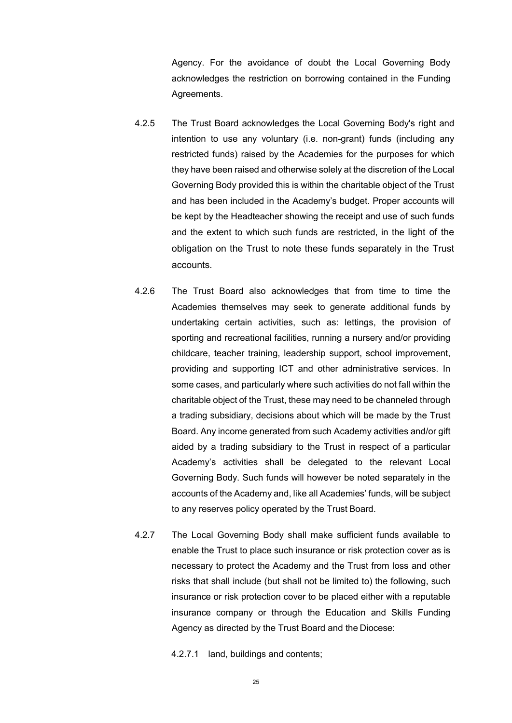Agency. For the avoidance of doubt the Local Governing Body acknowledges the restriction on borrowing contained in the Funding Agreements.

- 4.2.5 The Trust Board acknowledges the Local Governing Body's right and intention to use any voluntary (i.e. non-grant) funds (including any restricted funds) raised by the Academies for the purposes for which they have been raised and otherwise solely at the discretion of the Local Governing Body provided this is within the charitable object of the Trust and has been included in the Academy's budget. Proper accounts will be kept by the Headteacher showing the receipt and use of such funds and the extent to which such funds are restricted, in the light of the obligation on the Trust to note these funds separately in the Trust accounts.
- 4.2.6 The Trust Board also acknowledges that from time to time the Academies themselves may seek to generate additional funds by undertaking certain activities, such as: lettings, the provision of sporting and recreational facilities, running a nursery and/or providing childcare, teacher training, leadership support, school improvement, providing and supporting ICT and other administrative services. In some cases, and particularly where such activities do not fall within the charitable object of the Trust, these may need to be channeled through a trading subsidiary, decisions about which will be made by the Trust Board. Any income generated from such Academy activities and/or gift aided by a trading subsidiary to the Trust in respect of a particular Academy's activities shall be delegated to the relevant Local Governing Body. Such funds will however be noted separately in the accounts of the Academy and, like all Academies' funds, will be subject to any reserves policy operated by the Trust Board.
- 4.2.7 The Local Governing Body shall make sufficient funds available to enable the Trust to place such insurance or risk protection cover as is necessary to protect the Academy and the Trust from loss and other risks that shall include (but shall not be limited to) the following, such insurance or risk protection cover to be placed either with a reputable insurance company or through the Education and Skills Funding Agency as directed by the Trust Board and the Diocese:
	- 4.2.7.1 land, buildings and contents;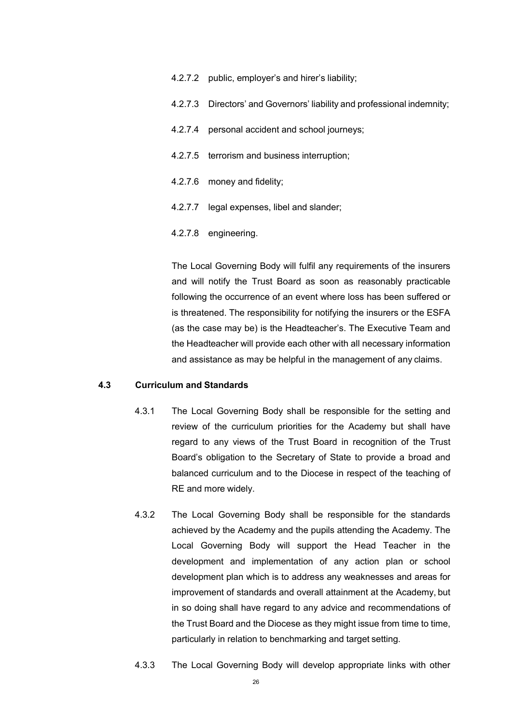| 4.2.7.2 public, employer's and hirer's liability;                       |
|-------------------------------------------------------------------------|
| 4.2.7.3 Directors' and Governors' liability and professional indemnity; |
| 4.2.7.4 personal accident and school journeys;                          |
| 4.2.7.5 terrorism and business interruption;                            |
| 4.2.7.6 money and fidelity;                                             |
| 4.2.7.7 legal expenses, libel and slander;                              |
| 4.2.7.8 engineering.                                                    |

The Local Governing Body will fulfil any requirements of the insurers and will notify the Trust Board as soon as reasonably practicable following the occurrence of an event where loss has been suffered or is threatened. The responsibility for notifying the insurers or the ESFA (as the case may be) is the Headteacher's. The Executive Team and the Headteacher will provide each other with all necessary information and assistance as may be helpful in the management of any claims.

#### **4.3 Curriculum and Standards**

- 4.3.1 The Local Governing Body shall be responsible for the setting and review of the curriculum priorities for the Academy but shall have regard to any views of the Trust Board in recognition of the Trust Board's obligation to the Secretary of State to provide a broad and balanced curriculum and to the Diocese in respect of the teaching of RE and more widely.
- 4.3.2 The Local Governing Body shall be responsible for the standards achieved by the Academy and the pupils attending the Academy. The Local Governing Body will support the Head Teacher in the development and implementation of any action plan or school development plan which is to address any weaknesses and areas for improvement of standards and overall attainment at the Academy, but in so doing shall have regard to any advice and recommendations of the Trust Board and the Diocese as they might issue from time to time, particularly in relation to benchmarking and target setting.
- 4.3.3 The Local Governing Body will develop appropriate links with other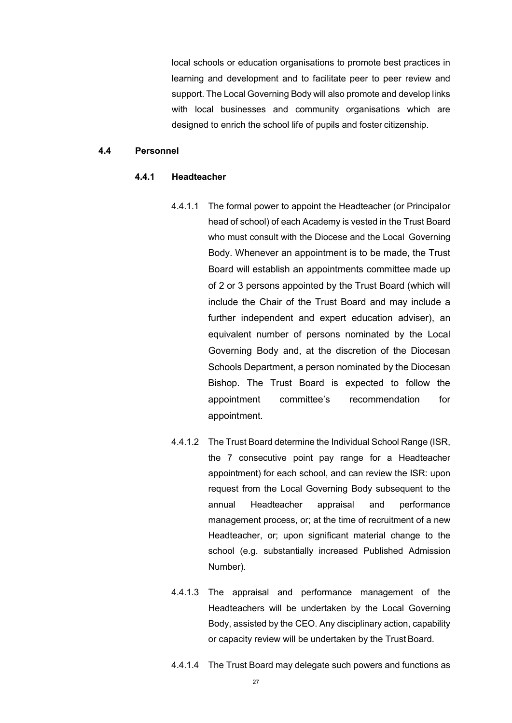local schools or education organisations to promote best practices in learning and development and to facilitate peer to peer review and support. The Local Governing Body will also promote and develop links with local businesses and community organisations which are designed to enrich the school life of pupils and foster citizenship.

#### **4.4 Personnel**

### **4.4.1 Headteacher**

- 4.4.1.1 The formal power to appoint the Headteacher (or Principalor head of school) of each Academy is vested in the Trust Board who must consult with the Diocese and the Local Governing Body. Whenever an appointment is to be made, the Trust Board will establish an appointments committee made up of 2 or 3 persons appointed by the Trust Board (which will include the Chair of the Trust Board and may include a further independent and expert education adviser), an equivalent number of persons nominated by the Local Governing Body and, at the discretion of the Diocesan Schools Department, a person nominated by the Diocesan Bishop. The Trust Board is expected to follow the appointment committee's recommendation for appointment.
- 4.4.1.2 The Trust Board determine the Individual School Range (ISR, the 7 consecutive point pay range for a Headteacher appointment) for each school, and can review the ISR: upon request from the Local Governing Body subsequent to the annual Headteacher appraisal and performance management process, or; at the time of recruitment of a new Headteacher, or; upon significant material change to the school (e.g. substantially increased Published Admission Number).
- 4.4.1.3 The appraisal and performance management of the Headteachers will be undertaken by the Local Governing Body, assisted by the CEO. Any disciplinary action, capability or capacity review will be undertaken by the Trust Board.
- 4.4.1.4 The Trust Board may delegate such powers and functions as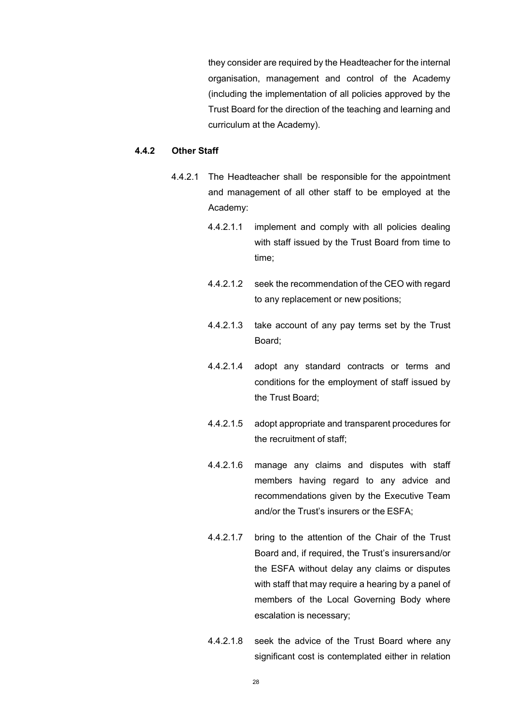they consider are required by the Headteacher for the internal organisation, management and control of the Academy (including the implementation of all policies approved by the Trust Board for the direction of the teaching and learning and curriculum at the Academy).

## **4.4.2 Other Staff**

- 4.4.2.1 The Headteacher shall be responsible for the appointment and management of all other staff to be employed at the Academy:
	- 4.4.2.1.1 implement and comply with all policies dealing with staff issued by the Trust Board from time to time;
	- 4.4.2.1.2 seek the recommendation of the CEO with regard to any replacement or new positions;
	- 4.4.2.1.3 take account of any pay terms set by the Trust Board;
	- 4.4.2.1.4 adopt any standard contracts or terms and conditions for the employment of staff issued by the Trust Board;
	- 4.4.2.1.5 adopt appropriate and transparent procedures for the recruitment of staff;
	- 4.4.2.1.6 manage any claims and disputes with staff members having regard to any advice and recommendations given by the Executive Team and/or the Trust's insurers or the ESFA;
	- 4.4.2.1.7 bring to the attention of the Chair of the Trust Board and, if required, the Trust's insurersand/or the ESFA without delay any claims or disputes with staff that may require a hearing by a panel of members of the Local Governing Body where escalation is necessary;
	- 4.4.2.1.8 seek the advice of the Trust Board where any significant cost is contemplated either in relation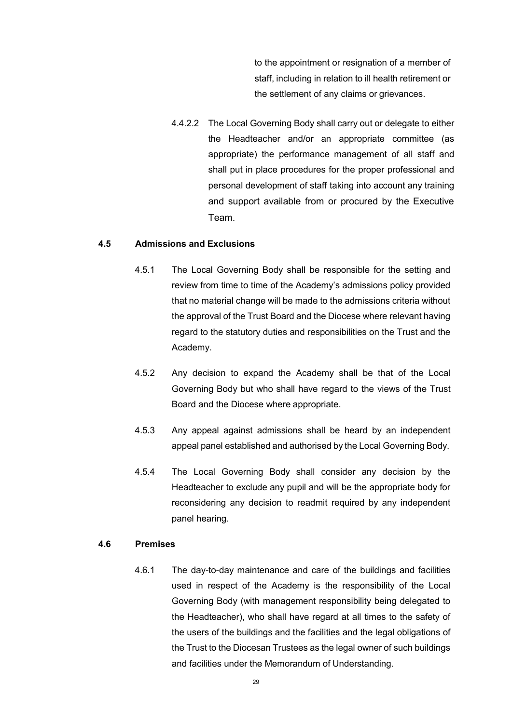to the appointment or resignation of a member of staff, including in relation to ill health retirement or the settlement of any claims or grievances.

4.4.2.2 The Local Governing Body shall carry out or delegate to either the Headteacher and/or an appropriate committee (as appropriate) the performance management of all staff and shall put in place procedures for the proper professional and personal development of staff taking into account any training and support available from or procured by the Executive Team.

### **4.5 Admissions and Exclusions**

- 4.5.1 The Local Governing Body shall be responsible for the setting and review from time to time of the Academy's admissions policy provided that no material change will be made to the admissions criteria without the approval of the Trust Board and the Diocese where relevant having regard to the statutory duties and responsibilities on the Trust and the Academy.
- 4.5.2 Any decision to expand the Academy shall be that of the Local Governing Body but who shall have regard to the views of the Trust Board and the Diocese where appropriate.
- 4.5.3 Any appeal against admissions shall be heard by an independent appeal panel established and authorised by the Local Governing Body.
- 4.5.4 The Local Governing Body shall consider any decision by the Headteacher to exclude any pupil and will be the appropriate body for reconsidering any decision to readmit required by any independent panel hearing.

### **4.6 Premises**

4.6.1 The day-to-day maintenance and care of the buildings and facilities used in respect of the Academy is the responsibility of the Local Governing Body (with management responsibility being delegated to the Headteacher), who shall have regard at all times to the safety of the users of the buildings and the facilities and the legal obligations of the Trust to the Diocesan Trustees as the legal owner of such buildings and facilities under the Memorandum of Understanding.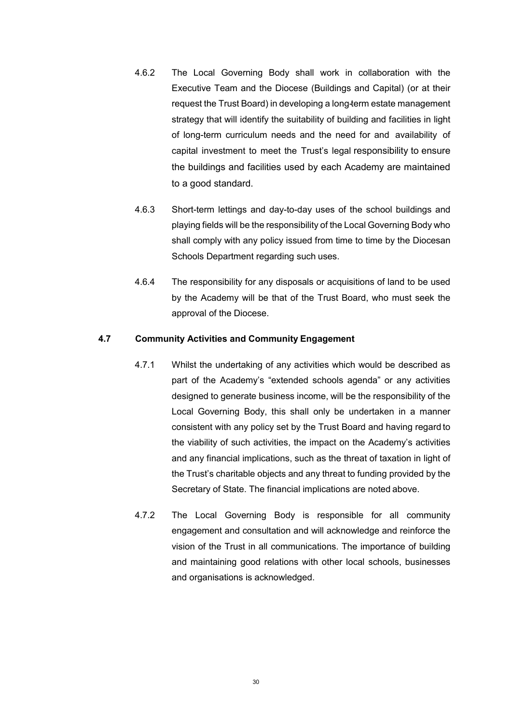- 4.6.2 The Local Governing Body shall work in collaboration with the Executive Team and the Diocese (Buildings and Capital) (or at their request the Trust Board) in developing a long-term estate management strategy that will identify the suitability of building and facilities in light of long-term curriculum needs and the need for and availability of capital investment to meet the Trust's legal responsibility to ensure the buildings and facilities used by each Academy are maintained to a good standard.
- 4.6.3 Short-term lettings and day-to-day uses of the school buildings and playing fields will be the responsibility of the Local Governing Body who shall comply with any policy issued from time to time by the Diocesan Schools Department regarding such uses.
- 4.6.4 The responsibility for any disposals or acquisitions of land to be used by the Academy will be that of the Trust Board, who must seek the approval of the Diocese.

### **4.7 Community Activities and Community Engagement**

- 4.7.1 Whilst the undertaking of any activities which would be described as part of the Academy's "extended schools agenda" or any activities designed to generate business income, will be the responsibility of the Local Governing Body, this shall only be undertaken in a manner consistent with any policy set by the Trust Board and having regard to the viability of such activities, the impact on the Academy's activities and any financial implications, such as the threat of taxation in light of the Trust's charitable objects and any threat to funding provided by the Secretary of State. The financial implications are noted above.
- 4.7.2 The Local Governing Body is responsible for all community engagement and consultation and will acknowledge and reinforce the vision of the Trust in all communications. The importance of building and maintaining good relations with other local schools, businesses and organisations is acknowledged.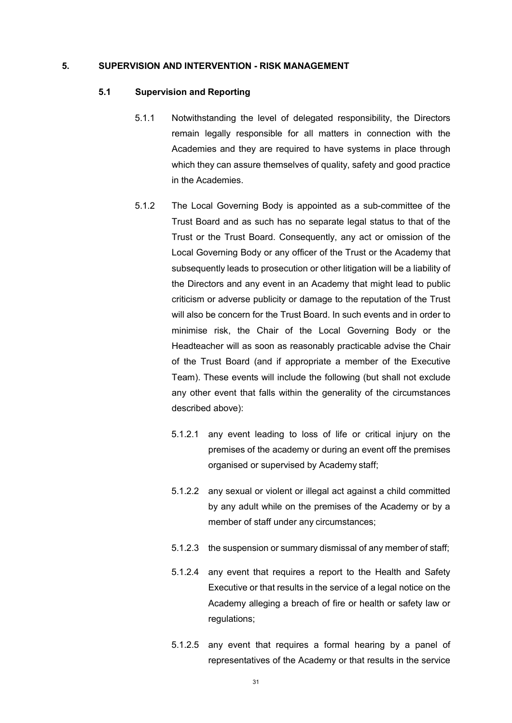#### **5. SUPERVISION AND INTERVENTION - RISK MANAGEMENT**

#### **5.1 Supervision and Reporting**

- 5.1.1 Notwithstanding the level of delegated responsibility, the Directors remain legally responsible for all matters in connection with the Academies and they are required to have systems in place through which they can assure themselves of quality, safety and good practice in the Academies.
- 5.1.2 The Local Governing Body is appointed as a sub-committee of the Trust Board and as such has no separate legal status to that of the Trust or the Trust Board. Consequently, any act or omission of the Local Governing Body or any officer of the Trust or the Academy that subsequently leads to prosecution or other litigation will be a liability of the Directors and any event in an Academy that might lead to public criticism or adverse publicity or damage to the reputation of the Trust will also be concern for the Trust Board. In such events and in order to minimise risk, the Chair of the Local Governing Body or the Headteacher will as soon as reasonably practicable advise the Chair of the Trust Board (and if appropriate a member of the Executive Team). These events will include the following (but shall not exclude any other event that falls within the generality of the circumstances described above):
	- 5.1.2.1 any event leading to loss of life or critical injury on the premises of the academy or during an event off the premises organised or supervised by Academy staff;
	- 5.1.2.2 any sexual or violent or illegal act against a child committed by any adult while on the premises of the Academy or by a member of staff under any circumstances;
	- 5.1.2.3 the suspension or summary dismissal of any member of staff;
	- 5.1.2.4 any event that requires a report to the Health and Safety Executive or that results in the service of a legal notice on the Academy alleging a breach of fire or health or safety law or regulations;
	- 5.1.2.5 any event that requires a formal hearing by a panel of representatives of the Academy or that results in the service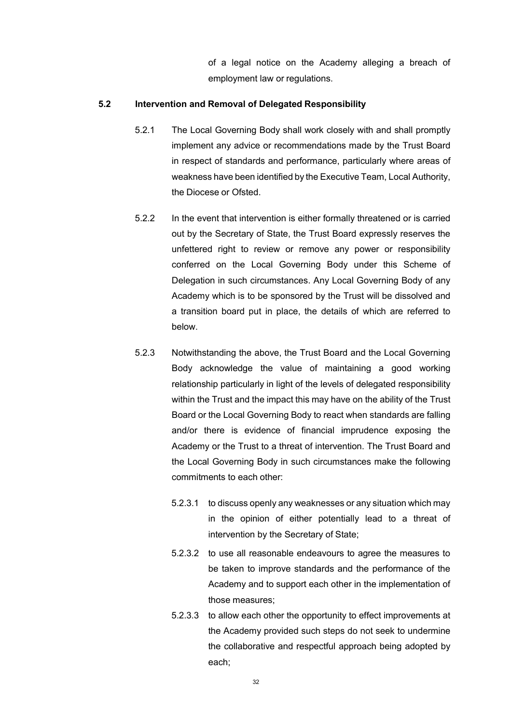of a legal notice on the Academy alleging a breach of employment law or regulations.

### **5.2 Intervention and Removal of Delegated Responsibility**

- 5.2.1 The Local Governing Body shall work closely with and shall promptly implement any advice or recommendations made by the Trust Board in respect of standards and performance, particularly where areas of weakness have been identified by the Executive Team, Local Authority, the Diocese or Ofsted.
- 5.2.2 In the event that intervention is either formally threatened or is carried out by the Secretary of State, the Trust Board expressly reserves the unfettered right to review or remove any power or responsibility conferred on the Local Governing Body under this Scheme of Delegation in such circumstances. Any Local Governing Body of any Academy which is to be sponsored by the Trust will be dissolved and a transition board put in place, the details of which are referred to below.
- 5.2.3 Notwithstanding the above, the Trust Board and the Local Governing Body acknowledge the value of maintaining a good working relationship particularly in light of the levels of delegated responsibility within the Trust and the impact this may have on the ability of the Trust Board or the Local Governing Body to react when standards are falling and/or there is evidence of financial imprudence exposing the Academy or the Trust to a threat of intervention. The Trust Board and the Local Governing Body in such circumstances make the following commitments to each other:
	- 5.2.3.1 to discuss openly any weaknesses or any situation which may in the opinion of either potentially lead to a threat of intervention by the Secretary of State;
	- 5.2.3.2 to use all reasonable endeavours to agree the measures to be taken to improve standards and the performance of the Academy and to support each other in the implementation of those measures;
	- 5.2.3.3 to allow each other the opportunity to effect improvements at the Academy provided such steps do not seek to undermine the collaborative and respectful approach being adopted by each;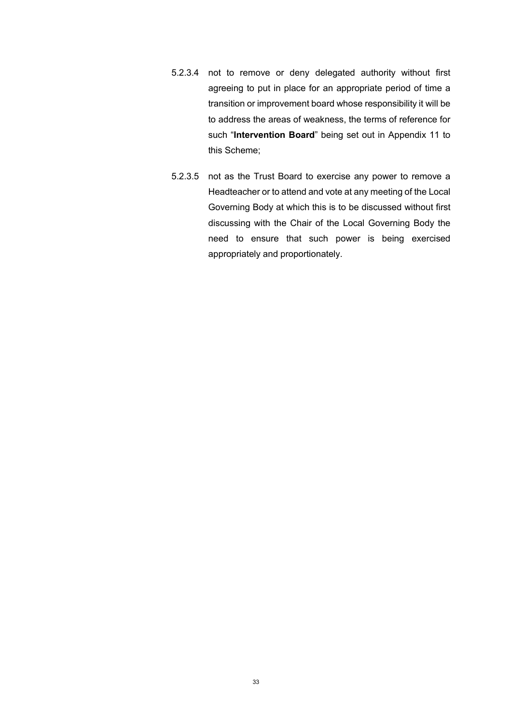- 5.2.3.4 not to remove or deny delegated authority without first agreeing to put in place for an appropriate period of time a transition or improvement board whose responsibility it will be to address the areas of weakness, the terms of reference for such "**Intervention Board**" being set out in Appendix 11 to this Scheme;
- 5.2.3.5 not as the Trust Board to exercise any power to remove a Headteacher or to attend and vote at any meeting of the Local Governing Body at which this is to be discussed without first discussing with the Chair of the Local Governing Body the need to ensure that such power is being exercised appropriately and proportionately.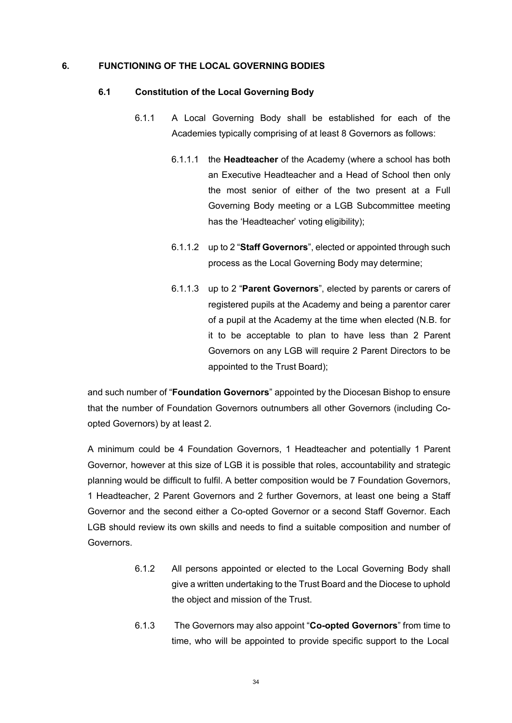### **6. FUNCTIONING OF THE LOCAL GOVERNING BODIES**

#### **6.1 Constitution of the Local Governing Body**

- 6.1.1 A Local Governing Body shall be established for each of the Academies typically comprising of at least 8 Governors as follows:
	- 6.1.1.1 the **Headteacher** of the Academy (where a school has both an Executive Headteacher and a Head of School then only the most senior of either of the two present at a Full Governing Body meeting or a LGB Subcommittee meeting has the 'Headteacher' voting eligibility);
	- 6.1.1.2 up to 2 "**Staff Governors**", elected or appointed through such process as the Local Governing Body may determine;
	- 6.1.1.3 up to 2 "**Parent Governors**", elected by parents or carers of registered pupils at the Academy and being a parentor carer of a pupil at the Academy at the time when elected (N.B. for it to be acceptable to plan to have less than 2 Parent Governors on any LGB will require 2 Parent Directors to be appointed to the Trust Board);

and such number of "**Foundation Governors**" appointed by the Diocesan Bishop to ensure that the number of Foundation Governors outnumbers all other Governors (including Coopted Governors) by at least 2.

A minimum could be 4 Foundation Governors, 1 Headteacher and potentially 1 Parent Governor, however at this size of LGB it is possible that roles, accountability and strategic planning would be difficult to fulfil. A better composition would be 7 Foundation Governors, 1 Headteacher, 2 Parent Governors and 2 further Governors, at least one being a Staff Governor and the second either a Co-opted Governor or a second Staff Governor. Each LGB should review its own skills and needs to find a suitable composition and number of Governors.

- 6.1.2 All persons appointed or elected to the Local Governing Body shall give a written undertaking to the Trust Board and the Diocese to uphold the object and mission of the Trust.
- 6.1.3 The Governors may also appoint "**Co-opted Governors**" from time to time, who will be appointed to provide specific support to the Local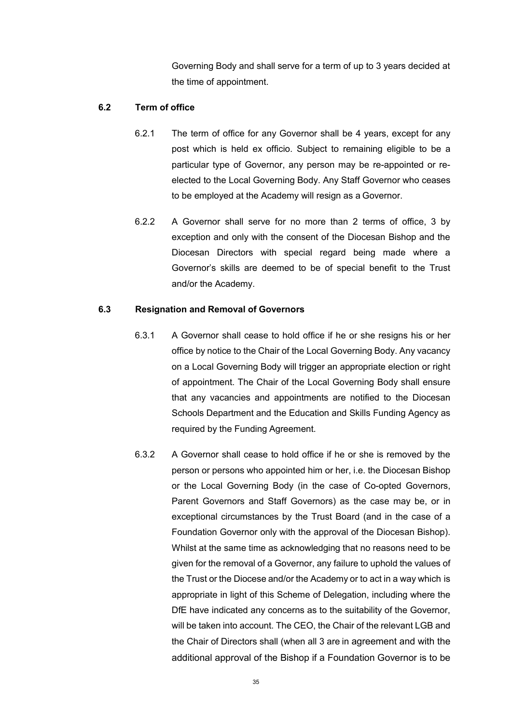Governing Body and shall serve for a term of up to 3 years decided at the time of appointment.

### **6.2 Term of office**

- 6.2.1 The term of office for any Governor shall be 4 years, except for any post which is held ex officio. Subject to remaining eligible to be a particular type of Governor, any person may be re-appointed or reelected to the Local Governing Body. Any Staff Governor who ceases to be employed at the Academy will resign as a Governor.
- 6.2.2 A Governor shall serve for no more than 2 terms of office, 3 by exception and only with the consent of the Diocesan Bishop and the Diocesan Directors with special regard being made where a Governor's skills are deemed to be of special benefit to the Trust and/or the Academy.

### **6.3 Resignation and Removal of Governors**

- 6.3.1 A Governor shall cease to hold office if he or she resigns his or her office by notice to the Chair of the Local Governing Body. Any vacancy on a Local Governing Body will trigger an appropriate election or right of appointment. The Chair of the Local Governing Body shall ensure that any vacancies and appointments are notified to the Diocesan Schools Department and the Education and Skills Funding Agency as required by the Funding Agreement.
- 6.3.2 A Governor shall cease to hold office if he or she is removed by the person or persons who appointed him or her, i.e. the Diocesan Bishop or the Local Governing Body (in the case of Co-opted Governors, Parent Governors and Staff Governors) as the case may be, or in exceptional circumstances by the Trust Board (and in the case of a Foundation Governor only with the approval of the Diocesan Bishop). Whilst at the same time as acknowledging that no reasons need to be given for the removal of a Governor, any failure to uphold the values of the Trust or the Diocese and/or the Academy or to act in a way which is appropriate in light of this Scheme of Delegation, including where the DfE have indicated any concerns as to the suitability of the Governor, will be taken into account. The CEO, the Chair of the relevant LGB and the Chair of Directors shall (when all 3 are in agreement and with the additional approval of the Bishop if a Foundation Governor is to be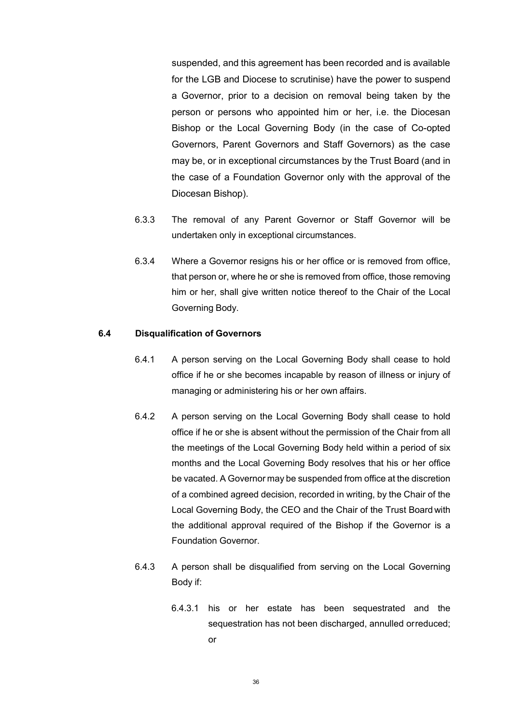suspended, and this agreement has been recorded and is available for the LGB and Diocese to scrutinise) have the power to suspend a Governor, prior to a decision on removal being taken by the person or persons who appointed him or her, i.e. the Diocesan Bishop or the Local Governing Body (in the case of Co-opted Governors, Parent Governors and Staff Governors) as the case may be, or in exceptional circumstances by the Trust Board (and in the case of a Foundation Governor only with the approval of the Diocesan Bishop).

- 6.3.3 The removal of any Parent Governor or Staff Governor will be undertaken only in exceptional circumstances.
- 6.3.4 Where a Governor resigns his or her office or is removed from office, that person or, where he or she is removed from office, those removing him or her, shall give written notice thereof to the Chair of the Local Governing Body.

#### **6.4 Disqualification of Governors**

- 6.4.1 A person serving on the Local Governing Body shall cease to hold office if he or she becomes incapable by reason of illness or injury of managing or administering his or her own affairs.
- 6.4.2 A person serving on the Local Governing Body shall cease to hold office if he or she is absent without the permission of the Chair from all the meetings of the Local Governing Body held within a period of six months and the Local Governing Body resolves that his or her office be vacated. A Governor may be suspended from office at the discretion of a combined agreed decision, recorded in writing, by the Chair of the Local Governing Body, the CEO and the Chair of the Trust Board with the additional approval required of the Bishop if the Governor is a Foundation Governor.
- 6.4.3 A person shall be disqualified from serving on the Local Governing Body if:
	- 6.4.3.1 his or her estate has been sequestrated and the sequestration has not been discharged, annulled orreduced; or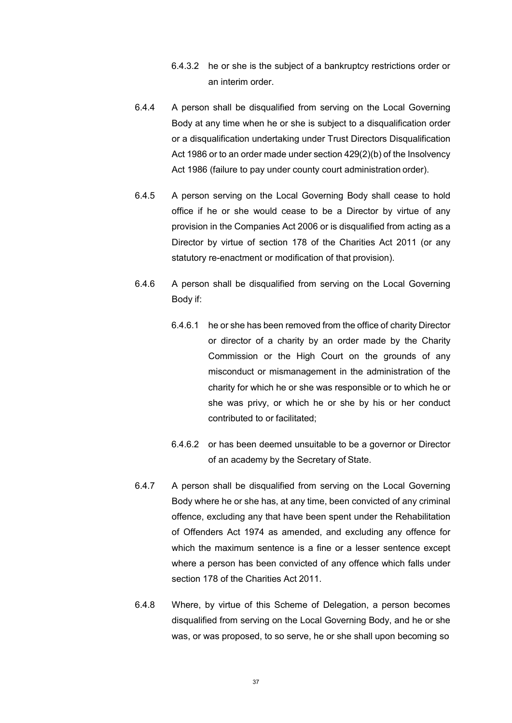- 6.4.3.2 he or she is the subject of a bankruptcy restrictions order or an interim order.
- 6.4.4 A person shall be disqualified from serving on the Local Governing Body at any time when he or she is subject to a disqualification order or a disqualification undertaking under Trust Directors Disqualification Act 1986 or to an order made under section 429(2)(b) of the Insolvency Act 1986 (failure to pay under county court administration order).
- 6.4.5 A person serving on the Local Governing Body shall cease to hold office if he or she would cease to be a Director by virtue of any provision in the Companies Act 2006 or is disqualified from acting as a Director by virtue of section 178 of the Charities Act 2011 (or any statutory re-enactment or modification of that provision).
- 6.4.6 A person shall be disqualified from serving on the Local Governing Body if:
	- 6.4.6.1 he or she has been removed from the office of charity Director or director of a charity by an order made by the Charity Commission or the High Court on the grounds of any misconduct or mismanagement in the administration of the charity for which he or she was responsible or to which he or she was privy, or which he or she by his or her conduct contributed to or facilitated;
	- 6.4.6.2 or has been deemed unsuitable to be a governor or Director of an academy by the Secretary of State.
- 6.4.7 A person shall be disqualified from serving on the Local Governing Body where he or she has, at any time, been convicted of any criminal offence, excluding any that have been spent under the Rehabilitation of Offenders Act 1974 as amended, and excluding any offence for which the maximum sentence is a fine or a lesser sentence except where a person has been convicted of any offence which falls under section 178 of the Charities Act 2011.
- 6.4.8 Where, by virtue of this Scheme of Delegation, a person becomes disqualified from serving on the Local Governing Body, and he or she was, or was proposed, to so serve, he or she shall upon becoming so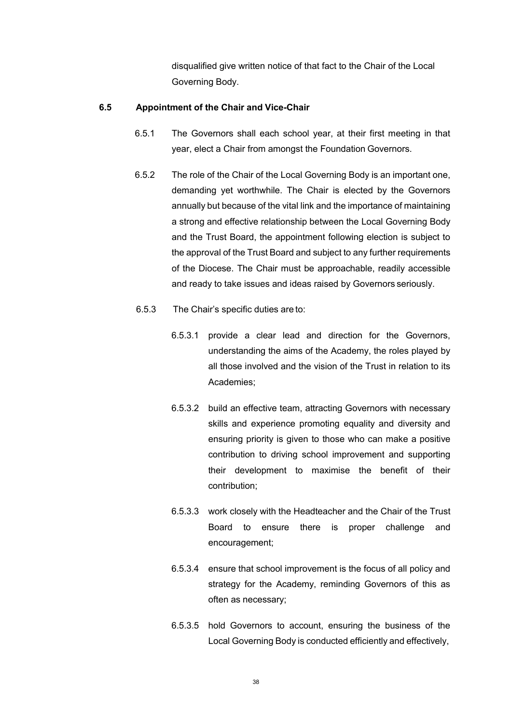disqualified give written notice of that fact to the Chair of the Local Governing Body.

# **6.5 Appointment of the Chair and Vice-Chair**

- 6.5.1 The Governors shall each school year, at their first meeting in that year, elect a Chair from amongst the Foundation Governors.
- 6.5.2 The role of the Chair of the Local Governing Body is an important one, demanding yet worthwhile. The Chair is elected by the Governors annually but because of the vital link and the importance of maintaining a strong and effective relationship between the Local Governing Body and the Trust Board, the appointment following election is subject to the approval of the Trust Board and subject to any further requirements of the Diocese. The Chair must be approachable, readily accessible and ready to take issues and ideas raised by Governors seriously.
- 6.5.3 The Chair's specific duties are to:
	- 6.5.3.1 provide a clear lead and direction for the Governors, understanding the aims of the Academy, the roles played by all those involved and the vision of the Trust in relation to its Academies;
	- 6.5.3.2 build an effective team, attracting Governors with necessary skills and experience promoting equality and diversity and ensuring priority is given to those who can make a positive contribution to driving school improvement and supporting their development to maximise the benefit of their contribution;
	- 6.5.3.3 work closely with the Headteacher and the Chair of the Trust Board to ensure there is proper challenge and encouragement;
	- 6.5.3.4 ensure that school improvement is the focus of all policy and strategy for the Academy, reminding Governors of this as often as necessary;
	- 6.5.3.5 hold Governors to account, ensuring the business of the Local Governing Body is conducted efficiently and effectively,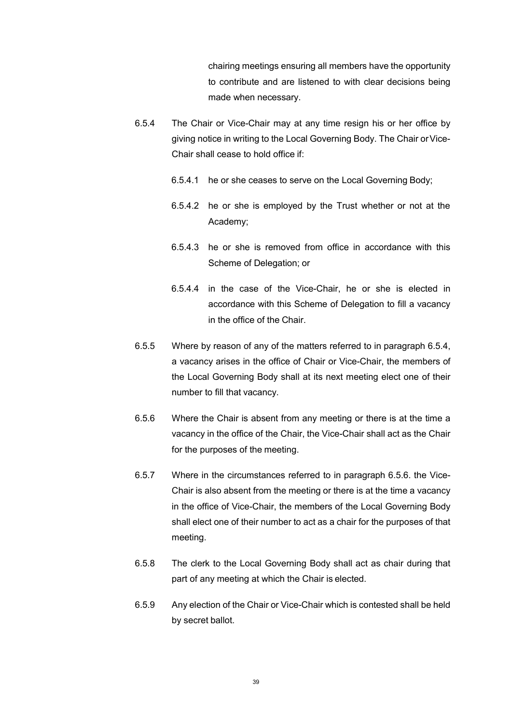chairing meetings ensuring all members have the opportunity to contribute and are listened to with clear decisions being made when necessary.

- 6.5.4 The Chair or Vice-Chair may at any time resign his or her office by giving notice in writing to the Local Governing Body. The Chair orVice-Chair shall cease to hold office if:
	- 6.5.4.1 he or she ceases to serve on the Local Governing Body;
	- 6.5.4.2 he or she is employed by the Trust whether or not at the Academy;
	- 6.5.4.3 he or she is removed from office in accordance with this Scheme of Delegation; or
	- 6.5.4.4 in the case of the Vice-Chair, he or she is elected in accordance with this Scheme of Delegation to fill a vacancy in the office of the Chair.
- 6.5.5 Where by reason of any of the matters referred to in paragraph 6.5.4, a vacancy arises in the office of Chair or Vice-Chair, the members of the Local Governing Body shall at its next meeting elect one of their number to fill that vacancy.
- 6.5.6 Where the Chair is absent from any meeting or there is at the time a vacancy in the office of the Chair, the Vice-Chair shall act as the Chair for the purposes of the meeting.
- 6.5.7 Where in the circumstances referred to in paragraph 6.5.6. the Vice-Chair is also absent from the meeting or there is at the time a vacancy in the office of Vice-Chair, the members of the Local Governing Body shall elect one of their number to act as a chair for the purposes of that meeting.
- 6.5.8 The clerk to the Local Governing Body shall act as chair during that part of any meeting at which the Chair is elected.
- 6.5.9 Any election of the Chair or Vice-Chair which is contested shall be held by secret ballot.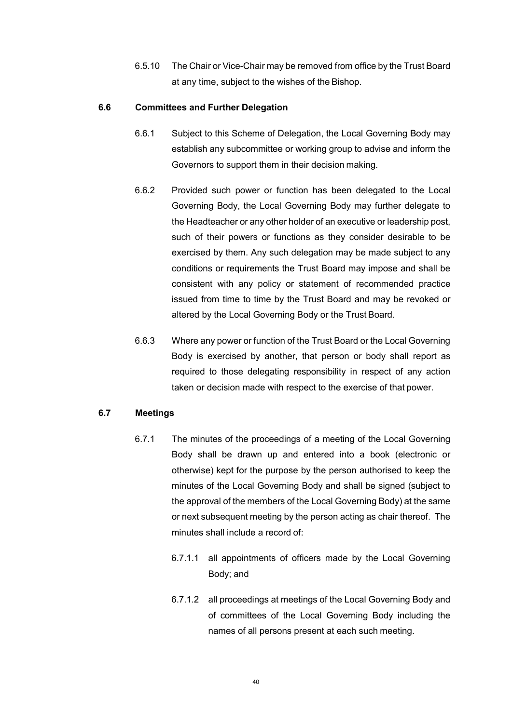6.5.10 The Chair or Vice-Chair may be removed from office by the Trust Board at any time, subject to the wishes of the Bishop.

## **6.6 Committees and Further Delegation**

- 6.6.1 Subject to this Scheme of Delegation, the Local Governing Body may establish any subcommittee or working group to advise and inform the Governors to support them in their decision making.
- 6.6.2 Provided such power or function has been delegated to the Local Governing Body, the Local Governing Body may further delegate to the Headteacher or any other holder of an executive or leadership post, such of their powers or functions as they consider desirable to be exercised by them. Any such delegation may be made subject to any conditions or requirements the Trust Board may impose and shall be consistent with any policy or statement of recommended practice issued from time to time by the Trust Board and may be revoked or altered by the Local Governing Body or the Trust Board.
- 6.6.3 Where any power or function of the Trust Board or the Local Governing Body is exercised by another, that person or body shall report as required to those delegating responsibility in respect of any action taken or decision made with respect to the exercise of that power.

# **6.7 Meetings**

- 6.7.1 The minutes of the proceedings of a meeting of the Local Governing Body shall be drawn up and entered into a book (electronic or otherwise) kept for the purpose by the person authorised to keep the minutes of the Local Governing Body and shall be signed (subject to the approval of the members of the Local Governing Body) at the same or next subsequent meeting by the person acting as chair thereof. The minutes shall include a record of:
	- 6.7.1.1 all appointments of officers made by the Local Governing Body; and
	- 6.7.1.2 all proceedings at meetings of the Local Governing Body and of committees of the Local Governing Body including the names of all persons present at each such meeting.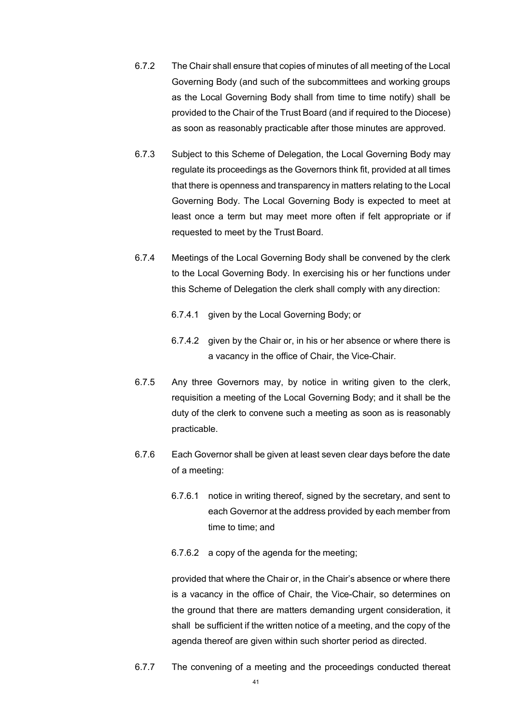- 6.7.2 The Chair shall ensure that copies of minutes of all meeting of the Local Governing Body (and such of the subcommittees and working groups as the Local Governing Body shall from time to time notify) shall be provided to the Chair of the Trust Board (and if required to the Diocese) as soon as reasonably practicable after those minutes are approved.
- 6.7.3 Subject to this Scheme of Delegation, the Local Governing Body may regulate its proceedings as the Governors think fit, provided at all times that there is openness and transparency in matters relating to the Local Governing Body. The Local Governing Body is expected to meet at least once a term but may meet more often if felt appropriate or if requested to meet by the Trust Board.
- 6.7.4 Meetings of the Local Governing Body shall be convened by the clerk to the Local Governing Body. In exercising his or her functions under this Scheme of Delegation the clerk shall comply with any direction:
	- 6.7.4.1 given by the Local Governing Body; or
	- 6.7.4.2 given by the Chair or, in his or her absence or where there is a vacancy in the office of Chair, the Vice-Chair.
- 6.7.5 Any three Governors may, by notice in writing given to the clerk, requisition a meeting of the Local Governing Body; and it shall be the duty of the clerk to convene such a meeting as soon as is reasonably practicable.
- 6.7.6 Each Governor shall be given at least seven clear days before the date of a meeting:
	- 6.7.6.1 notice in writing thereof, signed by the secretary, and sent to each Governor at the address provided by each member from time to time; and
	- 6.7.6.2 a copy of the agenda for the meeting;

provided that where the Chair or, in the Chair's absence or where there is a vacancy in the office of Chair, the Vice-Chair, so determines on the ground that there are matters demanding urgent consideration, it shall be sufficient if the written notice of a meeting, and the copy of the agenda thereof are given within such shorter period as directed.

6.7.7 The convening of a meeting and the proceedings conducted thereat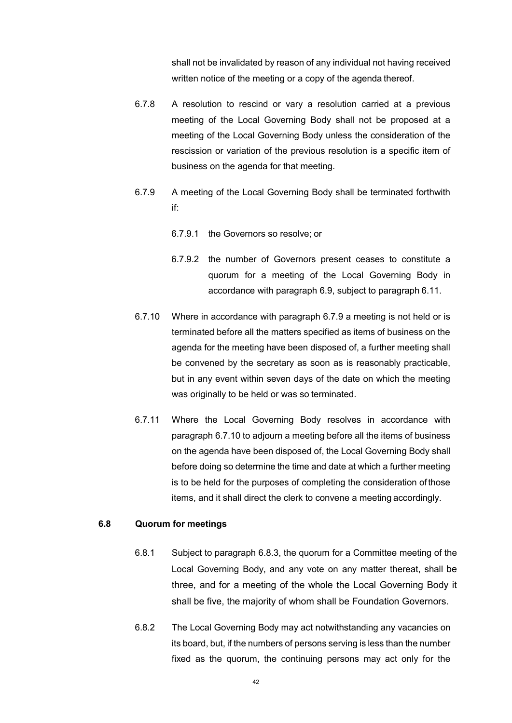shall not be invalidated by reason of any individual not having received written notice of the meeting or a copy of the agenda thereof.

- 6.7.8 A resolution to rescind or vary a resolution carried at a previous meeting of the Local Governing Body shall not be proposed at a meeting of the Local Governing Body unless the consideration of the rescission or variation of the previous resolution is a specific item of business on the agenda for that meeting.
- 6.7.9 A meeting of the Local Governing Body shall be terminated forthwith if:
	- 6.7.9.1 the Governors so resolve; or
	- 6.7.9.2 the number of Governors present ceases to constitute a quorum for a meeting of the Local Governing Body in accordance with paragraph 6.9, subject to paragraph 6.11.
- 6.7.10 Where in accordance with paragraph 6.7.9 a meeting is not held or is terminated before all the matters specified as items of business on the agenda for the meeting have been disposed of, a further meeting shall be convened by the secretary as soon as is reasonably practicable, but in any event within seven days of the date on which the meeting was originally to be held or was so terminated.
- 6.7.11 Where the Local Governing Body resolves in accordance with paragraph 6.7.10 to adjourn a meeting before all the items of business on the agenda have been disposed of, the Local Governing Body shall before doing so determine the time and date at which a further meeting is to be held for the purposes of completing the consideration ofthose items, and it shall direct the clerk to convene a meeting accordingly.

#### **6.8 Quorum for meetings**

- 6.8.1 Subject to paragraph 6.8.3, the quorum for a Committee meeting of the Local Governing Body, and any vote on any matter thereat, shall be three, and for a meeting of the whole the Local Governing Body it shall be five, the majority of whom shall be Foundation Governors.
- 6.8.2 The Local Governing Body may act notwithstanding any vacancies on its board, but, if the numbers of persons serving is less than the number fixed as the quorum, the continuing persons may act only for the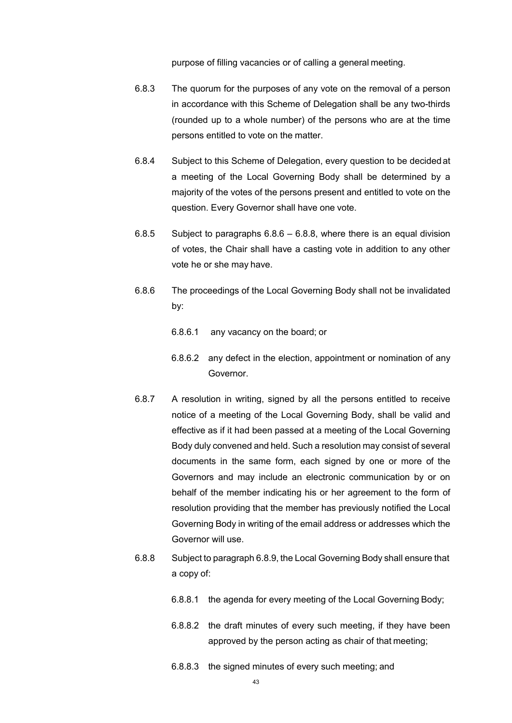purpose of filling vacancies or of calling a general meeting.

- 6.8.3 The quorum for the purposes of any vote on the removal of a person in accordance with this Scheme of Delegation shall be any two-thirds (rounded up to a whole number) of the persons who are at the time persons entitled to vote on the matter.
- 6.8.4 Subject to this Scheme of Delegation, every question to be decided at a meeting of the Local Governing Body shall be determined by a majority of the votes of the persons present and entitled to vote on the question. Every Governor shall have one vote.
- 6.8.5 Subject to paragraphs  $6.8.6 6.8.8$ , where there is an equal division of votes, the Chair shall have a casting vote in addition to any other vote he or she may have.
- 6.8.6 The proceedings of the Local Governing Body shall not be invalidated by:
	- 6.8.6.1 any vacancy on the board; or
	- 6.8.6.2 any defect in the election, appointment or nomination of any Governor.
- 6.8.7 A resolution in writing, signed by all the persons entitled to receive notice of a meeting of the Local Governing Body, shall be valid and effective as if it had been passed at a meeting of the Local Governing Body duly convened and held. Such a resolution may consist of several documents in the same form, each signed by one or more of the Governors and may include an electronic communication by or on behalf of the member indicating his or her agreement to the form of resolution providing that the member has previously notified the Local Governing Body in writing of the email address or addresses which the Governor will use.
- 6.8.8 Subject to paragraph 6.8.9, the Local Governing Body shall ensure that a copy of:
	- 6.8.8.1 the agenda for every meeting of the Local Governing Body;
	- 6.8.8.2 the draft minutes of every such meeting, if they have been approved by the person acting as chair of that meeting;
	- 6.8.8.3 the signed minutes of every such meeting; and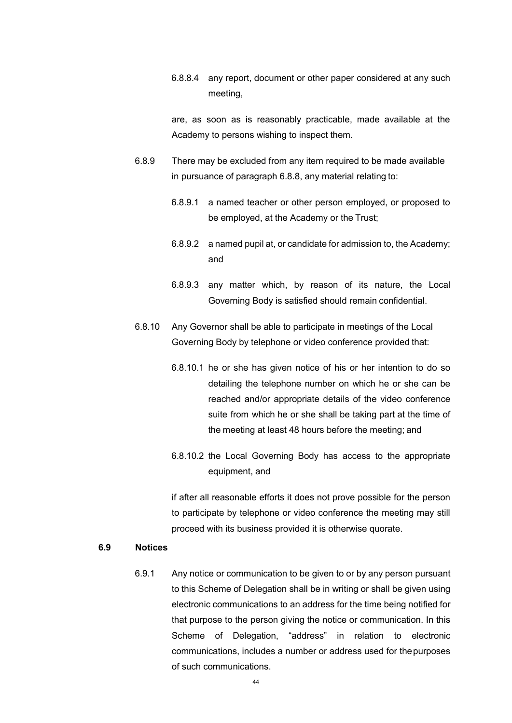6.8.8.4 any report, document or other paper considered at any such meeting,

are, as soon as is reasonably practicable, made available at the Academy to persons wishing to inspect them.

- 6.8.9 There may be excluded from any item required to be made available in pursuance of paragraph 6.8.8, any material relating to:
	- 6.8.9.1 a named teacher or other person employed, or proposed to be employed, at the Academy or the Trust;
	- 6.8.9.2 a named pupil at, or candidate for admission to, the Academy; and
	- 6.8.9.3 any matter which, by reason of its nature, the Local Governing Body is satisfied should remain confidential.
- 6.8.10 Any Governor shall be able to participate in meetings of the Local Governing Body by telephone or video conference provided that:
	- 6.8.10.1 he or she has given notice of his or her intention to do so detailing the telephone number on which he or she can be reached and/or appropriate details of the video conference suite from which he or she shall be taking part at the time of the meeting at least 48 hours before the meeting; and
	- 6.8.10.2 the Local Governing Body has access to the appropriate equipment, and

if after all reasonable efforts it does not prove possible for the person to participate by telephone or video conference the meeting may still proceed with its business provided it is otherwise quorate.

#### **6.9 Notices**

6.9.1 Any notice or communication to be given to or by any person pursuant to this Scheme of Delegation shall be in writing or shall be given using electronic communications to an address for the time being notified for that purpose to the person giving the notice or communication. In this Scheme of Delegation, "address" in relation to electronic communications, includes a number or address used for thepurposes of such communications.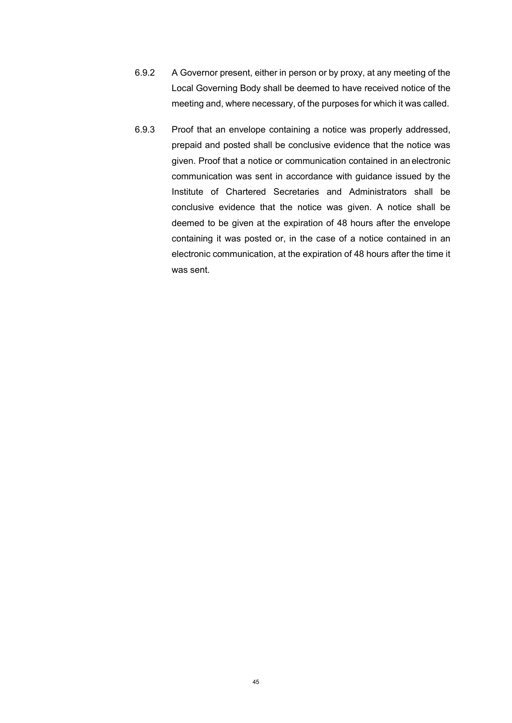- 6.9.2 A Governor present, either in person or by proxy, at any meeting of the Local Governing Body shall be deemed to have received notice of the meeting and, where necessary, of the purposes for which it was called.
- 6.9.3 Proof that an envelope containing a notice was properly addressed, prepaid and posted shall be conclusive evidence that the notice was given. Proof that a notice or communication contained in an electronic communication was sent in accordance with guidance issued by the Institute of Chartered Secretaries and Administrators shall be conclusive evidence that the notice was given. A notice shall be deemed to be given at the expiration of 48 hours after the envelope containing it was posted or, in the case of a notice contained in an electronic communication, at the expiration of 48 hours after the time it was sent.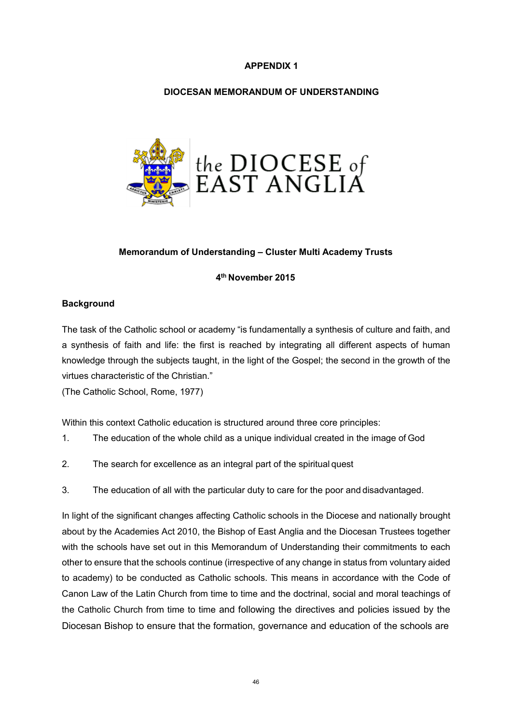# **APPENDIX 1**

## **DIOCESAN MEMORANDUM OF UNDERSTANDING**



## **Memorandum of Understanding – Cluster Multi Academy Trusts**

#### **4th November 2015**

## **Background**

The task of the Catholic school or academy "is fundamentally a synthesis of culture and faith, and a synthesis of faith and life: the first is reached by integrating all different aspects of human knowledge through the subjects taught, in the light of the Gospel; the second in the growth of the virtues characteristic of the Christian."

(The Catholic School, Rome, 1977)

Within this context Catholic education is structured around three core principles:

- 1. The education of the whole child as a unique individual created in the image of God
- 2. The search for excellence as an integral part of the spiritual quest
- 3. The education of all with the particular duty to care for the poor and disadvantaged.

In light of the significant changes affecting Catholic schools in the Diocese and nationally brought about by the Academies Act 2010, the Bishop of East Anglia and the Diocesan Trustees together with the schools have set out in this Memorandum of Understanding their commitments to each other to ensure that the schools continue (irrespective of any change in status from voluntary aided to academy) to be conducted as Catholic schools. This means in accordance with the Code of Canon Law of the Latin Church from time to time and the doctrinal, social and moral teachings of the Catholic Church from time to time and following the directives and policies issued by the Diocesan Bishop to ensure that the formation, governance and education of the schools are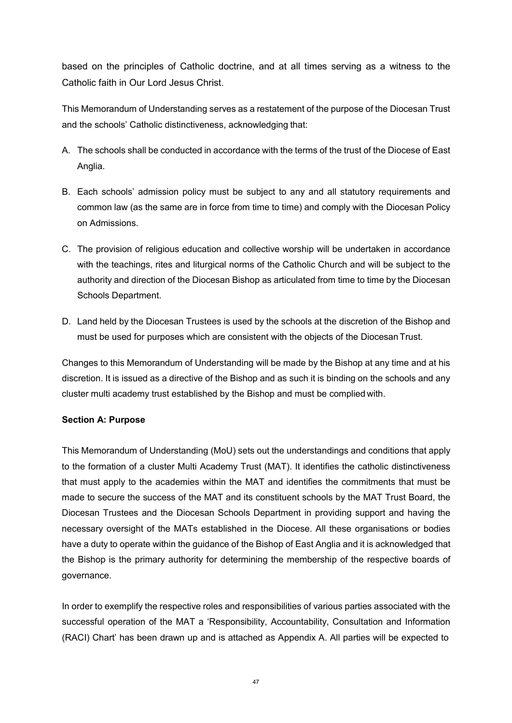based on the principles of Catholic doctrine, and at all times serving as a witness to the Catholic faith in Our Lord Jesus Christ.

This Memorandum of Understanding serves as a restatement of the purpose of the Diocesan Trust and the schools' Catholic distinctiveness, acknowledging that:

- A. The schools shall be conducted in accordance with the terms of the trust of the Diocese of East Anglia.
- B. Each schools' admission policy must be subject to any and all statutory requirements and common law (as the same are in force from time to time) and comply with the Diocesan Policy on Admissions.
- C. The provision of religious education and collective worship will be undertaken in accordance with the teachings, rites and liturgical norms of the Catholic Church and will be subject to the authority and direction of the Diocesan Bishop as articulated from time to time by the Diocesan Schools Department.
- D. Land held by the Diocesan Trustees is used by the schools at the discretion of the Bishop and must be used for purposes which are consistent with the objects of the Diocesan Trust.

Changes to this Memorandum of Understanding will be made by the Bishop at any time and at his discretion. It is issued as a directive of the Bishop and as such it is binding on the schools and any cluster multi academy trust established by the Bishop and must be complied with.

# **Section A: Purpose**

This Memorandum of Understanding (MoU) sets out the understandings and conditions that apply to the formation of a cluster Multi Academy Trust (MAT). It identifies the catholic distinctiveness that must apply to the academies within the MAT and identifies the commitments that must be made to secure the success of the MAT and its constituent schools by the MAT Trust Board, the Diocesan Trustees and the Diocesan Schools Department in providing support and having the necessary oversight of the MATs established in the Diocese. All these organisations or bodies have a duty to operate within the guidance of the Bishop of East Anglia and it is acknowledged that the Bishop is the primary authority for determining the membership of the respective boards of governance.

In order to exemplify the respective roles and responsibilities of various parties associated with the successful operation of the MAT a 'Responsibility, Accountability, Consultation and Information (RACI) Chart' has been drawn up and is attached as Appendix A. All parties will be expected to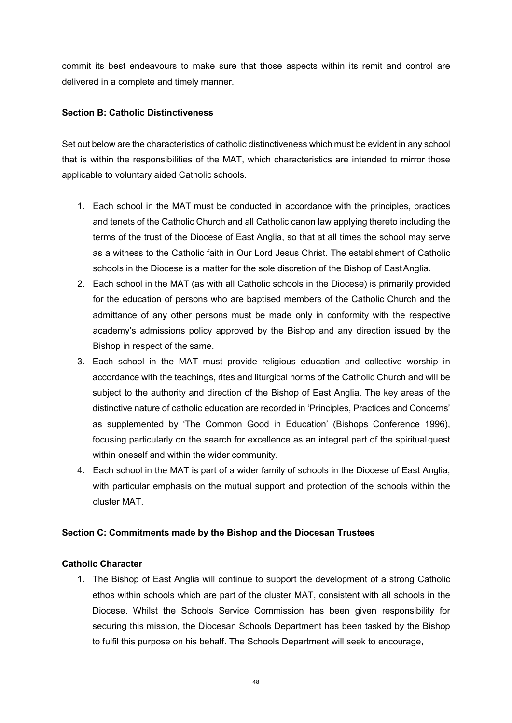commit its best endeavours to make sure that those aspects within its remit and control are delivered in a complete and timely manner.

# **Section B: Catholic Distinctiveness**

Set out below are the characteristics of catholic distinctiveness which must be evident in any school that is within the responsibilities of the MAT, which characteristics are intended to mirror those applicable to voluntary aided Catholic schools.

- 1. Each school in the MAT must be conducted in accordance with the principles, practices and tenets of the Catholic Church and all Catholic canon law applying thereto including the terms of the trust of the Diocese of East Anglia, so that at all times the school may serve as a witness to the Catholic faith in Our Lord Jesus Christ. The establishment of Catholic schools in the Diocese is a matter for the sole discretion of the Bishop of EastAnglia.
- 2. Each school in the MAT (as with all Catholic schools in the Diocese) is primarily provided for the education of persons who are baptised members of the Catholic Church and the admittance of any other persons must be made only in conformity with the respective academy's admissions policy approved by the Bishop and any direction issued by the Bishop in respect of the same.
- 3. Each school in the MAT must provide religious education and collective worship in accordance with the teachings, rites and liturgical norms of the Catholic Church and will be subject to the authority and direction of the Bishop of East Anglia. The key areas of the distinctive nature of catholic education are recorded in 'Principles, Practices and Concerns' as supplemented by 'The Common Good in Education' (Bishops Conference 1996), focusing particularly on the search for excellence as an integral part of the spiritualquest within oneself and within the wider community.
- 4. Each school in the MAT is part of a wider family of schools in the Diocese of East Anglia, with particular emphasis on the mutual support and protection of the schools within the cluster MAT.

# **Section C: Commitments made by the Bishop and the Diocesan Trustees**

# **Catholic Character**

1. The Bishop of East Anglia will continue to support the development of a strong Catholic ethos within schools which are part of the cluster MAT, consistent with all schools in the Diocese. Whilst the Schools Service Commission has been given responsibility for securing this mission, the Diocesan Schools Department has been tasked by the Bishop to fulfil this purpose on his behalf. The Schools Department will seek to encourage,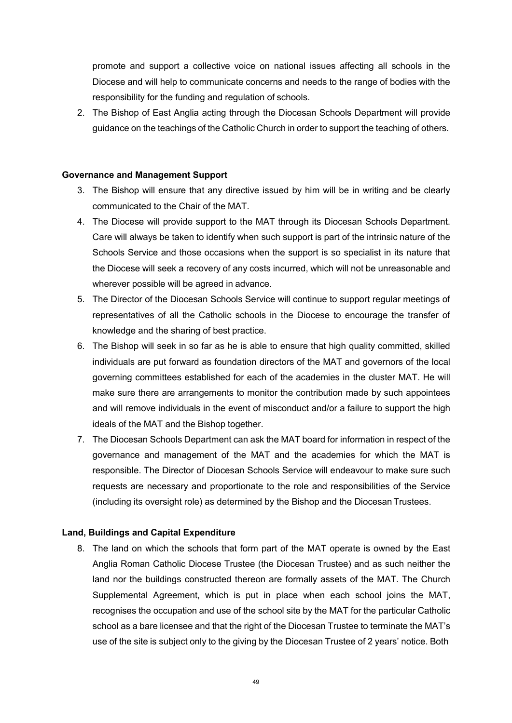promote and support a collective voice on national issues affecting all schools in the Diocese and will help to communicate concerns and needs to the range of bodies with the responsibility for the funding and regulation of schools.

2. The Bishop of East Anglia acting through the Diocesan Schools Department will provide guidance on the teachings of the Catholic Church in order to support the teaching of others.

## **Governance and Management Support**

- 3. The Bishop will ensure that any directive issued by him will be in writing and be clearly communicated to the Chair of the MAT.
- 4. The Diocese will provide support to the MAT through its Diocesan Schools Department. Care will always be taken to identify when such support is part of the intrinsic nature of the Schools Service and those occasions when the support is so specialist in its nature that the Diocese will seek a recovery of any costs incurred, which will not be unreasonable and wherever possible will be agreed in advance.
- 5. The Director of the Diocesan Schools Service will continue to support regular meetings of representatives of all the Catholic schools in the Diocese to encourage the transfer of knowledge and the sharing of best practice.
- 6. The Bishop will seek in so far as he is able to ensure that high quality committed, skilled individuals are put forward as foundation directors of the MAT and governors of the local governing committees established for each of the academies in the cluster MAT. He will make sure there are arrangements to monitor the contribution made by such appointees and will remove individuals in the event of misconduct and/or a failure to support the high ideals of the MAT and the Bishop together.
- 7. The Diocesan Schools Department can ask the MAT board for information in respect of the governance and management of the MAT and the academies for which the MAT is responsible. The Director of Diocesan Schools Service will endeavour to make sure such requests are necessary and proportionate to the role and responsibilities of the Service (including its oversight role) as determined by the Bishop and the Diocesan Trustees.

# **Land, Buildings and Capital Expenditure**

8. The land on which the schools that form part of the MAT operate is owned by the East Anglia Roman Catholic Diocese Trustee (the Diocesan Trustee) and as such neither the land nor the buildings constructed thereon are formally assets of the MAT. The Church Supplemental Agreement, which is put in place when each school joins the MAT, recognises the occupation and use of the school site by the MAT for the particular Catholic school as a bare licensee and that the right of the Diocesan Trustee to terminate the MAT's use of the site is subject only to the giving by the Diocesan Trustee of 2 years' notice. Both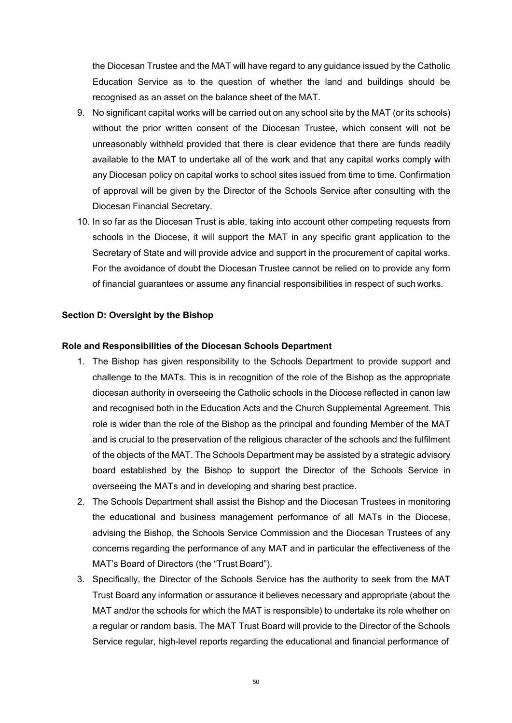the Diocesan Trustee and the MAT will have regard to any guidance issued by the Catholic Education Service as to the question of whether the land and buildings should be recognised as an asset on the balance sheet of the MAT.

- 9. No significant capital works will be carried out on any school site by the MAT (or its schools) without the prior written consent of the Diocesan Trustee, which consent will not be unreasonably withheld provided that there is clear evidence that there are funds readily available to the MAT to undertake all of the work and that any capital works comply with any Diocesan policy on capital works to school sites issued from time to time. Confirmation of approval will be given by the Director of the Schools Service after consulting with the Diocesan Financial Secretary.
- 10. In so far as the Diocesan Trust is able, taking into account other competing requests from schools in the Diocese, it will support the MAT in any specific grant application to the Secretary of State and will provide advice and support in the procurement of capital works. For the avoidance of doubt the Diocesan Trustee cannot be relied on to provide any form of financial guarantees or assume any financial responsibilities in respect of such works.

## **Section D: Oversight by the Bishop**

## **Role and Responsibilities of the Diocesan Schools Department**

- 1. The Bishop has given responsibility to the Schools Department to provide support and challenge to the MATs. This is in recognition of the role of the Bishop as the appropriate diocesan authority in overseeing the Catholic schools in the Diocese reflected in canon law and recognised both in the Education Acts and the Church Supplemental Agreement. This role is wider than the role of the Bishop as the principal and founding Member of the MAT and is crucial to the preservation of the religious character of the schools and the fulfilment of the objects of the MAT. The Schools Department may be assisted by a strategic advisory board established by the Bishop to support the Director of the Schools Service in overseeing the MATs and in developing and sharing best practice.
- 2. The Schools Department shall assist the Bishop and the Diocesan Trustees in monitoring the educational and business management performance of all MATs in the Diocese, advising the Bishop, the Schools Service Commission and the Diocesan Trustees of any concerns regarding the performance of any MAT and in particular the effectiveness of the MAT's Board of Directors (the "Trust Board").
- 3. Specifically, the Director of the Schools Service has the authority to seek from the MAT Trust Board any information or assurance it believes necessary and appropriate (about the MAT and/or the schools for which the MAT is responsible) to undertake its role whether on a regular or random basis. The MAT Trust Board will provide to the Director of the Schools Service regular, high-level reports regarding the educational and financial performance of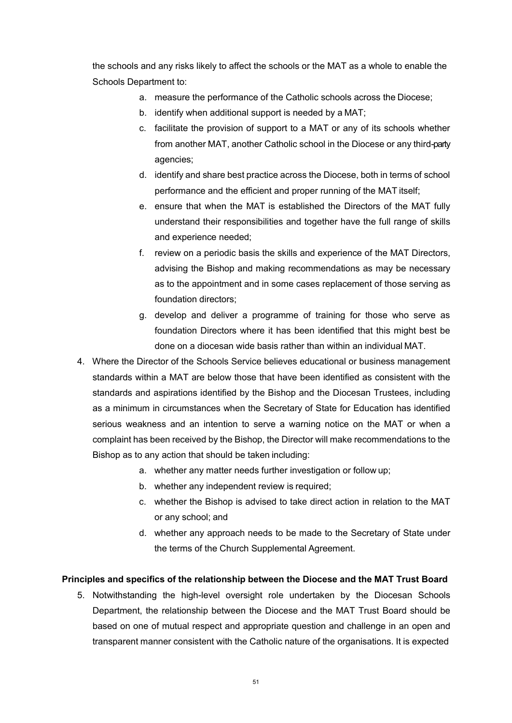the schools and any risks likely to affect the schools or the MAT as a whole to enable the Schools Department to:

- a. measure the performance of the Catholic schools across the Diocese;
- b. identify when additional support is needed by a MAT;
- c. facilitate the provision of support to a MAT or any of its schools whether from another MAT, another Catholic school in the Diocese or any third-party agencies;
- d. identify and share best practice across the Diocese, both in terms of school performance and the efficient and proper running of the MAT itself;
- e. ensure that when the MAT is established the Directors of the MAT fully understand their responsibilities and together have the full range of skills and experience needed;
- f. review on a periodic basis the skills and experience of the MAT Directors, advising the Bishop and making recommendations as may be necessary as to the appointment and in some cases replacement of those serving as foundation directors;
- g. develop and deliver a programme of training for those who serve as foundation Directors where it has been identified that this might best be done on a diocesan wide basis rather than within an individual MAT.
- 4. Where the Director of the Schools Service believes educational or business management standards within a MAT are below those that have been identified as consistent with the standards and aspirations identified by the Bishop and the Diocesan Trustees, including as a minimum in circumstances when the Secretary of State for Education has identified serious weakness and an intention to serve a warning notice on the MAT or when a complaint has been received by the Bishop, the Director will make recommendations to the Bishop as to any action that should be taken including:
	- a. whether any matter needs further investigation or follow up;
	- b. whether any independent review is required;
	- c. whether the Bishop is advised to take direct action in relation to the MAT or any school; and
	- d. whether any approach needs to be made to the Secretary of State under the terms of the Church Supplemental Agreement.

# **Principles and specifics of the relationship between the Diocese and the MAT Trust Board**

5. Notwithstanding the high-level oversight role undertaken by the Diocesan Schools Department, the relationship between the Diocese and the MAT Trust Board should be based on one of mutual respect and appropriate question and challenge in an open and transparent manner consistent with the Catholic nature of the organisations. It is expected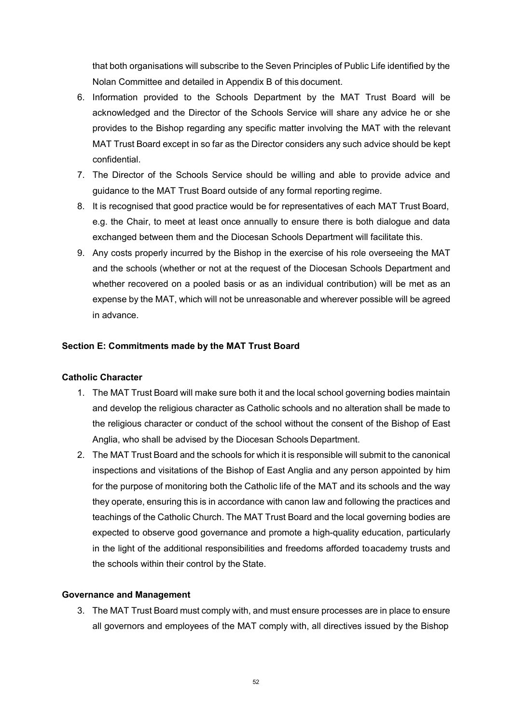that both organisations will subscribe to the Seven Principles of Public Life identified by the Nolan Committee and detailed in Appendix B of this document.

- 6. Information provided to the Schools Department by the MAT Trust Board will be acknowledged and the Director of the Schools Service will share any advice he or she provides to the Bishop regarding any specific matter involving the MAT with the relevant MAT Trust Board except in so far as the Director considers any such advice should be kept confidential.
- 7. The Director of the Schools Service should be willing and able to provide advice and guidance to the MAT Trust Board outside of any formal reporting regime.
- 8. It is recognised that good practice would be for representatives of each MAT Trust Board, e.g. the Chair, to meet at least once annually to ensure there is both dialogue and data exchanged between them and the Diocesan Schools Department will facilitate this.
- 9. Any costs properly incurred by the Bishop in the exercise of his role overseeing the MAT and the schools (whether or not at the request of the Diocesan Schools Department and whether recovered on a pooled basis or as an individual contribution) will be met as an expense by the MAT, which will not be unreasonable and wherever possible will be agreed in advance.

# **Section E: Commitments made by the MAT Trust Board**

## **Catholic Character**

- 1. The MAT Trust Board will make sure both it and the local school governing bodies maintain and develop the religious character as Catholic schools and no alteration shall be made to the religious character or conduct of the school without the consent of the Bishop of East Anglia, who shall be advised by the Diocesan Schools Department.
- 2. The MAT Trust Board and the schools for which it is responsible will submit to the canonical inspections and visitations of the Bishop of East Anglia and any person appointed by him for the purpose of monitoring both the Catholic life of the MAT and its schools and the way they operate, ensuring this is in accordance with canon law and following the practices and teachings of the Catholic Church. The MAT Trust Board and the local governing bodies are expected to observe good governance and promote a high-quality education, particularly in the light of the additional responsibilities and freedoms afforded toacademy trusts and the schools within their control by the State.

## **Governance and Management**

3. The MAT Trust Board must comply with, and must ensure processes are in place to ensure all governors and employees of the MAT comply with, all directives issued by the Bishop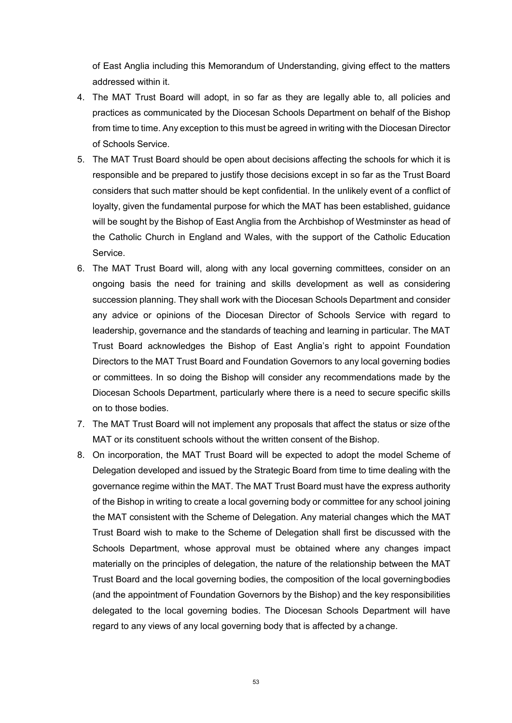of East Anglia including this Memorandum of Understanding, giving effect to the matters addressed within it.

- 4. The MAT Trust Board will adopt, in so far as they are legally able to, all policies and practices as communicated by the Diocesan Schools Department on behalf of the Bishop from time to time. Any exception to this must be agreed in writing with the Diocesan Director of Schools Service.
- 5. The MAT Trust Board should be open about decisions affecting the schools for which it is responsible and be prepared to justify those decisions except in so far as the Trust Board considers that such matter should be kept confidential. In the unlikely event of a conflict of loyalty, given the fundamental purpose for which the MAT has been established, guidance will be sought by the Bishop of East Anglia from the Archbishop of Westminster as head of the Catholic Church in England and Wales, with the support of the Catholic Education Service.
- 6. The MAT Trust Board will, along with any local governing committees, consider on an ongoing basis the need for training and skills development as well as considering succession planning. They shall work with the Diocesan Schools Department and consider any advice or opinions of the Diocesan Director of Schools Service with regard to leadership, governance and the standards of teaching and learning in particular. The MAT Trust Board acknowledges the Bishop of East Anglia's right to appoint Foundation Directors to the MAT Trust Board and Foundation Governors to any local governing bodies or committees. In so doing the Bishop will consider any recommendations made by the Diocesan Schools Department, particularly where there is a need to secure specific skills on to those bodies.
- 7. The MAT Trust Board will not implement any proposals that affect the status or size ofthe MAT or its constituent schools without the written consent of the Bishop.
- 8. On incorporation, the MAT Trust Board will be expected to adopt the model Scheme of Delegation developed and issued by the Strategic Board from time to time dealing with the governance regime within the MAT. The MAT Trust Board must have the express authority of the Bishop in writing to create a local governing body or committee for any school joining the MAT consistent with the Scheme of Delegation. Any material changes which the MAT Trust Board wish to make to the Scheme of Delegation shall first be discussed with the Schools Department, whose approval must be obtained where any changes impact materially on the principles of delegation, the nature of the relationship between the MAT Trust Board and the local governing bodies, the composition of the local governingbodies (and the appointment of Foundation Governors by the Bishop) and the key responsibilities delegated to the local governing bodies. The Diocesan Schools Department will have regard to any views of any local governing body that is affected by a change.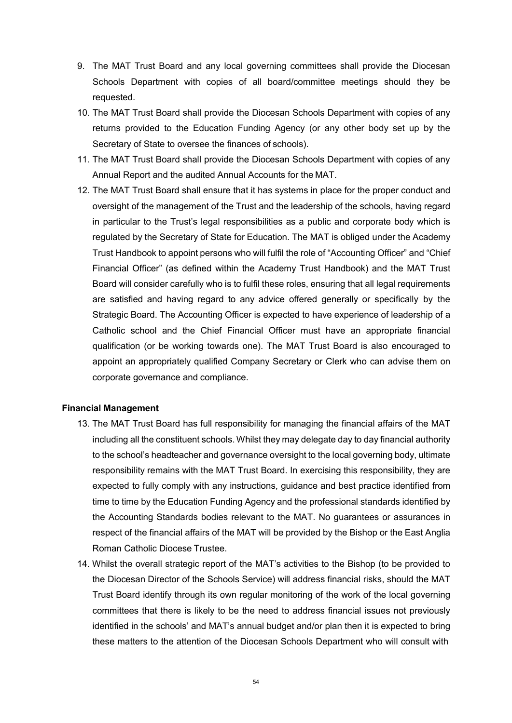- 9. The MAT Trust Board and any local governing committees shall provide the Diocesan Schools Department with copies of all board/committee meetings should they be requested.
- 10. The MAT Trust Board shall provide the Diocesan Schools Department with copies of any returns provided to the Education Funding Agency (or any other body set up by the Secretary of State to oversee the finances of schools).
- 11. The MAT Trust Board shall provide the Diocesan Schools Department with copies of any Annual Report and the audited Annual Accounts for the MAT.
- 12. The MAT Trust Board shall ensure that it has systems in place for the proper conduct and oversight of the management of the Trust and the leadership of the schools, having regard in particular to the Trust's legal responsibilities as a public and corporate body which is regulated by the Secretary of State for Education. The MAT is obliged under the Academy Trust Handbook to appoint persons who will fulfil the role of "Accounting Officer" and "Chief Financial Officer" (as defined within the Academy Trust Handbook) and the MAT Trust Board will consider carefully who is to fulfil these roles, ensuring that all legal requirements are satisfied and having regard to any advice offered generally or specifically by the Strategic Board. The Accounting Officer is expected to have experience of leadership of a Catholic school and the Chief Financial Officer must have an appropriate financial qualification (or be working towards one). The MAT Trust Board is also encouraged to appoint an appropriately qualified Company Secretary or Clerk who can advise them on corporate governance and compliance.

## **Financial Management**

- 13. The MAT Trust Board has full responsibility for managing the financial affairs of the MAT including all the constituent schools. Whilst they may delegate day to day financial authority to the school's headteacher and governance oversight to the local governing body, ultimate responsibility remains with the MAT Trust Board. In exercising this responsibility, they are expected to fully comply with any instructions, guidance and best practice identified from time to time by the Education Funding Agency and the professional standards identified by the Accounting Standards bodies relevant to the MAT. No guarantees or assurances in respect of the financial affairs of the MAT will be provided by the Bishop or the East Anglia Roman Catholic Diocese Trustee.
- 14. Whilst the overall strategic report of the MAT's activities to the Bishop (to be provided to the Diocesan Director of the Schools Service) will address financial risks, should the MAT Trust Board identify through its own regular monitoring of the work of the local governing committees that there is likely to be the need to address financial issues not previously identified in the schools' and MAT's annual budget and/or plan then it is expected to bring these matters to the attention of the Diocesan Schools Department who will consult with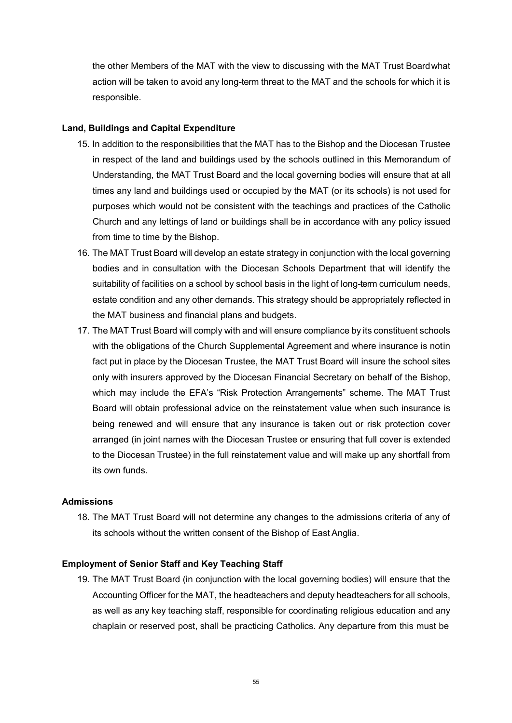the other Members of the MAT with the view to discussing with the MAT Trust Boardwhat action will be taken to avoid any long-term threat to the MAT and the schools for which it is responsible.

#### **Land, Buildings and Capital Expenditure**

- 15. In addition to the responsibilities that the MAT has to the Bishop and the Diocesan Trustee in respect of the land and buildings used by the schools outlined in this Memorandum of Understanding, the MAT Trust Board and the local governing bodies will ensure that at all times any land and buildings used or occupied by the MAT (or its schools) is not used for purposes which would not be consistent with the teachings and practices of the Catholic Church and any lettings of land or buildings shall be in accordance with any policy issued from time to time by the Bishop.
- 16. The MAT Trust Board will develop an estate strategy in conjunction with the local governing bodies and in consultation with the Diocesan Schools Department that will identify the suitability of facilities on a school by school basis in the light of long-term curriculum needs, estate condition and any other demands. This strategy should be appropriately reflected in the MAT business and financial plans and budgets.
- 17. The MAT Trust Board will comply with and will ensure compliance by its constituent schools with the obligations of the Church Supplemental Agreement and where insurance is notin fact put in place by the Diocesan Trustee, the MAT Trust Board will insure the school sites only with insurers approved by the Diocesan Financial Secretary on behalf of the Bishop, which may include the EFA's "Risk Protection Arrangements" scheme. The MAT Trust Board will obtain professional advice on the reinstatement value when such insurance is being renewed and will ensure that any insurance is taken out or risk protection cover arranged (in joint names with the Diocesan Trustee or ensuring that full cover is extended to the Diocesan Trustee) in the full reinstatement value and will make up any shortfall from its own funds.

## **Admissions**

18. The MAT Trust Board will not determine any changes to the admissions criteria of any of its schools without the written consent of the Bishop of East Anglia.

#### **Employment of Senior Staff and Key Teaching Staff**

19. The MAT Trust Board (in conjunction with the local governing bodies) will ensure that the Accounting Officer for the MAT, the headteachers and deputy headteachers for all schools, as well as any key teaching staff, responsible for coordinating religious education and any chaplain or reserved post, shall be practicing Catholics. Any departure from this must be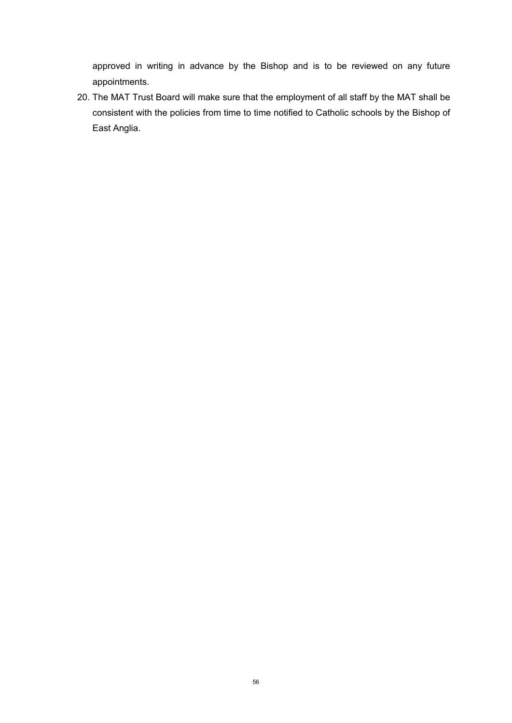approved in writing in advance by the Bishop and is to be reviewed on any future appointments.

20. The MAT Trust Board will make sure that the employment of all staff by the MAT shall be consistent with the policies from time to time notified to Catholic schools by the Bishop of East Anglia.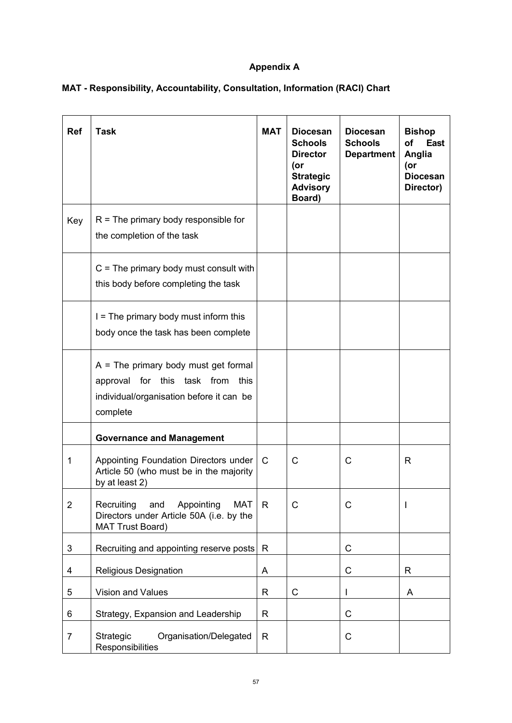# **Appendix A**

| <b>Ref</b>     | <b>Task</b>                                                                                                                        | <b>MAT</b>   | <b>Diocesan</b><br><b>Schools</b><br><b>Director</b><br>(or<br><b>Strategic</b><br><b>Advisory</b><br>Board) | <b>Diocesan</b><br><b>Schools</b><br><b>Department</b> | <b>Bishop</b><br>of<br><b>East</b><br>Anglia<br>(or<br><b>Diocesan</b><br>Director) |
|----------------|------------------------------------------------------------------------------------------------------------------------------------|--------------|--------------------------------------------------------------------------------------------------------------|--------------------------------------------------------|-------------------------------------------------------------------------------------|
| Key            | $R =$ The primary body responsible for<br>the completion of the task                                                               |              |                                                                                                              |                                                        |                                                                                     |
|                | $C =$ The primary body must consult with<br>this body before completing the task                                                   |              |                                                                                                              |                                                        |                                                                                     |
|                | $I =$ The primary body must inform this<br>body once the task has been complete                                                    |              |                                                                                                              |                                                        |                                                                                     |
|                | $A =$ The primary body must get formal<br>approval for this task from this<br>individual/organisation before it can be<br>complete |              |                                                                                                              |                                                        |                                                                                     |
|                | <b>Governance and Management</b>                                                                                                   |              |                                                                                                              |                                                        |                                                                                     |
| 1              | Appointing Foundation Directors under<br>Article 50 (who must be in the majority<br>by at least 2)                                 | $\mathsf{C}$ | $\mathsf{C}$                                                                                                 | C                                                      | R                                                                                   |
| 2              | Recruiting<br>Appointing<br>and<br><b>MAT</b><br>Directors under Article 50A (i.e. by the<br><b>MAT Trust Board)</b>               | R.           |                                                                                                              | С                                                      |                                                                                     |
| 3              | Recruiting and appointing reserve posts                                                                                            | R            |                                                                                                              | C                                                      |                                                                                     |
| 4              | <b>Religious Designation</b>                                                                                                       | A            |                                                                                                              | $\mathsf{C}$                                           | R                                                                                   |
| 5              | Vision and Values                                                                                                                  | R            | $\mathsf{C}$                                                                                                 |                                                        | A                                                                                   |
| 6              | Strategy, Expansion and Leadership                                                                                                 | R            |                                                                                                              | C                                                      |                                                                                     |
| $\overline{7}$ | Strategic<br>Organisation/Delegated<br>Responsibilities                                                                            | R            |                                                                                                              | C                                                      |                                                                                     |

# **MAT - Responsibility, Accountability, Consultation, Information (RACI) Chart**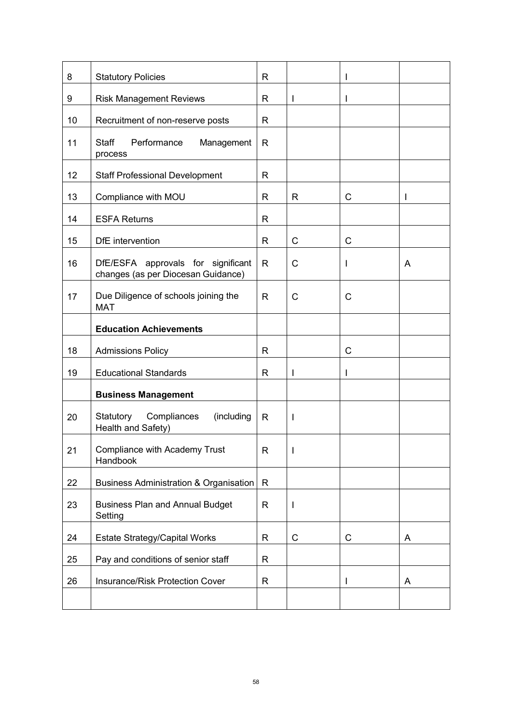| 8  | <b>Statutory Policies</b>                                                | R            |              |   |   |
|----|--------------------------------------------------------------------------|--------------|--------------|---|---|
| 9  | <b>Risk Management Reviews</b>                                           | R            | I            |   |   |
| 10 | Recruitment of non-reserve posts                                         | R            |              |   |   |
| 11 | Performance<br><b>Staff</b><br>Management<br>process                     | R            |              |   |   |
| 12 | <b>Staff Professional Development</b>                                    | R            |              |   |   |
| 13 | Compliance with MOU                                                      | R            | R            | C | I |
| 14 | <b>ESFA Returns</b>                                                      | R            |              |   |   |
| 15 | DfE intervention                                                         | R            | $\mathsf{C}$ | C |   |
| 16 | DfE/ESFA approvals for significant<br>changes (as per Diocesan Guidance) | R            | C            |   | A |
| 17 | Due Diligence of schools joining the<br><b>MAT</b>                       | R            | $\mathsf{C}$ | С |   |
|    | <b>Education Achievements</b>                                            |              |              |   |   |
| 18 | <b>Admissions Policy</b>                                                 | R            |              | C |   |
| 19 | <b>Educational Standards</b>                                             | R            | I            |   |   |
|    | <b>Business Management</b>                                               |              |              |   |   |
| 20 | Statutory Compliances<br>(including<br>Health and Safety)                | R            | I            |   |   |
| 21 | <b>Compliance with Academy Trust</b><br>Handbook                         | R            |              |   |   |
| 22 | <b>Business Administration &amp; Organisation</b>                        | $\mathsf{R}$ |              |   |   |
| 23 | <b>Business Plan and Annual Budget</b><br>Setting                        | $\mathsf{R}$ | I            |   |   |
| 24 | <b>Estate Strategy/Capital Works</b>                                     | R            | C            | C | A |
| 25 | Pay and conditions of senior staff                                       | R            |              |   |   |
| 26 | <b>Insurance/Risk Protection Cover</b>                                   | R            |              |   | A |
|    |                                                                          |              |              |   |   |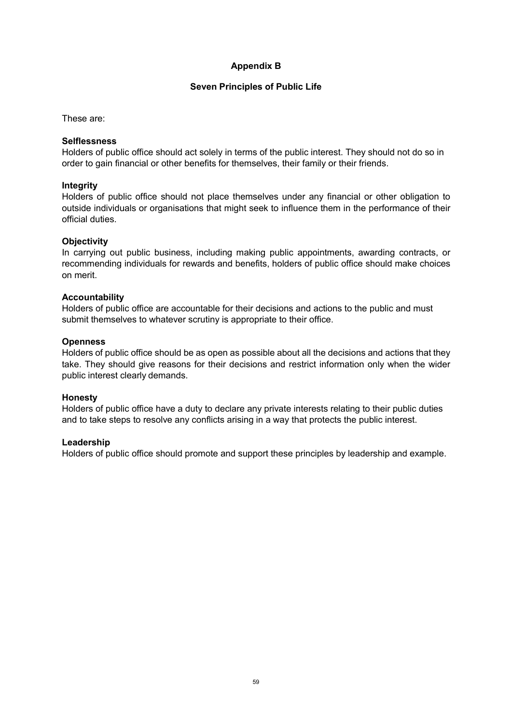# **Appendix B**

## **Seven Principles of Public Life**

These are:

#### **Selflessness**

Holders of public office should act solely in terms of the public interest. They should not do so in order to gain financial or other benefits for themselves, their family or their friends.

## **Integrity**

Holders of public office should not place themselves under any financial or other obligation to outside individuals or organisations that might seek to influence them in the performance of their official duties.

## **Objectivity**

In carrying out public business, including making public appointments, awarding contracts, or recommending individuals for rewards and benefits, holders of public office should make choices on merit.

#### **Accountability**

Holders of public office are accountable for their decisions and actions to the public and must submit themselves to whatever scrutiny is appropriate to their office.

## **Openness**

Holders of public office should be as open as possible about all the decisions and actions that they take. They should give reasons for their decisions and restrict information only when the wider public interest clearly demands.

## **Honesty**

Holders of public office have a duty to declare any private interests relating to their public duties and to take steps to resolve any conflicts arising in a way that protects the public interest.

## **Leadership**

Holders of public office should promote and support these principles by leadership and example.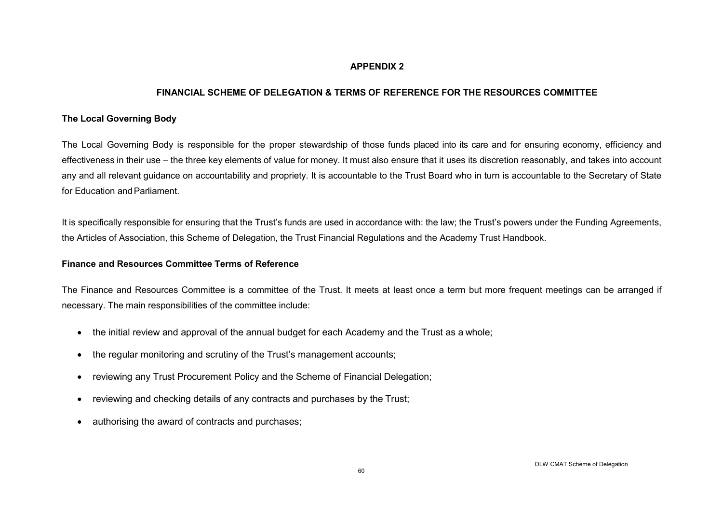## **APPENDIX 2**

## **FINANCIAL SCHEME OF DELEGATION & TERMS OF REFERENCE FOR THE RESOURCES COMMITTEE**

## **The Local Governing Body**

The Local Governing Body is responsible for the proper stewardship of those funds placed into its care and for ensuring economy, efficiency and effectiveness in their use – the three key elements of value for money. It must also ensure that it uses its discretion reasonably, and takes into account any and all relevant guidance on accountability and propriety. It is accountable to the Trust Board who in turn is accountable to the Secretary of State for Education and Parliament.

It is specifically responsible for ensuring that the Trust's funds are used in accordance with: the law; the Trust's powers under the Funding Agreements, the Articles of Association, this Scheme of Delegation, the Trust Financial Regulations and the Academy Trust Handbook.

#### **Finance and Resources Committee Terms of Reference**

The Finance and Resources Committee is a committee of the Trust. It meets at least once a term but more frequent meetings can be arranged if necessary. The main responsibilities of the committee include:

- the initial review and approval of the annual budget for each Academy and the Trust as a whole;
- the regular monitoring and scrutiny of the Trust's management accounts;
- reviewing any Trust Procurement Policy and the Scheme of Financial Delegation;
- reviewing and checking details of any contracts and purchases by the Trust;
- authorising the award of contracts and purchases;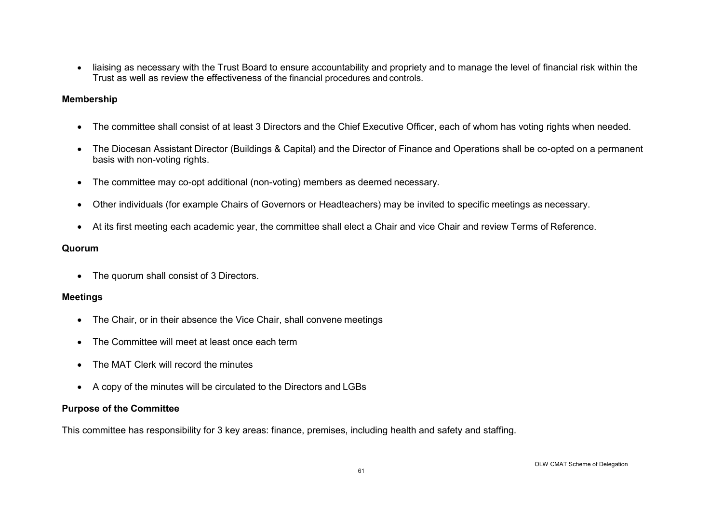• liaising as necessary with the Trust Board to ensure accountability and propriety and to manage the level of financial risk within the Trust as well as review the effectiveness of the financial procedures and controls.

## **Membership**

- The committee shall consist of at least 3 Directors and the Chief Executive Officer, each of whom has voting rights when needed.
- The Diocesan Assistant Director (Buildings & Capital) and the Director of Finance and Operations shall be co-opted on a permanent basis with non-voting rights.
- The committee may co-opt additional (non-voting) members as deemed necessary.
- Other individuals (for example Chairs of Governors or Headteachers) may be invited to specific meetings as necessary.
- At its first meeting each academic year, the committee shall elect a Chair and vice Chair and review Terms of Reference.

## **Quorum**

• The quorum shall consist of 3 Directors.

## **Meetings**

- The Chair, or in their absence the Vice Chair, shall convene meetings
- The Committee will meet at least once each term
- The MAT Clerk will record the minutes
- A copy of the minutes will be circulated to the Directors and LGBs

# **Purpose of the Committee**

This committee has responsibility for 3 key areas: finance, premises, including health and safety and staffing.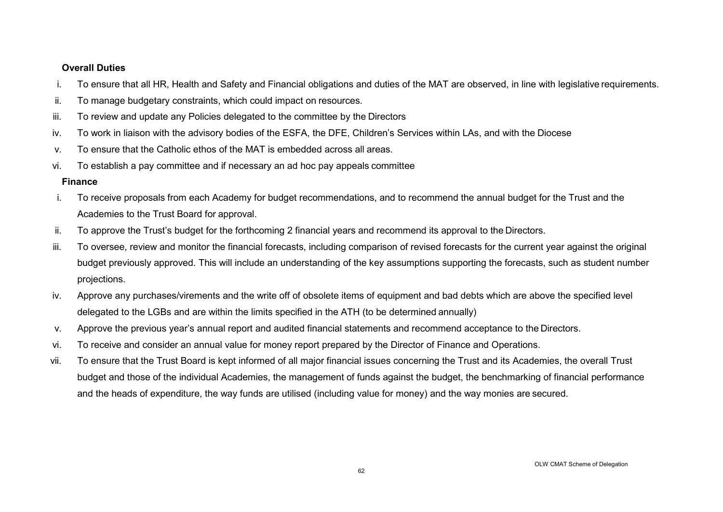## **Overall Duties**

- i. To ensure that all HR, Health and Safety and Financial obligations and duties of the MAT are observed, in line with legislative requirements.
- ii. To manage budgetary constraints, which could impact on resources.
- iii. To review and update any Policies delegated to the committee by the Directors
- iv. To work in liaison with the advisory bodies of the ESFA, the DFE, Children's Services within LAs, and with the Diocese
- v. To ensure that the Catholic ethos of the MAT is embedded across all areas.
- vi. To establish a pay committee and if necessary an ad hoc pay appeals committee

# **Finance**

- i. To receive proposals from each Academy for budget recommendations, and to recommend the annual budget for the Trust and the Academies to the Trust Board for approval.
- ii. To approve the Trust's budget for the forthcoming 2 financial years and recommend its approval to the Directors.
- iii. To oversee, review and monitor the financial forecasts, including comparison of revised forecasts for the current year against the original budget previously approved. This will include an understanding of the key assumptions supporting the forecasts, such as student number projections.
- iv. Approve any purchases/virements and the write off of obsolete items of equipment and bad debts which are above the specified level delegated to the LGBs and are within the limits specified in the ATH (to be determined annually)
- v. Approve the previous year's annual report and audited financial statements and recommend acceptance to the Directors.
- vi. To receive and consider an annual value for money report prepared by the Director of Finance and Operations.
- vii. To ensure that the Trust Board is kept informed of all major financial issues concerning the Trust and its Academies, the overall Trust budget and those of the individual Academies, the management of funds against the budget, the benchmarking of financial performance and the heads of expenditure, the way funds are utilised (including value for money) and the way monies are secured.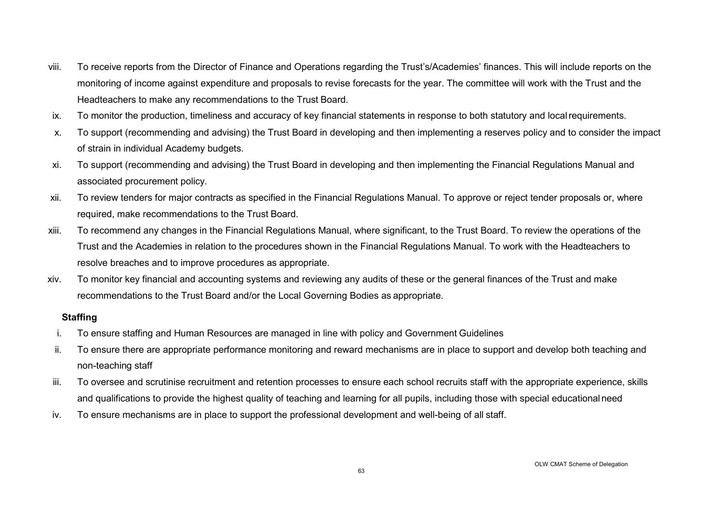- viii. To receive reports from the Director of Finance and Operations regarding the Trust's/Academies' finances. This will include reports on the monitoring of income against expenditure and proposals to revise forecasts for the year. The committee will work with the Trust and the Headteachers to make any recommendations to the Trust Board.
- ix. To monitor the production, timeliness and accuracy of key financial statements in response to both statutory and localrequirements.
- x. To support (recommending and advising) the Trust Board in developing and then implementing a reserves policy and to consider the impact of strain in individual Academy budgets.
- xi. To support (recommending and advising) the Trust Board in developing and then implementing the Financial Regulations Manual and associated procurement policy.
- xii. To review tenders for major contracts as specified in the Financial Regulations Manual. To approve or reject tender proposals or, where required, make recommendations to the Trust Board.
- xiii. To recommend any changes in the Financial Regulations Manual, where significant, to the Trust Board. To review the operations of the Trust and the Academies in relation to the procedures shown in the Financial Regulations Manual. To work with the Headteachers to resolve breaches and to improve procedures as appropriate.
- xiv. To monitor key financial and accounting systems and reviewing any audits of these or the general finances of the Trust and make recommendations to the Trust Board and/or the Local Governing Bodies as appropriate.

## **Staffing**

- i. To ensure staffing and Human Resources are managed in line with policy and Government Guidelines
- ii. To ensure there are appropriate performance monitoring and reward mechanisms are in place to support and develop both teaching and non-teaching staff
- iii. To oversee and scrutinise recruitment and retention processes to ensure each school recruits staff with the appropriate experience, skills and qualifications to provide the highest quality of teaching and learning for all pupils, including those with special educationalneed
- iv. To ensure mechanisms are in place to support the professional development and well-being of all staff.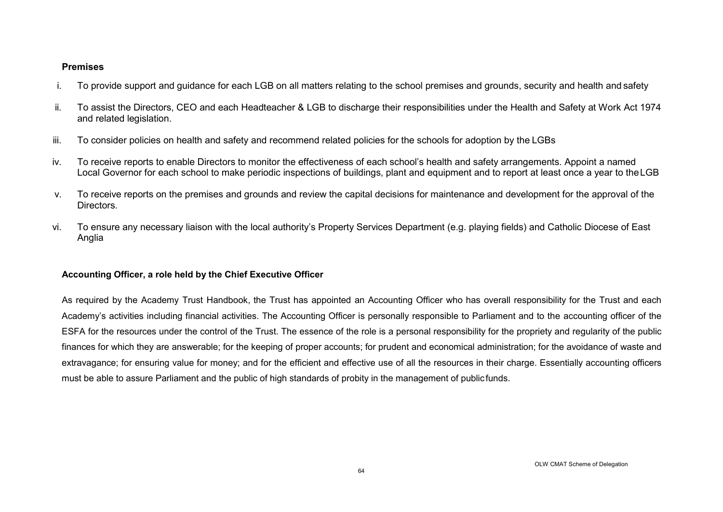#### **Premises**

- i. To provide support and guidance for each LGB on all matters relating to the school premises and grounds, security and health and safety
- ii. To assist the Directors, CEO and each Headteacher & LGB to discharge their responsibilities under the Health and Safety at Work Act 1974 and related legislation.
- iii. To consider policies on health and safety and recommend related policies for the schools for adoption by the LGBs
- iv. To receive reports to enable Directors to monitor the effectiveness of each school's health and safety arrangements. Appoint a named Local Governor for each school to make periodic inspections of buildings, plant and equipment and to report at least once a year to theLGB
- v. To receive reports on the premises and grounds and review the capital decisions for maintenance and development for the approval of the Directors.
- vi. To ensure any necessary liaison with the local authority's Property Services Department (e.g. playing fields) and Catholic Diocese of East Anglia

# **Accounting Officer, a role held by the Chief Executive Officer**

As required by the Academy Trust Handbook, the Trust has appointed an Accounting Officer who has overall responsibility for the Trust and each Academy's activities including financial activities. The Accounting Officer is personally responsible to Parliament and to the accounting officer of the ESFA for the resources under the control of the Trust. The essence of the role is a personal responsibility for the propriety and regularity of the public finances for which they are answerable; for the keeping of proper accounts; for prudent and economical administration; for the avoidance of waste and extravagance; for ensuring value for money; and for the efficient and effective use of all the resources in their charge. Essentially accounting officers must be able to assure Parliament and the public of high standards of probity in the management of public funds.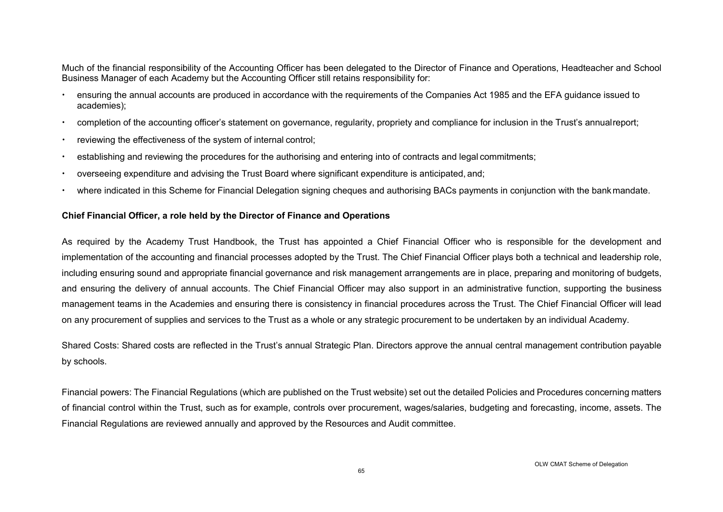Much of the financial responsibility of the Accounting Officer has been delegated to the Director of Finance and Operations, Headteacher and School Business Manager of each Academy but the Accounting Officer still retains responsibility for:

- ensuring the annual accounts are produced in accordance with the requirements of the Companies Act 1985 and the EFA guidance issued to academies);
- completion of the accounting officer's statement on governance, regularity, propriety and compliance for inclusion in the Trust's annualreport;
- reviewing the effectiveness of the system of internal control;
- establishing and reviewing the procedures for the authorising and entering into of contracts and legal commitments;
- overseeing expenditure and advising the Trust Board where significant expenditure is anticipated, and;
- where indicated in this Scheme for Financial Delegation signing cheques and authorising BACs payments in conjunction with the bankmandate.

## **Chief Financial Officer, a role held by the Director of Finance and Operations**

As required by the Academy Trust Handbook, the Trust has appointed a Chief Financial Officer who is responsible for the development and implementation of the accounting and financial processes adopted by the Trust. The Chief Financial Officer plays both a technical and leadership role, including ensuring sound and appropriate financial governance and risk management arrangements are in place, preparing and monitoring of budgets, and ensuring the delivery of annual accounts. The Chief Financial Officer may also support in an administrative function, supporting the business management teams in the Academies and ensuring there is consistency in financial procedures across the Trust. The Chief Financial Officer will lead on any procurement of supplies and services to the Trust as a whole or any strategic procurement to be undertaken by an individual Academy.

Shared Costs: Shared costs are reflected in the Trust's annual Strategic Plan. Directors approve the annual central management contribution payable by schools.

Financial powers: The Financial Regulations (which are published on the Trust website) set out the detailed Policies and Procedures concerning matters of financial control within the Trust, such as for example, controls over procurement, wages/salaries, budgeting and forecasting, income, assets. The Financial Regulations are reviewed annually and approved by the Resources and Audit committee.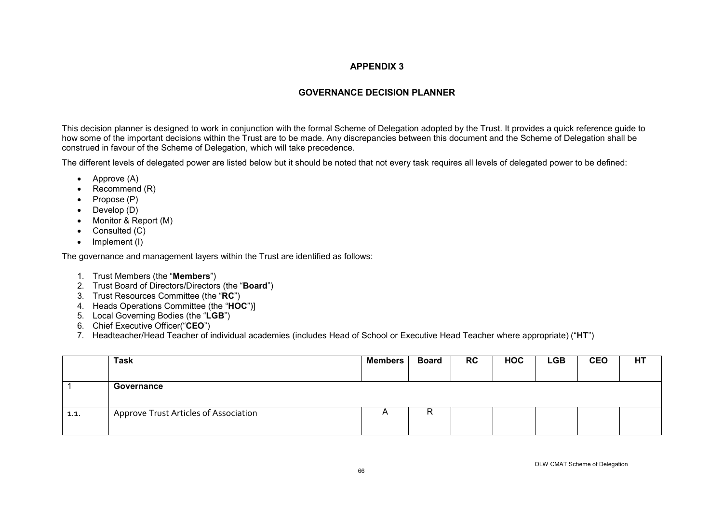#### **APPENDIX 3**

# **GOVERNANCE DECISION PLANNER**

This decision planner is designed to work in conjunction with the formal Scheme of Delegation adopted by the Trust. It provides a quick reference guide to how some of the important decisions within the Trust are to be made. Any discrepancies between this document and the Scheme of Delegation shall be construed in favour of the Scheme of Delegation, which will take precedence.

The different levels of delegated power are listed below but it should be noted that not every task requires all levels of delegated power to be defined:

- Approve (A)
- Recommend (R)
- Propose (P)
- Develop (D)
- Monitor & Report (M)
- Consulted (C)
- Implement (I)

The governance and management layers within the Trust are identified as follows:

- 1. Trust Members (the "**Members**")
- 2. Trust Board of Directors/Directors (the "**Board**")
- 3. Trust Resources Committee (the "**RC**")
- 4. Heads Operations Committee (the "**HOC**")]
- 5. Local Governing Bodies (the "**LGB**")
- 6. Chief Executive Officer("**CEO**")
- 7. Headteacher/Head Teacher of individual academies (includes Head of School or Executive Head Teacher where appropriate) ("**HT**")

|      | <b>Task</b>                           | <b>Members</b> | <b>Board</b> | RC | <b>HOC</b> | <b>LGB</b> | <b>CEO</b> | HT |
|------|---------------------------------------|----------------|--------------|----|------------|------------|------------|----|
|      | Governance                            |                |              |    |            |            |            |    |
| 1.1. | Approve Trust Articles of Association | $\overline{A}$ | R            |    |            |            |            |    |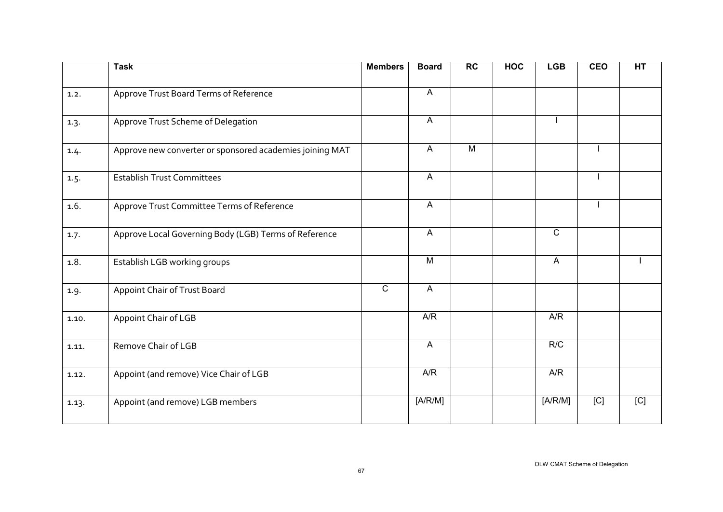|       | <b>Task</b>                                              | <b>Members</b> | <b>Board</b>   | <b>RC</b>      | <b>HOC</b> | <b>LGB</b>   | <b>CEO</b> | HT  |
|-------|----------------------------------------------------------|----------------|----------------|----------------|------------|--------------|------------|-----|
| 1.2.  | Approve Trust Board Terms of Reference                   |                | $\mathsf{A}$   |                |            |              |            |     |
| 1.3.  | Approve Trust Scheme of Delegation                       |                | $\mathsf{A}$   |                |            |              |            |     |
| 1.4.  | Approve new converter or sponsored academies joining MAT |                | A              | $\overline{M}$ |            |              |            |     |
| 1.5.  | <b>Establish Trust Committees</b>                        |                | A              |                |            |              |            |     |
| 1.6.  | Approve Trust Committee Terms of Reference               |                | $\mathsf{A}$   |                |            |              |            |     |
| 1.7.  | Approve Local Governing Body (LGB) Terms of Reference    |                | $\mathsf{A}$   |                |            | $\mathsf{C}$ |            |     |
| 1.8.  | Establish LGB working groups                             |                | M              |                |            | $\mathsf{A}$ |            |     |
| 1.9.  | Appoint Chair of Trust Board                             | $\overline{c}$ | $\overline{A}$ |                |            |              |            |     |
| 1.10. | Appoint Chair of LGB                                     |                | A/R            |                |            | A/R          |            |     |
| 1.11. | Remove Chair of LGB                                      |                | $\mathsf{A}$   |                |            | R/C          |            |     |
| 1.12. | Appoint (and remove) Vice Chair of LGB                   |                | A/R            |                |            | A/R          |            |     |
| 1.13. | Appoint (and remove) LGB members                         |                | [A/R/M]        |                |            | [A/R/M]      | [C]        | [C] |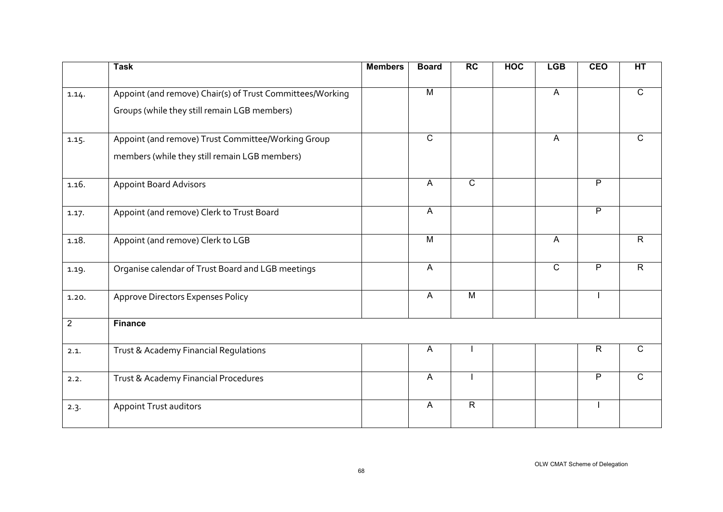|                | <b>Task</b>                                               | <b>Members</b> | <b>Board</b>   | <b>RC</b>      | <b>HOC</b> | <b>LGB</b>     | <b>CEO</b>     | HT             |
|----------------|-----------------------------------------------------------|----------------|----------------|----------------|------------|----------------|----------------|----------------|
| 1.14.          | Appoint (and remove) Chair(s) of Trust Committees/Working |                | M              |                |            | $\overline{A}$ |                | $\overline{C}$ |
|                | Groups (while they still remain LGB members)              |                |                |                |            |                |                |                |
| 1.15.          | Appoint (and remove) Trust Committee/Working Group        |                | $\overline{C}$ |                |            | A              |                | $\mathsf{C}$   |
|                | members (while they still remain LGB members)             |                |                |                |            |                |                |                |
| 1.16.          | <b>Appoint Board Advisors</b>                             |                | $\mathsf{A}$   | $\overline{C}$ |            |                | $\overline{P}$ |                |
| 1.17.          | Appoint (and remove) Clerk to Trust Board                 |                | $\overline{A}$ |                |            |                | $\overline{P}$ |                |
| 1.18.          | Appoint (and remove) Clerk to LGB                         |                | M              |                |            | A              |                | $\mathsf{R}$   |
| 1.19.          | Organise calendar of Trust Board and LGB meetings         |                | $\mathsf{A}$   |                |            | $\overline{C}$ | $\overline{P}$ | $\overline{R}$ |
| 1.20.          | <b>Approve Directors Expenses Policy</b>                  |                | A              | M              |            |                |                |                |
| $\overline{2}$ | <b>Finance</b>                                            |                |                |                |            |                |                |                |
| 2.1.           | Trust & Academy Financial Regulations                     |                | $\overline{A}$ |                |            |                | $\overline{R}$ | $\mathsf{C}$   |
| 2.2.           | Trust & Academy Financial Procedures                      |                | $\mathsf{A}$   |                |            |                | $\overline{P}$ | $\mathsf{C}$   |
| 2.3.           | <b>Appoint Trust auditors</b>                             |                | $\mathsf{A}$   | $\mathsf{R}$   |            |                |                |                |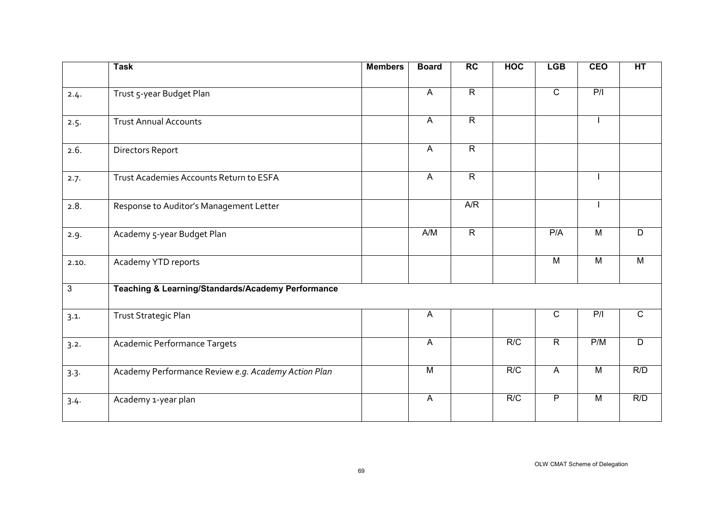|                | <b>Task</b>                                                  | <b>Members</b> | <b>Board</b>   | $\overline{RC}$ | <b>HOC</b> | <b>LGB</b>     | <b>CEO</b>     | HT             |
|----------------|--------------------------------------------------------------|----------------|----------------|-----------------|------------|----------------|----------------|----------------|
| 2.4.           | Trust 5-year Budget Plan                                     |                | $\overline{A}$ | $\overline{R}$  |            | $\overline{C}$ | P/I            |                |
| 2.5.           | <b>Trust Annual Accounts</b>                                 |                | $\mathsf{A}$   | $\mathsf{R}$    |            |                |                |                |
| 2.6.           | Directors Report                                             |                | $\mathsf{A}$   | $\overline{R}$  |            |                |                |                |
| 2.7.           | Trust Academies Accounts Return to ESFA                      |                | $\mathsf{A}$   | $\overline{R}$  |            |                |                |                |
| 2.8.           | Response to Auditor's Management Letter                      |                |                | A/R             |            |                |                |                |
| 2.9.           | Academy 5-year Budget Plan                                   |                | A/M            | $\overline{R}$  |            | P/A            | M              | D              |
| 2.10.          | Academy YTD reports                                          |                |                |                 |            | $\overline{M}$ | M              | M              |
| $\overline{3}$ | <b>Teaching &amp; Learning/Standards/Academy Performance</b> |                |                |                 |            |                |                |                |
| 3.1.           | Trust Strategic Plan                                         |                | A              |                 |            | $\mathsf C$    | P/1            | $\mathsf{C}$   |
| 3.2.           | Academic Performance Targets                                 |                | $\mathsf{A}$   |                 | R/C        | $\overline{R}$ | P/M            | $\overline{D}$ |
| 3.3.           | Academy Performance Review e.g. Academy Action Plan          |                | M              |                 | R/C        | $\mathsf{A}$   | M              | R/D            |
| 3.4.           | Academy 1-year plan                                          |                | $\mathsf{A}$   |                 | R/C        | $\overline{P}$ | $\overline{M}$ | R/D            |
|                |                                                              |                |                |                 |            |                |                |                |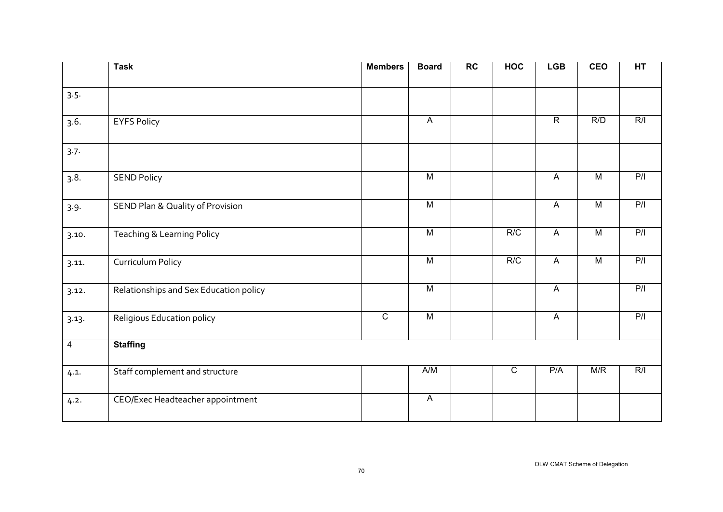|                | <b>Task</b>                            | <b>Members</b> | <b>Board</b>   | RC | <b>HOC</b>  | <b>LGB</b>                | <b>CEO</b>     | HT  |
|----------------|----------------------------------------|----------------|----------------|----|-------------|---------------------------|----------------|-----|
| 3.5.           |                                        |                |                |    |             |                           |                |     |
| 3.6.           | <b>EYFS Policy</b>                     |                | $\mathsf{A}$   |    |             | $\overline{R}$            | R/D            | R/I |
| 3.7.           |                                        |                |                |    |             |                           |                |     |
| 3.8.           | <b>SEND Policy</b>                     |                | $\overline{M}$ |    |             | $\overline{A}$            | $\overline{M}$ | P/I |
| 3.9.           | SEND Plan & Quality of Provision       |                | $\overline{M}$ |    |             | $\overline{A}$            | $\overline{M}$ | P/I |
| 3.10.          | Teaching & Learning Policy             |                | $\overline{M}$ |    | R/C         | $\overline{A}$            | $\overline{M}$ | P/I |
| 3.11.          | Curriculum Policy                      |                | $\overline{M}$ |    | R/C         | $\overline{A}$            | $\overline{M}$ | P/I |
| 3.12.          | Relationships and Sex Education policy |                | $\overline{M}$ |    |             | $\overline{A}$            |                | P/I |
| 3.13.          | Religious Education policy             | $\overline{C}$ | $\overline{M}$ |    |             | $\boldsymbol{\mathsf{A}}$ |                | P/I |
| $\overline{4}$ | <b>Staffing</b>                        |                |                |    |             |                           |                |     |
| 4.1.           | Staff complement and structure         |                | A/M            |    | $\mathsf C$ | P/A                       | M/R            | R/I |
| 4.2.           | CEO/Exec Headteacher appointment       |                | $\mathsf{A}$   |    |             |                           |                |     |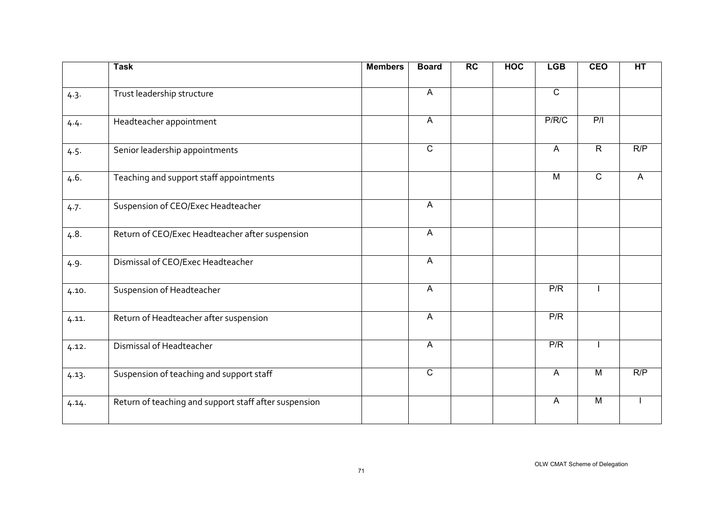|       | <b>Task</b>                                           | <b>Members</b> | <b>Board</b>              | <b>RC</b> | <b>HOC</b> | <b>LGB</b>     | <b>CEO</b>     | HT  |
|-------|-------------------------------------------------------|----------------|---------------------------|-----------|------------|----------------|----------------|-----|
| 4.3.  | Trust leadership structure                            |                | $\overline{A}$            |           |            | $\overline{C}$ |                |     |
| 4.4.  | Headteacher appointment                               |                | $\mathsf{A}$              |           |            | P/R/C          | P/I            |     |
| 4.5.  | Senior leadership appointments                        |                | $\overline{C}$            |           |            | $\mathsf{A}$   | $\overline{R}$ | R/P |
| 4.6.  | Teaching and support staff appointments               |                |                           |           |            | $\overline{M}$ | $\overline{C}$ | A   |
| 4.7.  | Suspension of CEO/Exec Headteacher                    |                | $\mathsf{A}$              |           |            |                |                |     |
| 4.8.  | Return of CEO/Exec Headteacher after suspension       |                | $\mathsf{A}$              |           |            |                |                |     |
| 4.9.  | Dismissal of CEO/Exec Headteacher                     |                | A                         |           |            |                |                |     |
| 4.10. | Suspension of Headteacher                             |                | $\mathsf{A}$              |           |            | P/R            |                |     |
| 4.11. | Return of Headteacher after suspension                |                | $\boldsymbol{\mathsf{A}}$ |           |            | P/R            |                |     |
| 4.12. | Dismissal of Headteacher                              |                | $\mathsf{A}$              |           |            | P/R            |                |     |
| 4.13. | Suspension of teaching and support staff              |                | $\overline{C}$            |           |            | $\mathsf{A}$   | M              | R/P |
| 4.14. | Return of teaching and support staff after suspension |                |                           |           |            | $\mathsf{A}$   | M              |     |
|       |                                                       |                |                           |           |            |                |                |     |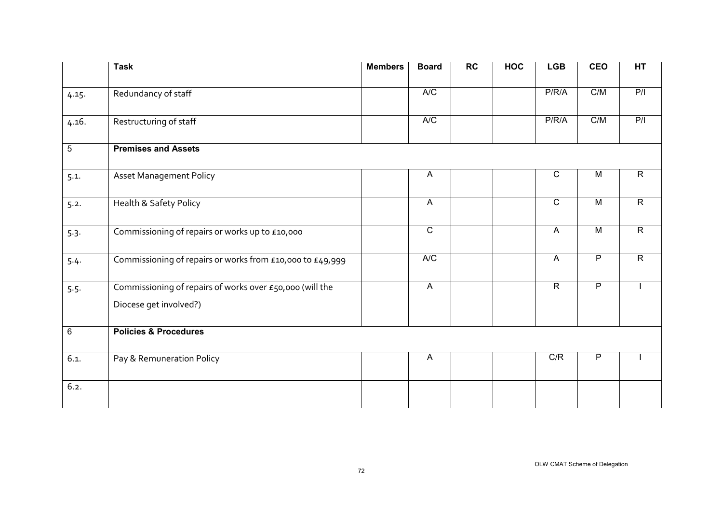|       | <b>Task</b>                                                                        | <b>Members</b> | <b>Board</b>   | $\overline{RC}$ | <b>HOC</b> | <b>LGB</b>     | <b>CEO</b>     | HT             |
|-------|------------------------------------------------------------------------------------|----------------|----------------|-----------------|------------|----------------|----------------|----------------|
| 4.15. | Redundancy of staff                                                                |                | A/C            |                 |            | P/R/A          | C/M            | P/I            |
| 4.16. | Restructuring of staff                                                             |                | A/C            |                 |            | P/R/A          | C/M            | P/I            |
| 5     | <b>Premises and Assets</b>                                                         |                |                |                 |            |                |                |                |
| 5.1.  | <b>Asset Management Policy</b>                                                     |                | $\mathsf{A}$   |                 |            | $\overline{C}$ | $\overline{M}$ | $\overline{R}$ |
| 5.2.  | Health & Safety Policy                                                             |                | $\mathsf{A}$   |                 |            | $\overline{C}$ | $\overline{M}$ | $\overline{R}$ |
| 5.3.  | Commissioning of repairs or works up to £10,000                                    |                | $\overline{C}$ |                 |            | $\overline{A}$ | $\overline{M}$ | $\overline{R}$ |
| 5.4.  | Commissioning of repairs or works from £10,000 to £49,999                          |                | A/C            |                 |            | $\mathsf{A}$   | $\overline{P}$ | $\overline{R}$ |
| 5.5.  | Commissioning of repairs of works over £50,000 (will the<br>Diocese get involved?) |                | $\overline{A}$ |                 |            | $\overline{R}$ | $\overline{P}$ |                |
| 6     | <b>Policies &amp; Procedures</b>                                                   |                |                |                 |            |                |                |                |
| 6.1.  | Pay & Remuneration Policy                                                          |                | A              |                 |            | C/R            | P              |                |
| 6.2.  |                                                                                    |                |                |                 |            |                |                |                |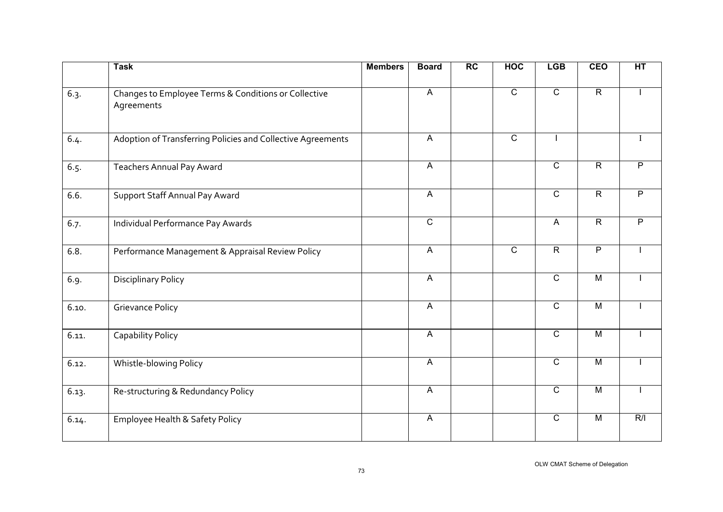|       | <b>Task</b>                                                        | <b>Members</b> | <b>Board</b>              | RC | <b>HOC</b>     | <b>LGB</b>     | <b>CEO</b>     | HT             |
|-------|--------------------------------------------------------------------|----------------|---------------------------|----|----------------|----------------|----------------|----------------|
| 6.3.  | Changes to Employee Terms & Conditions or Collective<br>Agreements |                | $\mathsf{A}$              |    | $\mathsf C$    | $\overline{C}$ | $\overline{R}$ |                |
| 6.4.  | Adoption of Transferring Policies and Collective Agreements        |                | $\overline{A}$            |    | $\mathsf C$    |                |                |                |
| 6.5.  | <b>Teachers Annual Pay Award</b>                                   |                | $\overline{A}$            |    |                | $\overline{c}$ | $\overline{R}$ | $\overline{P}$ |
| 6.6.  | Support Staff Annual Pay Award                                     |                | $\mathsf{A}$              |    |                | $\overline{C}$ | $\overline{R}$ | $\overline{P}$ |
| 6.7.  | Individual Performance Pay Awards                                  |                | $\overline{C}$            |    |                | $\overline{A}$ | $\overline{R}$ | $\overline{P}$ |
| 6.8.  | Performance Management & Appraisal Review Policy                   |                | $\mathsf{A}$              |    | $\overline{C}$ | $\overline{R}$ | $\overline{P}$ |                |
| 6.9.  | <b>Disciplinary Policy</b>                                         |                | $\overline{A}$            |    |                | $\overline{C}$ | $\overline{M}$ |                |
| 6.10. | <b>Grievance Policy</b>                                            |                | $\mathsf{A}$              |    |                | $\overline{C}$ | $\overline{M}$ |                |
| 6.11. | Capability Policy                                                  |                | $\boldsymbol{\mathsf{A}}$ |    |                | $\overline{C}$ | $\overline{M}$ |                |
| 6.12. | Whistle-blowing Policy                                             |                | $\overline{A}$            |    |                | $\overline{C}$ | $\overline{M}$ |                |
| 6.13. | Re-structuring & Redundancy Policy                                 |                | $\overline{A}$            |    |                | $\overline{C}$ | $\overline{M}$ |                |
| 6.14. | Employee Health & Safety Policy                                    |                | $\mathsf{A}$              |    |                | $\overline{C}$ | $\overline{M}$ | R/I            |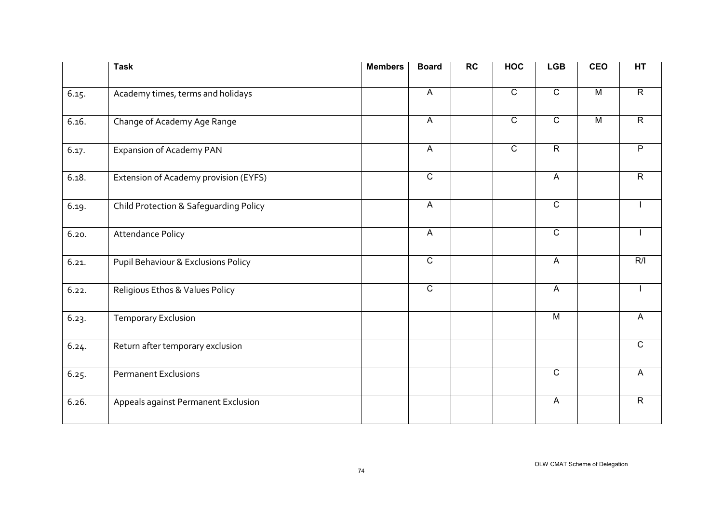| <b>Task</b>                            | <b>Members</b> | <b>Board</b>   | $\overline{RC}$ | <b>HOC</b>     | <b>LGB</b>                | <b>CEO</b>     | HT             |
|----------------------------------------|----------------|----------------|-----------------|----------------|---------------------------|----------------|----------------|
| Academy times, terms and holidays      |                | $\overline{A}$ |                 | $\overline{C}$ | $\overline{C}$            | $\overline{M}$ | $\overline{R}$ |
| Change of Academy Age Range            |                | $\mathsf{A}$   |                 | $\overline{C}$ | $\overline{C}$            | $\overline{M}$ | $\overline{R}$ |
| Expansion of Academy PAN               |                | $\mathsf{A}$   |                 | $\overline{c}$ | $\overline{R}$            |                | $\overline{P}$ |
| Extension of Academy provision (EYFS)  |                | $\overline{C}$ |                 |                | $\overline{A}$            |                | $\overline{R}$ |
| Child Protection & Safeguarding Policy |                | $\overline{A}$ |                 |                | $\overline{C}$            |                |                |
| <b>Attendance Policy</b>               |                | $\mathsf{A}$   |                 |                | $\overline{C}$            |                |                |
| Pupil Behaviour & Exclusions Policy    |                | $\overline{C}$ |                 |                | $\boldsymbol{\mathsf{A}}$ |                | R/I            |
| Religious Ethos & Values Policy        |                | $\overline{C}$ |                 |                | $\mathsf{A}$              |                |                |
| <b>Temporary Exclusion</b>             |                |                |                 |                | $\overline{M}$            |                | A              |
| Return after temporary exclusion       |                |                |                 |                |                           |                | $\mathsf{C}$   |
| <b>Permanent Exclusions</b>            |                |                |                 |                | $\overline{C}$            |                | $\mathsf{A}$   |
| Appeals against Permanent Exclusion    |                |                |                 |                | $\mathsf{A}$              |                | $\mathsf{R}$   |
|                                        |                |                |                 |                |                           |                |                |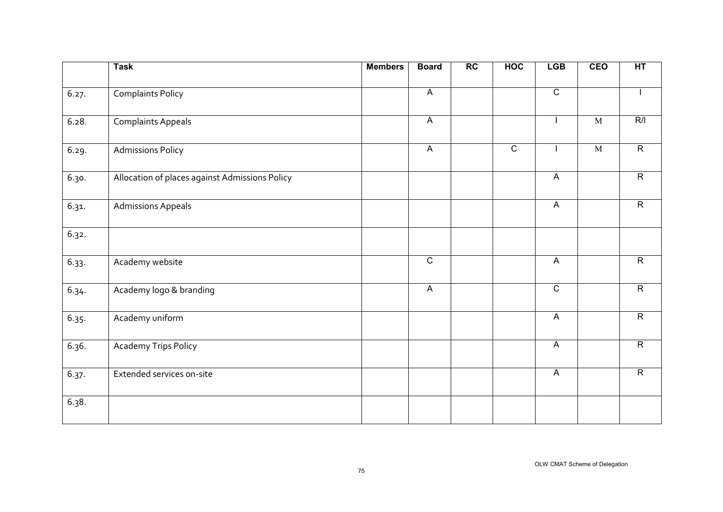|       | <b>Task</b>                                    | <b>Members</b> | <b>Board</b>   | RC | <b>HOC</b>     | <b>LGB</b>     | CEO         | HT             |
|-------|------------------------------------------------|----------------|----------------|----|----------------|----------------|-------------|----------------|
| 6.27. | <b>Complaints Policy</b>                       |                | $\overline{A}$ |    |                | $\overline{C}$ |             |                |
| 6.28. | <b>Complaints Appeals</b>                      |                | $\overline{A}$ |    |                |                | $\mathbf M$ | R/I            |
| 6.29. | <b>Admissions Policy</b>                       |                | $\overline{A}$ |    | $\overline{c}$ |                | $\mathbf M$ | $\overline{R}$ |
| 6.30. | Allocation of places against Admissions Policy |                |                |    |                | $\overline{A}$ |             | $\overline{R}$ |
| 6.31. | <b>Admissions Appeals</b>                      |                |                |    |                | $\overline{A}$ |             | $\overline{R}$ |
| 6.32. |                                                |                |                |    |                |                |             |                |
| 6.33. | Academy website                                |                | $\overline{C}$ |    |                | $\mathsf{A}$   |             | $\overline{R}$ |
| 6.34. | Academy logo & branding                        |                | $\overline{A}$ |    |                | $\overline{C}$ |             | $\overline{R}$ |
| 6.35. | Academy uniform                                |                |                |    |                | $\overline{A}$ |             | $\overline{R}$ |
| 6.36. | <b>Academy Trips Policy</b>                    |                |                |    |                | $\overline{A}$ |             | $\overline{R}$ |
| 6.37. | Extended services on-site                      |                |                |    |                | $\overline{A}$ |             | $\overline{R}$ |
| 6.38. |                                                |                |                |    |                |                |             |                |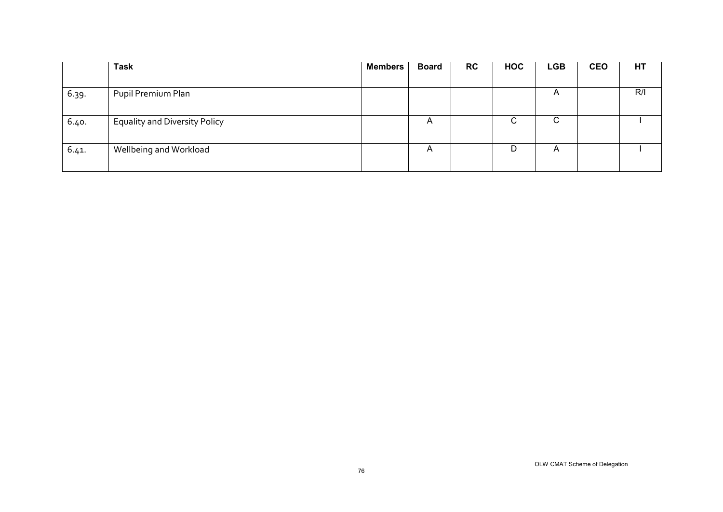|       | <b>Task</b>                          | <b>Members</b> | <b>Board</b> | <b>RC</b> | <b>HOC</b> | <b>LGB</b> | <b>CEO</b> | <b>HT</b> |
|-------|--------------------------------------|----------------|--------------|-----------|------------|------------|------------|-----------|
|       |                                      |                |              |           |            |            |            |           |
| 6.39. | Pupil Premium Plan                   |                |              |           |            | A          |            | R/I       |
|       |                                      |                |              |           |            |            |            |           |
| 6.40. | <b>Equality and Diversity Policy</b> |                | A            |           | C          | С          |            |           |
| 6.41. | Wellbeing and Workload               |                | A            |           | D          | A          |            |           |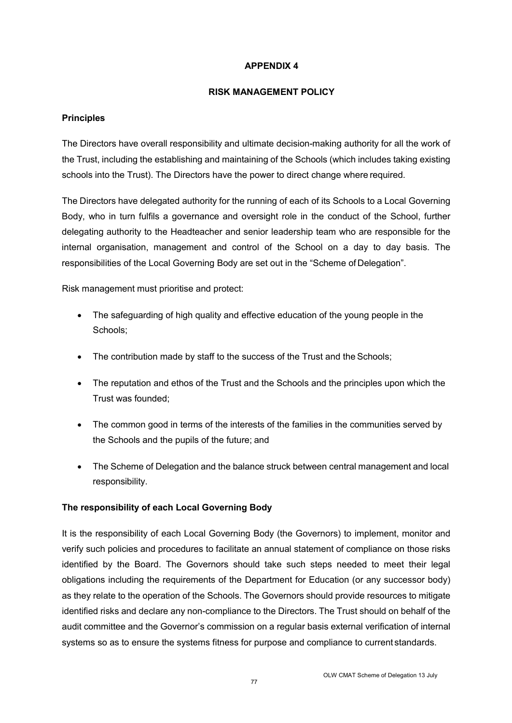### **RISK MANAGEMENT POLICY**

### **Principles**

The Directors have overall responsibility and ultimate decision-making authority for all the work of the Trust, including the establishing and maintaining of the Schools (which includes taking existing schools into the Trust). The Directors have the power to direct change where required.

The Directors have delegated authority for the running of each of its Schools to a Local Governing Body, who in turn fulfils a governance and oversight role in the conduct of the School, further delegating authority to the Headteacher and senior leadership team who are responsible for the internal organisation, management and control of the School on a day to day basis. The responsibilities of the Local Governing Body are set out in the "Scheme of Delegation".

Risk management must prioritise and protect:

- The safeguarding of high quality and effective education of the young people in the Schools;
- The contribution made by staff to the success of the Trust and the Schools;
- The reputation and ethos of the Trust and the Schools and the principles upon which the Trust was founded;
- The common good in terms of the interests of the families in the communities served by the Schools and the pupils of the future; and
- The Scheme of Delegation and the balance struck between central management and local responsibility.

## **The responsibility of each Local Governing Body**

It is the responsibility of each Local Governing Body (the Governors) to implement, monitor and verify such policies and procedures to facilitate an annual statement of compliance on those risks identified by the Board. The Governors should take such steps needed to meet their legal obligations including the requirements of the Department for Education (or any successor body) as they relate to the operation of the Schools. The Governors should provide resources to mitigate identified risks and declare any non-compliance to the Directors. The Trust should on behalf of the audit committee and the Governor's commission on a regular basis external verification of internal systems so as to ensure the systems fitness for purpose and compliance to current standards.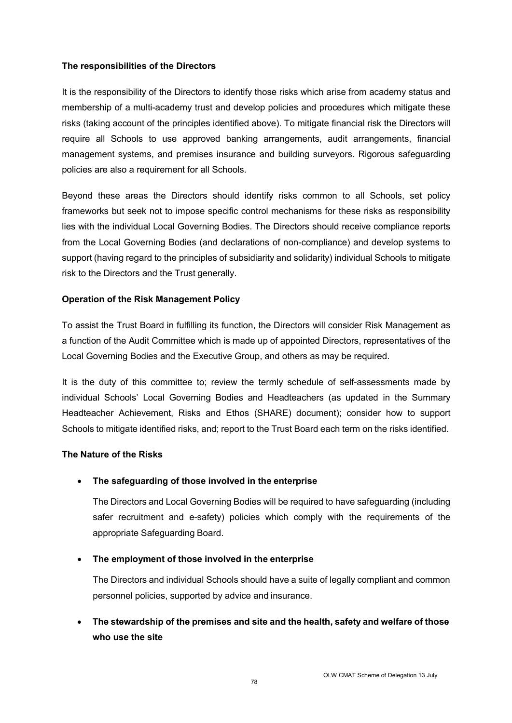### **The responsibilities of the Directors**

It is the responsibility of the Directors to identify those risks which arise from academy status and membership of a multi-academy trust and develop policies and procedures which mitigate these risks (taking account of the principles identified above). To mitigate financial risk the Directors will require all Schools to use approved banking arrangements, audit arrangements, financial management systems, and premises insurance and building surveyors. Rigorous safeguarding policies are also a requirement for all Schools.

Beyond these areas the Directors should identify risks common to all Schools, set policy frameworks but seek not to impose specific control mechanisms for these risks as responsibility lies with the individual Local Governing Bodies. The Directors should receive compliance reports from the Local Governing Bodies (and declarations of non-compliance) and develop systems to support (having regard to the principles of subsidiarity and solidarity) individual Schools to mitigate risk to the Directors and the Trust generally.

## **Operation of the Risk Management Policy**

To assist the Trust Board in fulfilling its function, the Directors will consider Risk Management as a function of the Audit Committee which is made up of appointed Directors, representatives of the Local Governing Bodies and the Executive Group, and others as may be required.

It is the duty of this committee to; review the termly schedule of self-assessments made by individual Schools' Local Governing Bodies and Headteachers (as updated in the Summary Headteacher Achievement, Risks and Ethos (SHARE) document); consider how to support Schools to mitigate identified risks, and; report to the Trust Board each term on the risks identified.

#### **The Nature of the Risks**

## • **The safeguarding of those involved in the enterprise**

The Directors and Local Governing Bodies will be required to have safeguarding (including safer recruitment and e-safety) policies which comply with the requirements of the appropriate Safeguarding Board.

## • **The employment of those involved in the enterprise**

The Directors and individual Schools should have a suite of legally compliant and common personnel policies, supported by advice and insurance.

# • **The stewardship of the premises and site and the health, safety and welfare of those who use the site**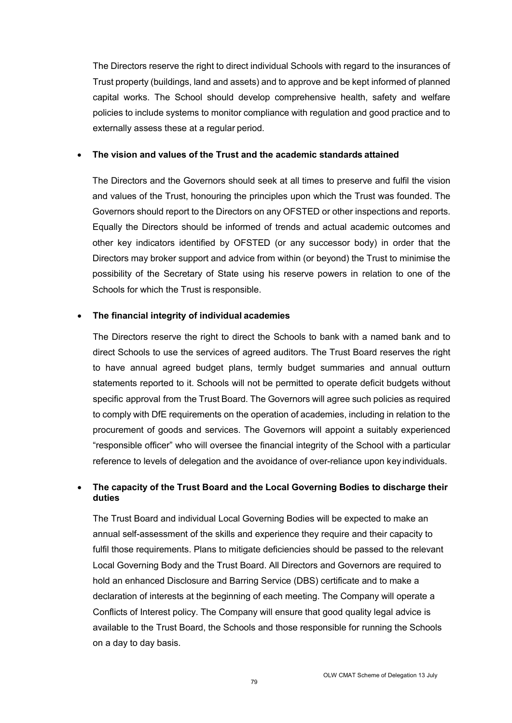The Directors reserve the right to direct individual Schools with regard to the insurances of Trust property (buildings, land and assets) and to approve and be kept informed of planned capital works. The School should develop comprehensive health, safety and welfare policies to include systems to monitor compliance with regulation and good practice and to externally assess these at a regular period.

#### • **The vision and values of the Trust and the academic standards attained**

The Directors and the Governors should seek at all times to preserve and fulfil the vision and values of the Trust, honouring the principles upon which the Trust was founded. The Governors should report to the Directors on any OFSTED or other inspections and reports. Equally the Directors should be informed of trends and actual academic outcomes and other key indicators identified by OFSTED (or any successor body) in order that the Directors may broker support and advice from within (or beyond) the Trust to minimise the possibility of the Secretary of State using his reserve powers in relation to one of the Schools for which the Trust is responsible.

#### • **The financial integrity of individual academies**

The Directors reserve the right to direct the Schools to bank with a named bank and to direct Schools to use the services of agreed auditors. The Trust Board reserves the right to have annual agreed budget plans, termly budget summaries and annual outturn statements reported to it. Schools will not be permitted to operate deficit budgets without specific approval from the Trust Board. The Governors will agree such policies as required to comply with DfE requirements on the operation of academies, including in relation to the procurement of goods and services. The Governors will appoint a suitably experienced "responsible officer" who will oversee the financial integrity of the School with a particular reference to levels of delegation and the avoidance of over-reliance upon key individuals.

## • **The capacity of the Trust Board and the Local Governing Bodies to discharge their duties**

The Trust Board and individual Local Governing Bodies will be expected to make an annual self-assessment of the skills and experience they require and their capacity to fulfil those requirements. Plans to mitigate deficiencies should be passed to the relevant Local Governing Body and the Trust Board. All Directors and Governors are required to hold an enhanced Disclosure and Barring Service (DBS) certificate and to make a declaration of interests at the beginning of each meeting. The Company will operate a Conflicts of Interest policy. The Company will ensure that good quality legal advice is available to the Trust Board, the Schools and those responsible for running the Schools on a day to day basis.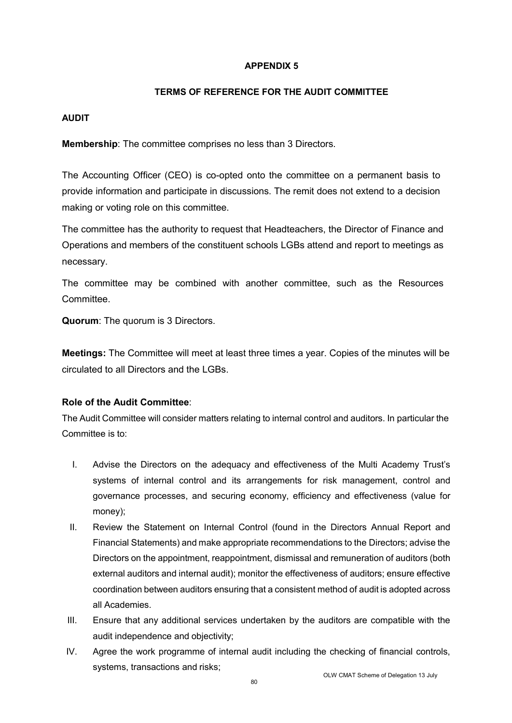## **TERMS OF REFERENCE FOR THE AUDIT COMMITTEE**

## **AUDIT**

**Membership**: The committee comprises no less than 3 Directors.

The Accounting Officer (CEO) is co-opted onto the committee on a permanent basis to provide information and participate in discussions. The remit does not extend to a decision making or voting role on this committee.

The committee has the authority to request that Headteachers, the Director of Finance and Operations and members of the constituent schools LGBs attend and report to meetings as necessary.

The committee may be combined with another committee, such as the Resources Committee.

**Quorum**: The quorum is 3 Directors.

**Meetings:** The Committee will meet at least three times a year. Copies of the minutes will be circulated to all Directors and the LGBs.

# **Role of the Audit Committee**:

The Audit Committee will consider matters relating to internal control and auditors. In particular the Committee is to:

- I. Advise the Directors on the adequacy and effectiveness of the Multi Academy Trust's systems of internal control and its arrangements for risk management, control and governance processes, and securing economy, efficiency and effectiveness (value for money);
- II. Review the Statement on Internal Control (found in the Directors Annual Report and Financial Statements) and make appropriate recommendations to the Directors; advise the Directors on the appointment, reappointment, dismissal and remuneration of auditors (both external auditors and internal audit); monitor the effectiveness of auditors; ensure effective coordination between auditors ensuring that a consistent method of audit is adopted across all Academies.
- III. Ensure that any additional services undertaken by the auditors are compatible with the audit independence and objectivity;
- IV. Agree the work programme of internal audit including the checking of financial controls, systems, transactions and risks;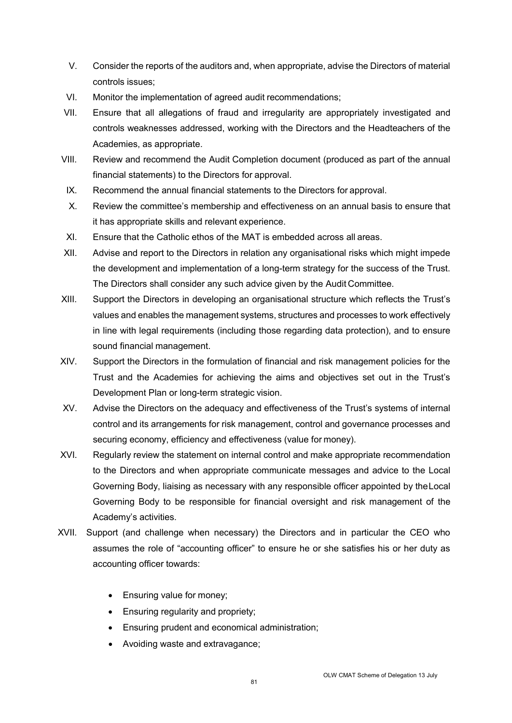- V. Consider the reports of the auditors and, when appropriate, advise the Directors of material controls issues;
- VI. Monitor the implementation of agreed audit recommendations;
- VII. Ensure that all allegations of fraud and irregularity are appropriately investigated and controls weaknesses addressed, working with the Directors and the Headteachers of the Academies, as appropriate.
- VIII. Review and recommend the Audit Completion document (produced as part of the annual financial statements) to the Directors for approval.
- IX. Recommend the annual financial statements to the Directors for approval.
- X. Review the committee's membership and effectiveness on an annual basis to ensure that it has appropriate skills and relevant experience.
- XI. Ensure that the Catholic ethos of the MAT is embedded across all areas.
- XII. Advise and report to the Directors in relation any organisational risks which might impede the development and implementation of a long-term strategy for the success of the Trust. The Directors shall consider any such advice given by the Audit Committee.
- XIII. Support the Directors in developing an organisational structure which reflects the Trust's values and enables the management systems, structures and processes to work effectively in line with legal requirements (including those regarding data protection), and to ensure sound financial management.
- XIV. Support the Directors in the formulation of financial and risk management policies for the Trust and the Academies for achieving the aims and objectives set out in the Trust's Development Plan or long-term strategic vision.
- XV. Advise the Directors on the adequacy and effectiveness of the Trust's systems of internal control and its arrangements for risk management, control and governance processes and securing economy, efficiency and effectiveness (value for money).
- XVI. Regularly review the statement on internal control and make appropriate recommendation to the Directors and when appropriate communicate messages and advice to the Local Governing Body, liaising as necessary with any responsible officer appointed by theLocal Governing Body to be responsible for financial oversight and risk management of the Academy's activities.
- XVII. Support (and challenge when necessary) the Directors and in particular the CEO who assumes the role of "accounting officer" to ensure he or she satisfies his or her duty as accounting officer towards:
	- Ensuring value for money;
	- Ensuring regularity and propriety;
	- Ensuring prudent and economical administration;
	- Avoiding waste and extravagance;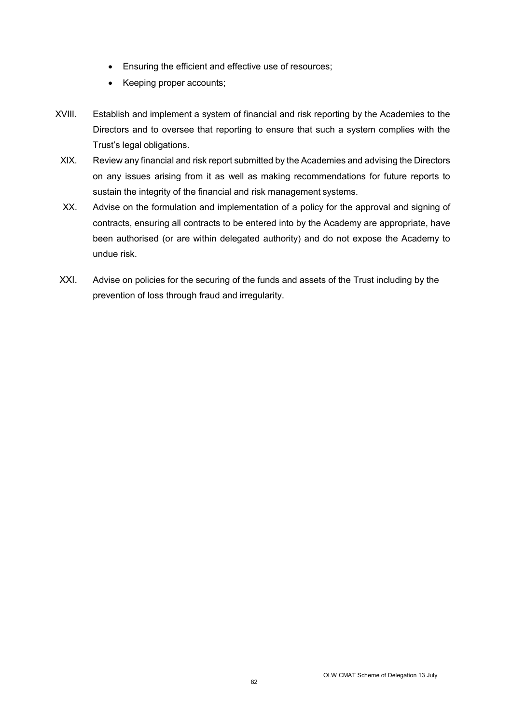- Ensuring the efficient and effective use of resources;
- Keeping proper accounts;
- XVIII. Establish and implement a system of financial and risk reporting by the Academies to the Directors and to oversee that reporting to ensure that such a system complies with the Trust's legal obligations.
	- XIX. Review any financial and risk report submitted by the Academies and advising the Directors on any issues arising from it as well as making recommendations for future reports to sustain the integrity of the financial and risk management systems.
	- XX. Advise on the formulation and implementation of a policy for the approval and signing of contracts, ensuring all contracts to be entered into by the Academy are appropriate, have been authorised (or are within delegated authority) and do not expose the Academy to undue risk.
- XXI. Advise on policies for the securing of the funds and assets of the Trust including by the prevention of loss through fraud and irregularity.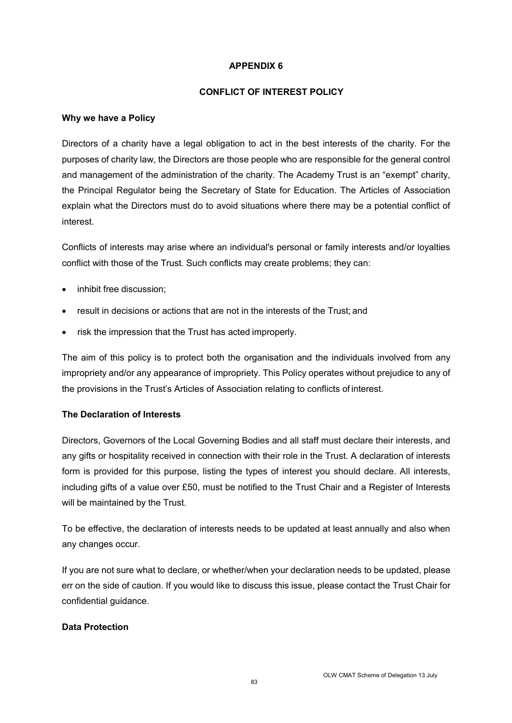#### **CONFLICT OF INTEREST POLICY**

#### **Why we have a Policy**

Directors of a charity have a legal obligation to act in the best interests of the charity. For the purposes of charity law, the Directors are those people who are responsible for the general control and management of the administration of the charity. The Academy Trust is an "exempt" charity, the Principal Regulator being the Secretary of State for Education. The Articles of Association explain what the Directors must do to avoid situations where there may be a potential conflict of interest.

Conflicts of interests may arise where an individual's personal or family interests and/or loyalties conflict with those of the Trust. Such conflicts may create problems; they can:

- inhibit free discussion;
- result in decisions or actions that are not in the interests of the Trust; and
- risk the impression that the Trust has acted improperly.

The aim of this policy is to protect both the organisation and the individuals involved from any impropriety and/or any appearance of impropriety. This Policy operates without prejudice to any of the provisions in the Trust's Articles of Association relating to conflicts of interest.

## **The Declaration of Interests**

Directors, Governors of the Local Governing Bodies and all staff must declare their interests, and any gifts or hospitality received in connection with their role in the Trust. A declaration of interests form is provided for this purpose, listing the types of interest you should declare. All interests, including gifts of a value over £50, must be notified to the Trust Chair and a Register of Interests will be maintained by the Trust.

To be effective, the declaration of interests needs to be updated at least annually and also when any changes occur.

If you are not sure what to declare, or whether/when your declaration needs to be updated, please err on the side of caution. If you would like to discuss this issue, please contact the Trust Chair for confidential guidance.

## **Data Protection**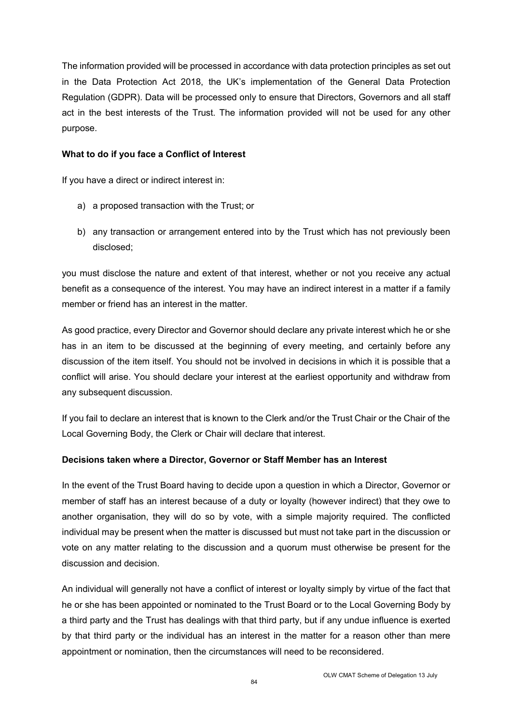The information provided will be processed in accordance with data protection principles as set out in the Data Protection Act 2018, the UK's implementation of the General Data Protection Regulation (GDPR). Data will be processed only to ensure that Directors, Governors and all staff act in the best interests of the Trust. The information provided will not be used for any other purpose.

#### **What to do if you face a Conflict of Interest**

If you have a direct or indirect interest in:

- a) a proposed transaction with the Trust; or
- b) any transaction or arrangement entered into by the Trust which has not previously been disclosed;

you must disclose the nature and extent of that interest, whether or not you receive any actual benefit as a consequence of the interest. You may have an indirect interest in a matter if a family member or friend has an interest in the matter.

As good practice, every Director and Governor should declare any private interest which he or she has in an item to be discussed at the beginning of every meeting, and certainly before any discussion of the item itself. You should not be involved in decisions in which it is possible that a conflict will arise. You should declare your interest at the earliest opportunity and withdraw from any subsequent discussion.

If you fail to declare an interest that is known to the Clerk and/or the Trust Chair or the Chair of the Local Governing Body, the Clerk or Chair will declare that interest.

## **Decisions taken where a Director, Governor or Staff Member has an Interest**

In the event of the Trust Board having to decide upon a question in which a Director, Governor or member of staff has an interest because of a duty or loyalty (however indirect) that they owe to another organisation, they will do so by vote, with a simple majority required. The conflicted individual may be present when the matter is discussed but must not take part in the discussion or vote on any matter relating to the discussion and a quorum must otherwise be present for the discussion and decision.

An individual will generally not have a conflict of interest or loyalty simply by virtue of the fact that he or she has been appointed or nominated to the Trust Board or to the Local Governing Body by a third party and the Trust has dealings with that third party, but if any undue influence is exerted by that third party or the individual has an interest in the matter for a reason other than mere appointment or nomination, then the circumstances will need to be reconsidered.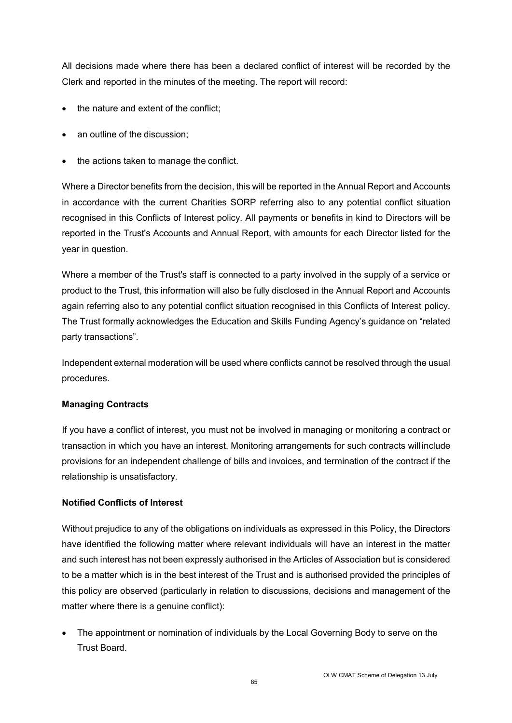All decisions made where there has been a declared conflict of interest will be recorded by the Clerk and reported in the minutes of the meeting. The report will record:

- the nature and extent of the conflict;
- an outline of the discussion;
- the actions taken to manage the conflict.

Where a Director benefits from the decision, this will be reported in the Annual Report and Accounts in accordance with the current Charities SORP referring also to any potential conflict situation recognised in this Conflicts of Interest policy. All payments or benefits in kind to Directors will be reported in the Trust's Accounts and Annual Report, with amounts for each Director listed for the year in question.

Where a member of the Trust's staff is connected to a party involved in the supply of a service or product to the Trust, this information will also be fully disclosed in the Annual Report and Accounts again referring also to any potential conflict situation recognised in this Conflicts of Interest policy. The Trust formally acknowledges the Education and Skills Funding Agency's guidance on "related party transactions".

Independent external moderation will be used where conflicts cannot be resolved through the usual procedures.

## **Managing Contracts**

If you have a conflict of interest, you must not be involved in managing or monitoring a contract or transaction in which you have an interest. Monitoring arrangements for such contracts will include provisions for an independent challenge of bills and invoices, and termination of the contract if the relationship is unsatisfactory.

## **Notified Conflicts of Interest**

Without prejudice to any of the obligations on individuals as expressed in this Policy, the Directors have identified the following matter where relevant individuals will have an interest in the matter and such interest has not been expressly authorised in the Articles of Association but is considered to be a matter which is in the best interest of the Trust and is authorised provided the principles of this policy are observed (particularly in relation to discussions, decisions and management of the matter where there is a genuine conflict):

• The appointment or nomination of individuals by the Local Governing Body to serve on the Trust Board.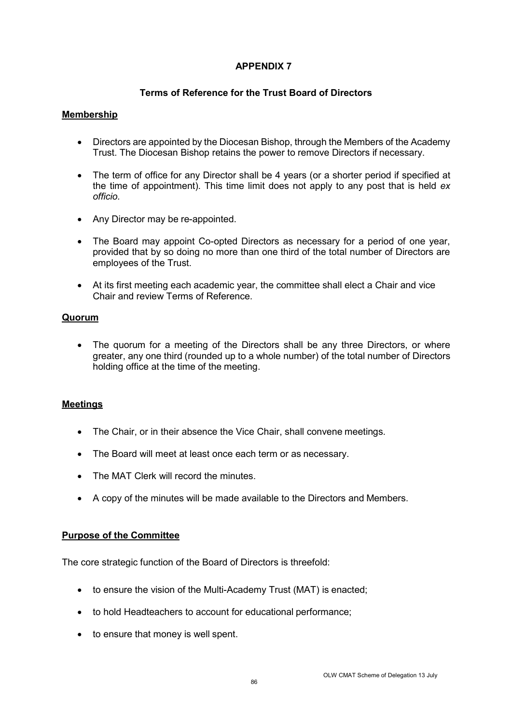# **Terms of Reference for the Trust Board of Directors**

## **Membership**

- Directors are appointed by the Diocesan Bishop, through the Members of the Academy Trust. The Diocesan Bishop retains the power to remove Directors if necessary.
- The term of office for any Director shall be 4 years (or a shorter period if specified at the time of appointment). This time limit does not apply to any post that is held *ex officio.*
- Any Director may be re-appointed.
- The Board may appoint Co-opted Directors as necessary for a period of one year, provided that by so doing no more than one third of the total number of Directors are employees of the Trust.
- At its first meeting each academic year, the committee shall elect a Chair and vice Chair and review Terms of Reference.

## **Quorum**

• The quorum for a meeting of the Directors shall be any three Directors, or where greater, any one third (rounded up to a whole number) of the total number of Directors holding office at the time of the meeting.

# **Meetings**

- The Chair, or in their absence the Vice Chair, shall convene meetings.
- The Board will meet at least once each term or as necessary.
- The MAT Clerk will record the minutes.
- A copy of the minutes will be made available to the Directors and Members.

## **Purpose of the Committee**

The core strategic function of the Board of Directors is threefold:

- to ensure the vision of the Multi-Academy Trust (MAT) is enacted;
- to hold Headteachers to account for educational performance;
- to ensure that money is well spent.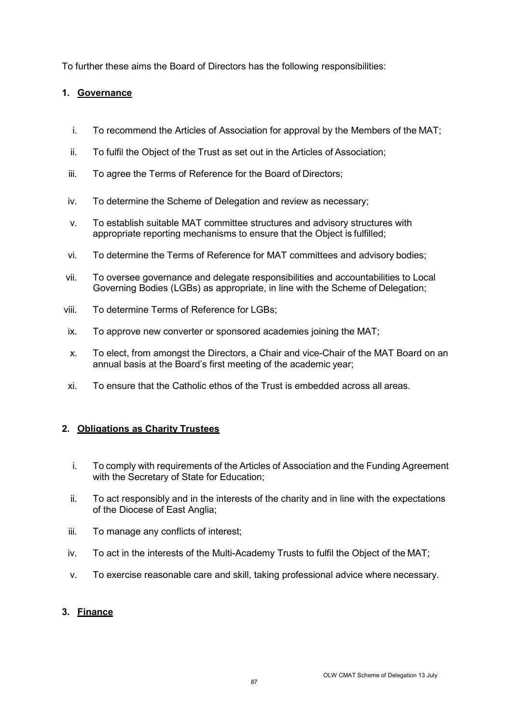To further these aims the Board of Directors has the following responsibilities:

## **1. Governance**

- i. To recommend the Articles of Association for approval by the Members of the MAT;
- ii. To fulfil the Object of the Trust as set out in the Articles of Association;
- iii. To agree the Terms of Reference for the Board of Directors;
- iv. To determine the Scheme of Delegation and review as necessary;
- v. To establish suitable MAT committee structures and advisory structures with appropriate reporting mechanisms to ensure that the Object is fulfilled;
- vi. To determine the Terms of Reference for MAT committees and advisory bodies;
- vii. To oversee governance and delegate responsibilities and accountabilities to Local Governing Bodies (LGBs) as appropriate, in line with the Scheme of Delegation;
- viii. To determine Terms of Reference for LGBs;
- ix. To approve new converter or sponsored academies joining the MAT;
- x. To elect, from amongst the Directors, a Chair and vice-Chair of the MAT Board on an annual basis at the Board's first meeting of the academic year;
- xi. To ensure that the Catholic ethos of the Trust is embedded across all areas.

# **2. Obligations as Charity Trustees**

- i. To comply with requirements of the Articles of Association and the Funding Agreement with the Secretary of State for Education;
- ii. To act responsibly and in the interests of the charity and in line with the expectations of the Diocese of East Anglia;
- iii. To manage any conflicts of interest;
- iv. To act in the interests of the Multi-Academy Trusts to fulfil the Object of the MAT;
- v. To exercise reasonable care and skill, taking professional advice where necessary.

## **3. Finance**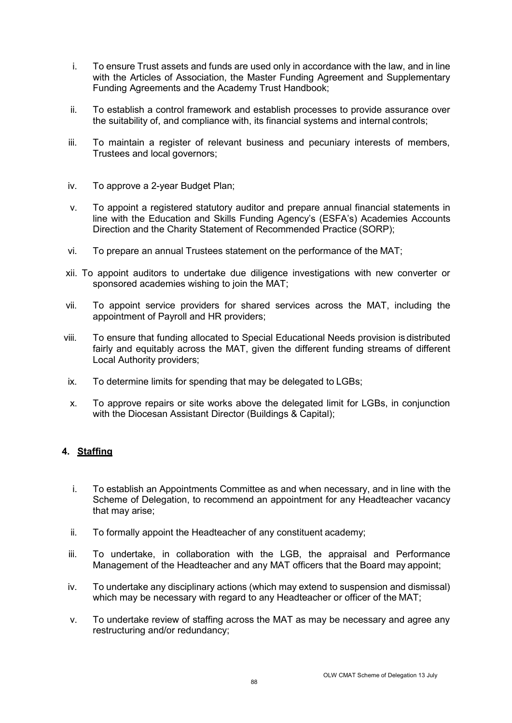- i. To ensure Trust assets and funds are used only in accordance with the law, and in line with the Articles of Association, the Master Funding Agreement and Supplementary Funding Agreements and the Academy Trust Handbook;
- ii. To establish a control framework and establish processes to provide assurance over the suitability of, and compliance with, its financial systems and internal controls;
- iii. To maintain a register of relevant business and pecuniary interests of members, Trustees and local governors;
- iv. To approve a 2-year Budget Plan;
- v. To appoint a registered statutory auditor and prepare annual financial statements in line with the Education and Skills Funding Agency's (ESFA's) Academies Accounts Direction and the Charity Statement of Recommended Practice (SORP);
- vi. To prepare an annual Trustees statement on the performance of the MAT;
- xii. To appoint auditors to undertake due diligence investigations with new converter or sponsored academies wishing to join the MAT;
- vii. To appoint service providers for shared services across the MAT, including the appointment of Payroll and HR providers;
- viii. To ensure that funding allocated to Special Educational Needs provision is distributed fairly and equitably across the MAT, given the different funding streams of different Local Authority providers;
- ix. To determine limits for spending that may be delegated to LGBs;
- x. To approve repairs or site works above the delegated limit for LGBs, in conjunction with the Diocesan Assistant Director (Buildings & Capital);

## **4. Staffing**

- i. To establish an Appointments Committee as and when necessary, and in line with the Scheme of Delegation, to recommend an appointment for any Headteacher vacancy that may arise;
- ii. To formally appoint the Headteacher of any constituent academy;
- iii. To undertake, in collaboration with the LGB, the appraisal and Performance Management of the Headteacher and any MAT officers that the Board may appoint;
- iv. To undertake any disciplinary actions (which may extend to suspension and dismissal) which may be necessary with regard to any Headteacher or officer of the MAT;
- v. To undertake review of staffing across the MAT as may be necessary and agree any restructuring and/or redundancy;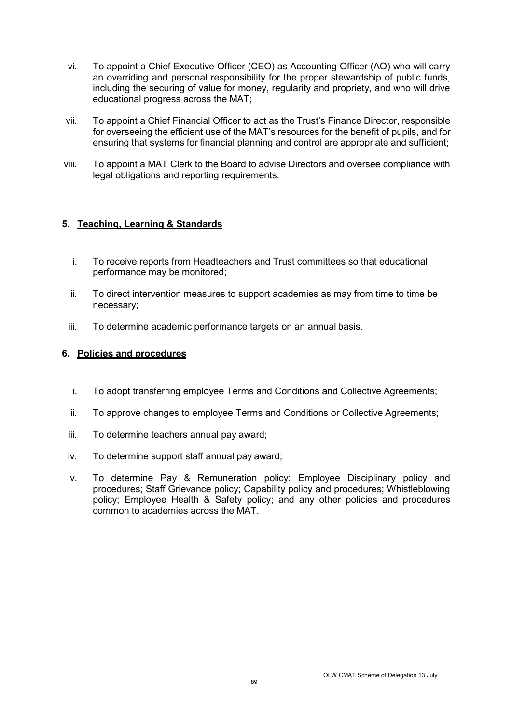- vi. To appoint a Chief Executive Officer (CEO) as Accounting Officer (AO) who will carry an overriding and personal responsibility for the proper stewardship of public funds, including the securing of value for money, regularity and propriety, and who will drive educational progress across the MAT;
- vii. To appoint a Chief Financial Officer to act as the Trust's Finance Director, responsible for overseeing the efficient use of the MAT's resources for the benefit of pupils, and for ensuring that systems for financial planning and control are appropriate and sufficient;
- viii. To appoint a MAT Clerk to the Board to advise Directors and oversee compliance with legal obligations and reporting requirements.

# **5. Teaching, Learning & Standards**

- i. To receive reports from Headteachers and Trust committees so that educational performance may be monitored;
- ii. To direct intervention measures to support academies as may from time to time be necessary;
- iii. To determine academic performance targets on an annual basis.

### **6. Policies and procedures**

- i. To adopt transferring employee Terms and Conditions and Collective Agreements;
- ii. To approve changes to employee Terms and Conditions or Collective Agreements;
- iii. To determine teachers annual pay award;
- iv. To determine support staff annual pay award;
- v. To determine Pay & Remuneration policy; Employee Disciplinary policy and procedures; Staff Grievance policy; Capability policy and procedures; Whistleblowing policy; Employee Health & Safety policy; and any other policies and procedures common to academies across the MAT.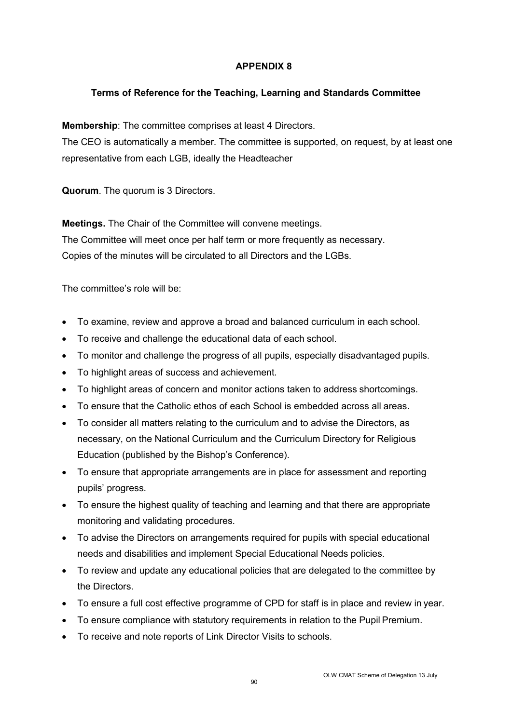# **Terms of Reference for the Teaching, Learning and Standards Committee**

**Membership**: The committee comprises at least 4 Directors.

The CEO is automatically a member. The committee is supported, on request, by at least one representative from each LGB, ideally the Headteacher

**Quorum**. The quorum is 3 Directors.

**Meetings.** The Chair of the Committee will convene meetings. The Committee will meet once per half term or more frequently as necessary. Copies of the minutes will be circulated to all Directors and the LGBs.

The committee's role will be:

- To examine, review and approve a broad and balanced curriculum in each school.
- To receive and challenge the educational data of each school.
- To monitor and challenge the progress of all pupils, especially disadvantaged pupils.
- To highlight areas of success and achievement.
- To highlight areas of concern and monitor actions taken to address shortcomings.
- To ensure that the Catholic ethos of each School is embedded across all areas.
- To consider all matters relating to the curriculum and to advise the Directors, as necessary, on the National Curriculum and the Curriculum Directory for Religious Education (published by the Bishop's Conference).
- To ensure that appropriate arrangements are in place for assessment and reporting pupils' progress.
- To ensure the highest quality of teaching and learning and that there are appropriate monitoring and validating procedures.
- To advise the Directors on arrangements required for pupils with special educational needs and disabilities and implement Special Educational Needs policies.
- To review and update any educational policies that are delegated to the committee by the Directors.
- To ensure a full cost effective programme of CPD for staff is in place and review in year.
- To ensure compliance with statutory requirements in relation to the Pupil Premium.
- To receive and note reports of Link Director Visits to schools.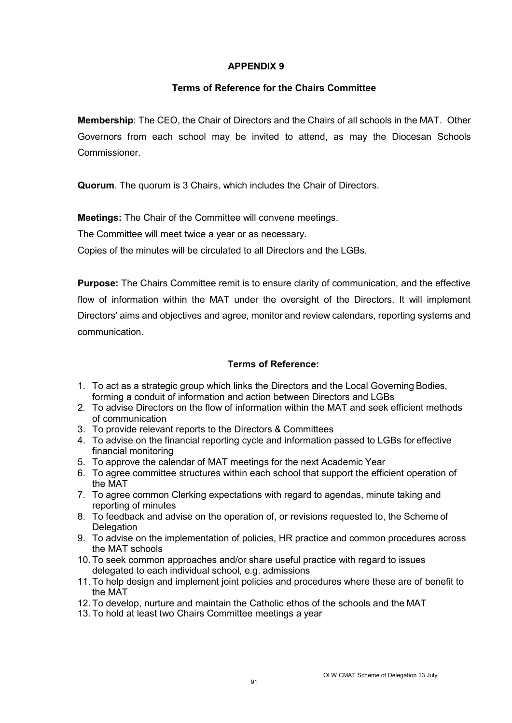## **Terms of Reference for the Chairs Committee**

**Membership**: The CEO, the Chair of Directors and the Chairs of all schools in the MAT. Other Governors from each school may be invited to attend, as may the Diocesan Schools **Commissioner** 

**Quorum**. The quorum is 3 Chairs, which includes the Chair of Directors.

**Meetings:** The Chair of the Committee will convene meetings.

The Committee will meet twice a year or as necessary.

Copies of the minutes will be circulated to all Directors and the LGBs.

**Purpose:** The Chairs Committee remit is to ensure clarity of communication, and the effective flow of information within the MAT under the oversight of the Directors. It will implement Directors' aims and objectives and agree, monitor and review calendars, reporting systems and communication.

# **Terms of Reference:**

- 1. To act as a strategic group which links the Directors and the Local Governing Bodies, forming a conduit of information and action between Directors and LGBs
- 2. To advise Directors on the flow of information within the MAT and seek efficient methods of communication
- 3. To provide relevant reports to the Directors & Committees
- 4. To advise on the financial reporting cycle and information passed to LGBs for effective financial monitoring
- 5. To approve the calendar of MAT meetings for the next Academic Year
- 6. To agree committee structures within each school that support the efficient operation of the MAT
- 7. To agree common Clerking expectations with regard to agendas, minute taking and reporting of minutes
- 8. To feedback and advise on the operation of, or revisions requested to, the Scheme of **Delegation**
- 9. To advise on the implementation of policies, HR practice and common procedures across the MAT schools
- 10. To seek common approaches and/or share useful practice with regard to issues delegated to each individual school, e.g. admissions
- 11. To help design and implement joint policies and procedures where these are of benefit to the MAT
- 12. To develop, nurture and maintain the Catholic ethos of the schools and the MAT
- 13. To hold at least two Chairs Committee meetings a year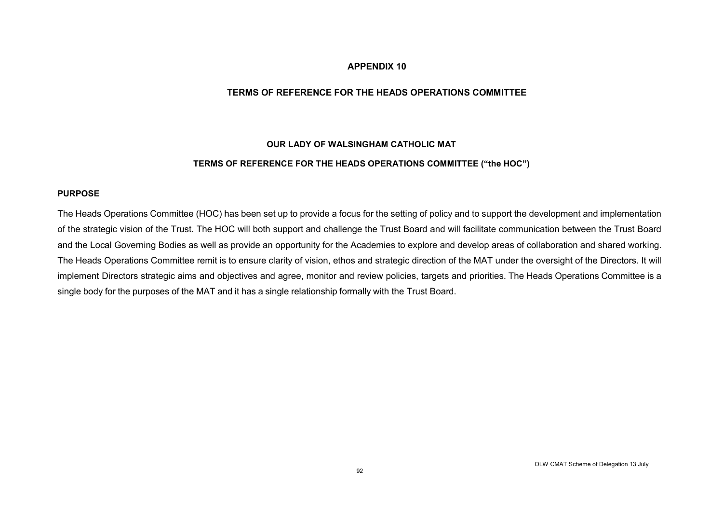#### **TERMS OF REFERENCE FOR THE HEADS OPERATIONS COMMITTEE**

#### **OUR LADY OF WALSINGHAM CATHOLIC MAT**

#### **TERMS OF REFERENCE FOR THE HEADS OPERATIONS COMMITTEE ("the HOC")**

#### **PURPOSE**

The Heads Operations Committee (HOC) has been set up to provide a focus for the setting of policy and to support the development and implementation of the strategic vision of the Trust. The HOC will both support and challenge the Trust Board and will facilitate communication between the Trust Board and the Local Governing Bodies as well as provide an opportunity for the Academies to explore and develop areas of collaboration and shared working. The Heads Operations Committee remit is to ensure clarity of vision, ethos and strategic direction of the MAT under the oversight of the Directors. It will implement Directors strategic aims and objectives and agree, monitor and review policies, targets and priorities. The Heads Operations Committee is a single body for the purposes of the MAT and it has a single relationship formally with the Trust Board.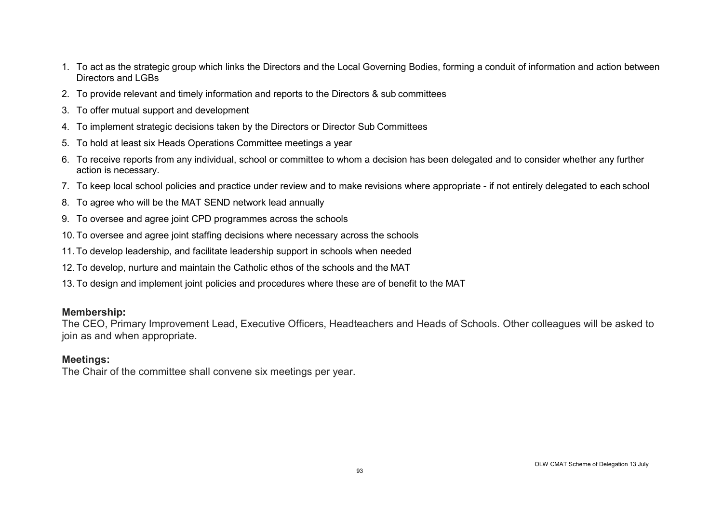- 1. To act as the strategic group which links the Directors and the Local Governing Bodies, forming a conduit of information and action between Directors and LGBs
- 2. To provide relevant and timely information and reports to the Directors & sub committees
- 3. To offer mutual support and development
- 4. To implement strategic decisions taken by the Directors or Director Sub Committees
- 5. To hold at least six Heads Operations Committee meetings a year
- 6. To receive reports from any individual, school or committee to whom a decision has been delegated and to consider whether any further action is necessary.
- 7. To keep local school policies and practice under review and to make revisions where appropriate if not entirely delegated to each school
- 8. To agree who will be the MAT SEND network lead annually
- 9. To oversee and agree joint CPD programmes across the schools
- 10. To oversee and agree joint staffing decisions where necessary across the schools
- 11. To develop leadership, and facilitate leadership support in schools when needed
- 12. To develop, nurture and maintain the Catholic ethos of the schools and the MAT
- 13. To design and implement joint policies and procedures where these are of benefit to the MAT

# **Membership:**

The CEO, Primary Improvement Lead, Executive Officers, Headteachers and Heads of Schools. Other colleagues will be asked to join as and when appropriate.

# **Meetings:**

The Chair of the committee shall convene six meetings per year.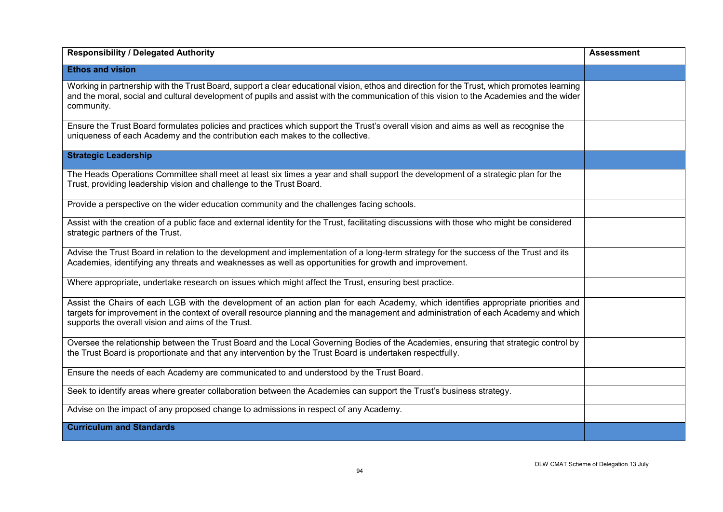| <b>Responsibility / Delegated Authority</b>                                                                                                                                                                                                                                                                                     | <b>Assessment</b> |
|---------------------------------------------------------------------------------------------------------------------------------------------------------------------------------------------------------------------------------------------------------------------------------------------------------------------------------|-------------------|
| <b>Ethos and vision</b>                                                                                                                                                                                                                                                                                                         |                   |
| Working in partnership with the Trust Board, support a clear educational vision, ethos and direction for the Trust, which promotes learning<br>and the moral, social and cultural development of pupils and assist with the communication of this vision to the Academies and the wider<br>community.                           |                   |
| Ensure the Trust Board formulates policies and practices which support the Trust's overall vision and aims as well as recognise the<br>uniqueness of each Academy and the contribution each makes to the collective.                                                                                                            |                   |
| <b>Strategic Leadership</b>                                                                                                                                                                                                                                                                                                     |                   |
| The Heads Operations Committee shall meet at least six times a year and shall support the development of a strategic plan for the<br>Trust, providing leadership vision and challenge to the Trust Board.                                                                                                                       |                   |
| Provide a perspective on the wider education community and the challenges facing schools.                                                                                                                                                                                                                                       |                   |
| Assist with the creation of a public face and external identity for the Trust, facilitating discussions with those who might be considered<br>strategic partners of the Trust.                                                                                                                                                  |                   |
| Advise the Trust Board in relation to the development and implementation of a long-term strategy for the success of the Trust and its<br>Academies, identifying any threats and weaknesses as well as opportunities for growth and improvement.                                                                                 |                   |
| Where appropriate, undertake research on issues which might affect the Trust, ensuring best practice.                                                                                                                                                                                                                           |                   |
| Assist the Chairs of each LGB with the development of an action plan for each Academy, which identifies appropriate priorities and<br>targets for improvement in the context of overall resource planning and the management and administration of each Academy and which<br>supports the overall vision and aims of the Trust. |                   |
| Oversee the relationship between the Trust Board and the Local Governing Bodies of the Academies, ensuring that strategic control by<br>the Trust Board is proportionate and that any intervention by the Trust Board is undertaken respectfully.                                                                               |                   |
| Ensure the needs of each Academy are communicated to and understood by the Trust Board.                                                                                                                                                                                                                                         |                   |
| Seek to identify areas where greater collaboration between the Academies can support the Trust's business strategy.                                                                                                                                                                                                             |                   |
| Advise on the impact of any proposed change to admissions in respect of any Academy.                                                                                                                                                                                                                                            |                   |
| <b>Curriculum and Standards</b>                                                                                                                                                                                                                                                                                                 |                   |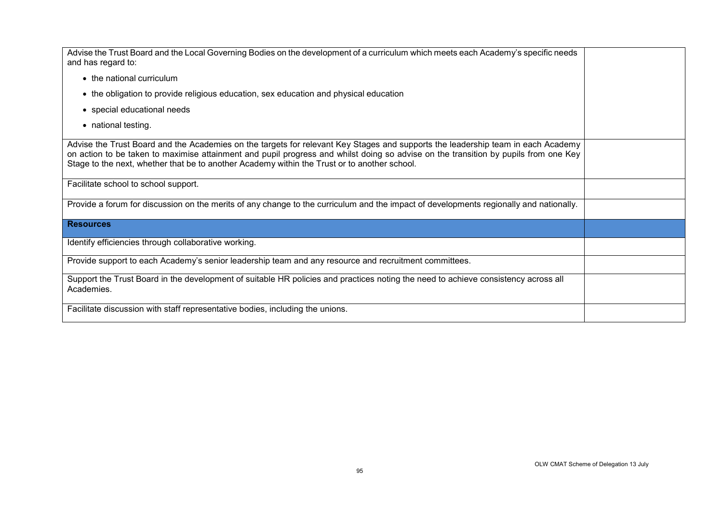| Advise the Trust Board and the Local Governing Bodies on the development of a curriculum which meets each Academy's specific needs<br>and has regard to:                                                                                                                                                                                                                |  |
|-------------------------------------------------------------------------------------------------------------------------------------------------------------------------------------------------------------------------------------------------------------------------------------------------------------------------------------------------------------------------|--|
| • the national curriculum                                                                                                                                                                                                                                                                                                                                               |  |
| • the obligation to provide religious education, sex education and physical education                                                                                                                                                                                                                                                                                   |  |
| • special educational needs                                                                                                                                                                                                                                                                                                                                             |  |
| • national testing.                                                                                                                                                                                                                                                                                                                                                     |  |
| Advise the Trust Board and the Academies on the targets for relevant Key Stages and supports the leadership team in each Academy<br>on action to be taken to maximise attainment and pupil progress and whilst doing so advise on the transition by pupils from one Key<br>Stage to the next, whether that be to another Academy within the Trust or to another school. |  |
| Facilitate school to school support.                                                                                                                                                                                                                                                                                                                                    |  |
| Provide a forum for discussion on the merits of any change to the curriculum and the impact of developments regionally and nationally.                                                                                                                                                                                                                                  |  |
| <b>Resources</b>                                                                                                                                                                                                                                                                                                                                                        |  |
| Identify efficiencies through collaborative working.                                                                                                                                                                                                                                                                                                                    |  |
| Provide support to each Academy's senior leadership team and any resource and recruitment committees.                                                                                                                                                                                                                                                                   |  |
| Support the Trust Board in the development of suitable HR policies and practices noting the need to achieve consistency across all<br>Academies.                                                                                                                                                                                                                        |  |
| Facilitate discussion with staff representative bodies, including the unions.                                                                                                                                                                                                                                                                                           |  |
|                                                                                                                                                                                                                                                                                                                                                                         |  |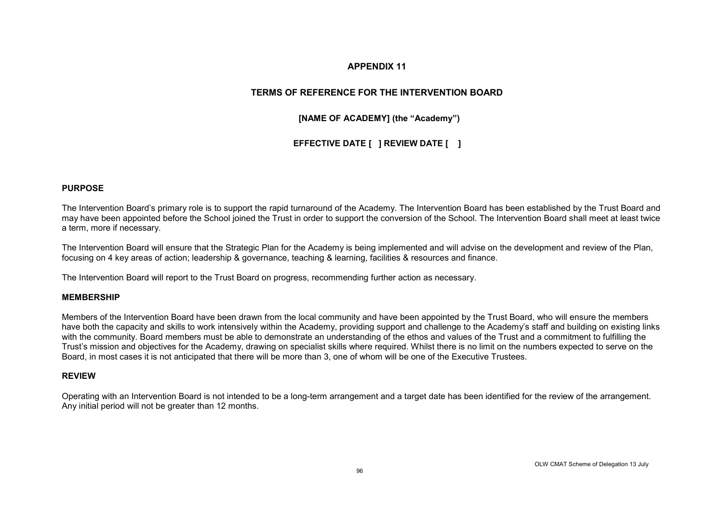### **TERMS OF REFERENCE FOR THE INTERVENTION BOARD**

**[NAME OF ACADEMY] (the "Academy")** 

**EFFECTIVE DATE [ ] REVIEW DATE [ ]**

#### **PURPOSE**

The Intervention Board's primary role is to support the rapid turnaround of the Academy. The Intervention Board has been established by the Trust Board and may have been appointed before the School joined the Trust in order to support the conversion of the School. The Intervention Board shall meet at least twice a term, more if necessary.

The Intervention Board will ensure that the Strategic Plan for the Academy is being implemented and will advise on the development and review of the Plan, focusing on 4 key areas of action; leadership & governance, teaching & learning, facilities & resources and finance.

The Intervention Board will report to the Trust Board on progress, recommending further action as necessary.

#### **MEMBERSHIP**

Members of the Intervention Board have been drawn from the local community and have been appointed by the Trust Board, who will ensure the members have both the capacity and skills to work intensively within the Academy, providing support and challenge to the Academy's staff and building on existing links with the community. Board members must be able to demonstrate an understanding of the ethos and values of the Trust and a commitment to fulfilling the Trust's mission and objectives for the Academy, drawing on specialist skills where required. Whilst there is no limit on the numbers expected to serve on the Board, in most cases it is not anticipated that there will be more than 3, one of whom will be one of the Executive Trustees.

#### **REVIEW**

Operating with an Intervention Board is not intended to be a long-term arrangement and a target date has been identified for the review of the arrangement. Any initial period will not be greater than 12 months.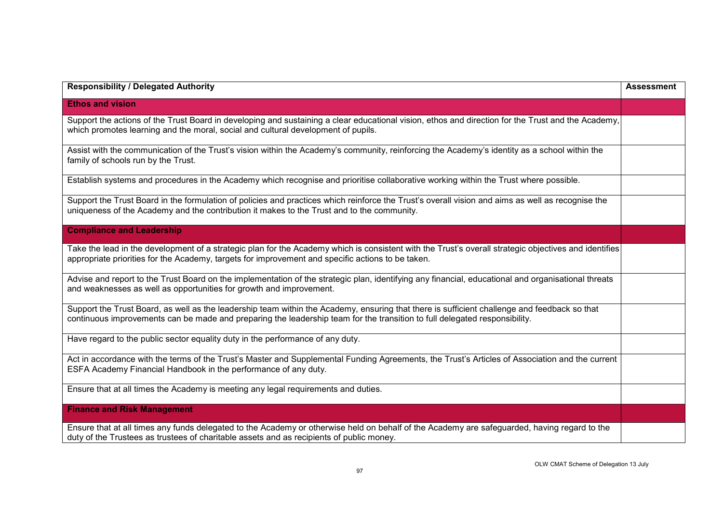| <b>Responsibility / Delegated Authority</b>                                                                                                                                                                                                                                | <b>Assessment</b> |
|----------------------------------------------------------------------------------------------------------------------------------------------------------------------------------------------------------------------------------------------------------------------------|-------------------|
| <b>Ethos and vision</b>                                                                                                                                                                                                                                                    |                   |
| Support the actions of the Trust Board in developing and sustaining a clear educational vision, ethos and direction for the Trust and the Academy,<br>which promotes learning and the moral, social and cultural development of pupils.                                    |                   |
| Assist with the communication of the Trust's vision within the Academy's community, reinforcing the Academy's identity as a school within the<br>family of schools run by the Trust.                                                                                       |                   |
| Establish systems and procedures in the Academy which recognise and prioritise collaborative working within the Trust where possible.                                                                                                                                      |                   |
| Support the Trust Board in the formulation of policies and practices which reinforce the Trust's overall vision and aims as well as recognise the<br>uniqueness of the Academy and the contribution it makes to the Trust and to the community.                            |                   |
| <b>Compliance and Leadership</b>                                                                                                                                                                                                                                           |                   |
| Take the lead in the development of a strategic plan for the Academy which is consistent with the Trust's overall strategic objectives and identifies<br>appropriate priorities for the Academy, targets for improvement and specific actions to be taken.                 |                   |
| Advise and report to the Trust Board on the implementation of the strategic plan, identifying any financial, educational and organisational threats<br>and weaknesses as well as opportunities for growth and improvement.                                                 |                   |
| Support the Trust Board, as well as the leadership team within the Academy, ensuring that there is sufficient challenge and feedback so that<br>continuous improvements can be made and preparing the leadership team for the transition to full delegated responsibility. |                   |
| Have regard to the public sector equality duty in the performance of any duty.                                                                                                                                                                                             |                   |
| Act in accordance with the terms of the Trust's Master and Supplemental Funding Agreements, the Trust's Articles of Association and the current<br>ESFA Academy Financial Handbook in the performance of any duty.                                                         |                   |
| Ensure that at all times the Academy is meeting any legal requirements and duties.                                                                                                                                                                                         |                   |
| <b>Finance and Risk Management</b>                                                                                                                                                                                                                                         |                   |
| Ensure that at all times any funds delegated to the Academy or otherwise held on behalf of the Academy are safeguarded, having regard to the<br>duty of the Trustees as trustees of charitable assets and as recipients of public money.                                   |                   |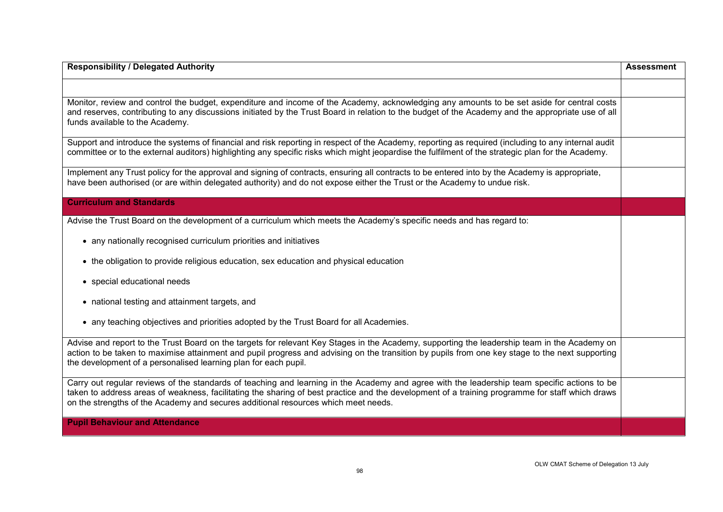| <b>Responsibility / Delegated Authority</b>                                                                                                                                                                                                                                                                                                                                           | <b>Assessment</b> |
|---------------------------------------------------------------------------------------------------------------------------------------------------------------------------------------------------------------------------------------------------------------------------------------------------------------------------------------------------------------------------------------|-------------------|
|                                                                                                                                                                                                                                                                                                                                                                                       |                   |
| Monitor, review and control the budget, expenditure and income of the Academy, acknowledging any amounts to be set aside for central costs<br>and reserves, contributing to any discussions initiated by the Trust Board in relation to the budget of the Academy and the appropriate use of all<br>funds available to the Academy.                                                   |                   |
| Support and introduce the systems of financial and risk reporting in respect of the Academy, reporting as required (including to any internal audit<br>committee or to the external auditors) highlighting any specific risks which might jeopardise the fulfilment of the strategic plan for the Academy.                                                                            |                   |
| Implement any Trust policy for the approval and signing of contracts, ensuring all contracts to be entered into by the Academy is appropriate,<br>have been authorised (or are within delegated authority) and do not expose either the Trust or the Academy to undue risk.                                                                                                           |                   |
| <b>Curriculum and Standards</b>                                                                                                                                                                                                                                                                                                                                                       |                   |
| Advise the Trust Board on the development of a curriculum which meets the Academy's specific needs and has regard to:                                                                                                                                                                                                                                                                 |                   |
| • any nationally recognised curriculum priorities and initiatives                                                                                                                                                                                                                                                                                                                     |                   |
| • the obligation to provide religious education, sex education and physical education                                                                                                                                                                                                                                                                                                 |                   |
| • special educational needs                                                                                                                                                                                                                                                                                                                                                           |                   |
| • national testing and attainment targets, and                                                                                                                                                                                                                                                                                                                                        |                   |
| • any teaching objectives and priorities adopted by the Trust Board for all Academies.                                                                                                                                                                                                                                                                                                |                   |
| Advise and report to the Trust Board on the targets for relevant Key Stages in the Academy, supporting the leadership team in the Academy on<br>action to be taken to maximise attainment and pupil progress and advising on the transition by pupils from one key stage to the next supporting<br>the development of a personalised learning plan for each pupil.                    |                   |
| Carry out regular reviews of the standards of teaching and learning in the Academy and agree with the leadership team specific actions to be<br>taken to address areas of weakness, facilitating the sharing of best practice and the development of a training programme for staff which draws<br>on the strengths of the Academy and secures additional resources which meet needs. |                   |
| <b>Pupil Behaviour and Attendance</b>                                                                                                                                                                                                                                                                                                                                                 |                   |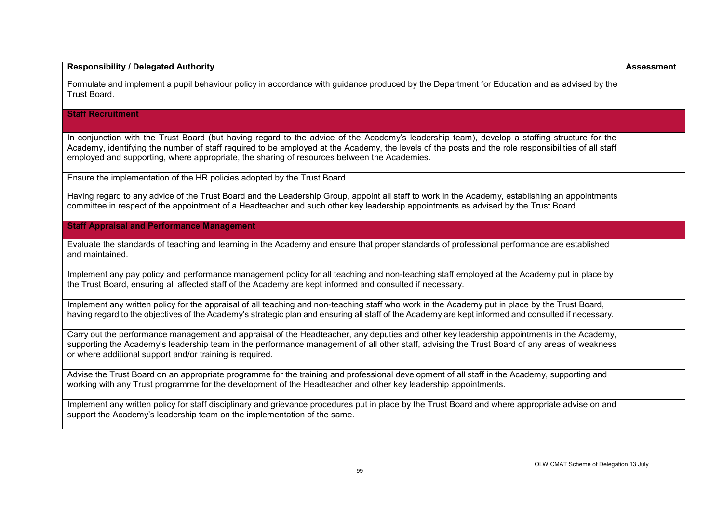| <b>Responsibility / Delegated Authority</b>                                                                                                                                                                                                                                                                                                                                                        | <b>Assessment</b> |
|----------------------------------------------------------------------------------------------------------------------------------------------------------------------------------------------------------------------------------------------------------------------------------------------------------------------------------------------------------------------------------------------------|-------------------|
| Formulate and implement a pupil behaviour policy in accordance with guidance produced by the Department for Education and as advised by the<br>Trust Board.                                                                                                                                                                                                                                        |                   |
| <b>Staff Recruitment</b>                                                                                                                                                                                                                                                                                                                                                                           |                   |
| In conjunction with the Trust Board (but having regard to the advice of the Academy's leadership team), develop a staffing structure for the<br>Academy, identifying the number of staff required to be employed at the Academy, the levels of the posts and the role responsibilities of all staff<br>employed and supporting, where appropriate, the sharing of resources between the Academies. |                   |
| Ensure the implementation of the HR policies adopted by the Trust Board.                                                                                                                                                                                                                                                                                                                           |                   |
| Having regard to any advice of the Trust Board and the Leadership Group, appoint all staff to work in the Academy, establishing an appointments<br>committee in respect of the appointment of a Headteacher and such other key leadership appointments as advised by the Trust Board.                                                                                                              |                   |
| <b>Staff Appraisal and Performance Management</b>                                                                                                                                                                                                                                                                                                                                                  |                   |
| Evaluate the standards of teaching and learning in the Academy and ensure that proper standards of professional performance are established<br>and maintained.                                                                                                                                                                                                                                     |                   |
| Implement any pay policy and performance management policy for all teaching and non-teaching staff employed at the Academy put in place by<br>the Trust Board, ensuring all affected staff of the Academy are kept informed and consulted if necessary.                                                                                                                                            |                   |
| Implement any written policy for the appraisal of all teaching and non-teaching staff who work in the Academy put in place by the Trust Board,<br>having regard to the objectives of the Academy's strategic plan and ensuring all staff of the Academy are kept informed and consulted if necessary.                                                                                              |                   |
| Carry out the performance management and appraisal of the Headteacher, any deputies and other key leadership appointments in the Academy,<br>supporting the Academy's leadership team in the performance management of all other staff, advising the Trust Board of any areas of weakness<br>or where additional support and/or training is required.                                              |                   |
| Advise the Trust Board on an appropriate programme for the training and professional development of all staff in the Academy, supporting and<br>working with any Trust programme for the development of the Headteacher and other key leadership appointments.                                                                                                                                     |                   |
| Implement any written policy for staff disciplinary and grievance procedures put in place by the Trust Board and where appropriate advise on and<br>support the Academy's leadership team on the implementation of the same.                                                                                                                                                                       |                   |